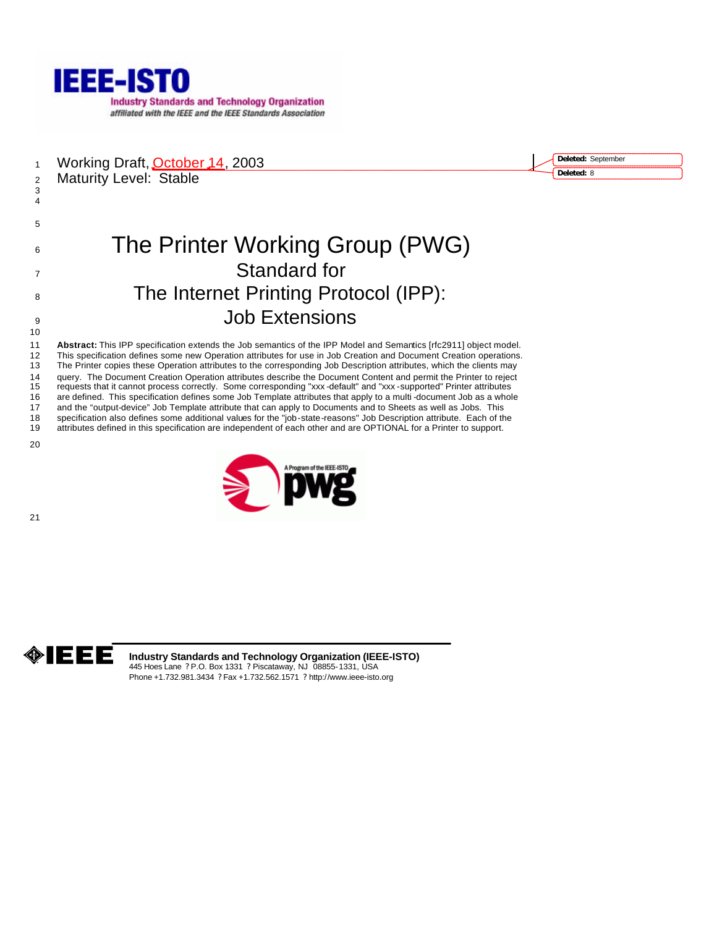

1 Working Draft, October 14, 2003 2 Maturity Level: Stable

**Deleted:** September **Deleted:** 8

# 6 The Printer Working Group (PWG) Standard for 8 The Internet Printing Protocol (IPP): Job Extensions

 **Abstract:** This IPP specification extends the Job semantics of the IPP Model and Semantics [rfc2911] object model. This specification defines some new Operation attributes for use in Job Creation and Document Creation operations. The Printer copies these Operation attributes to the corresponding Job Description attributes, which the clients may 14 query. The Document Creation Operation attributes describe the Document Content and permit the Printer to reject<br>15 requests that it cannot process correctly. Some corresponding "xxx -default" and "xxx -supported" Print requests that it cannot process correctly. Some corresponding "xxx -default" and "xxx -supported" Printer attributes are defined. This specification defines some Job Template attributes that apply to a multi -document Job as a whole and the "output-device" Job Template attribute that can apply to Documents and to Sheets as well as Jobs. This specification also defines some additional values for the "job-state-reasons" Job Description attribute. Each of the attributes defined in this specification are independent of each other and are OPTIONAL for a Printer to support.

 





**Industry Standards and Technology Organization (IEEE-ISTO)** 445 Hoes Lane ? P.O. Box 1331 ? Piscataway, NJ 08855-1331, USA Phone +1.732.981.3434 ? Fax +1.732.562.1571 ? http://www.ieee-isto.org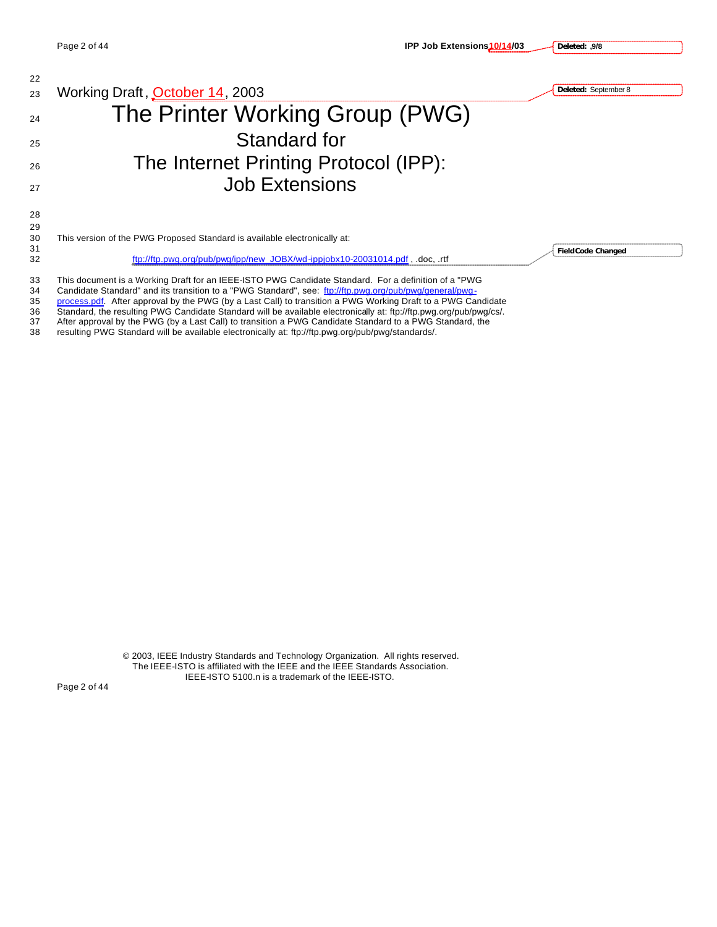

34 Candidate Standard" and its transition to a "PWG Standard", see: ftp://ftp.pwg.org/pub/pwg/general/pwg-

35 process.pdf. After approval by the PWG (by a Last Call) to transition a PWG Working Draft to a PWG Candidate

36 Standard, the resulting PWG Candidate Standard will be available electronically at: ftp://ftp.pwg.org/pub/pwg/cs/.<br>37 After approval by the PWG (by a Last Call) to transition a PWG Candidate Standard to a PWG Standard, After approval by the PWG (by a Last Call) to transition a PWG Candidate Standard to a PWG Standard, the

38 resulting PWG Standard will be available electronically at: ftp://ftp.pwg.org/pub/pwg/standards/.

© 2003, IEEE Industry Standards and Technology Organization. All rights reserved. The IEEE-ISTO is affiliated with the IEEE and the IEEE Standards Association. IEEE-ISTO 5100.n is a trademark of the IEEE-ISTO.

Page 2 of 44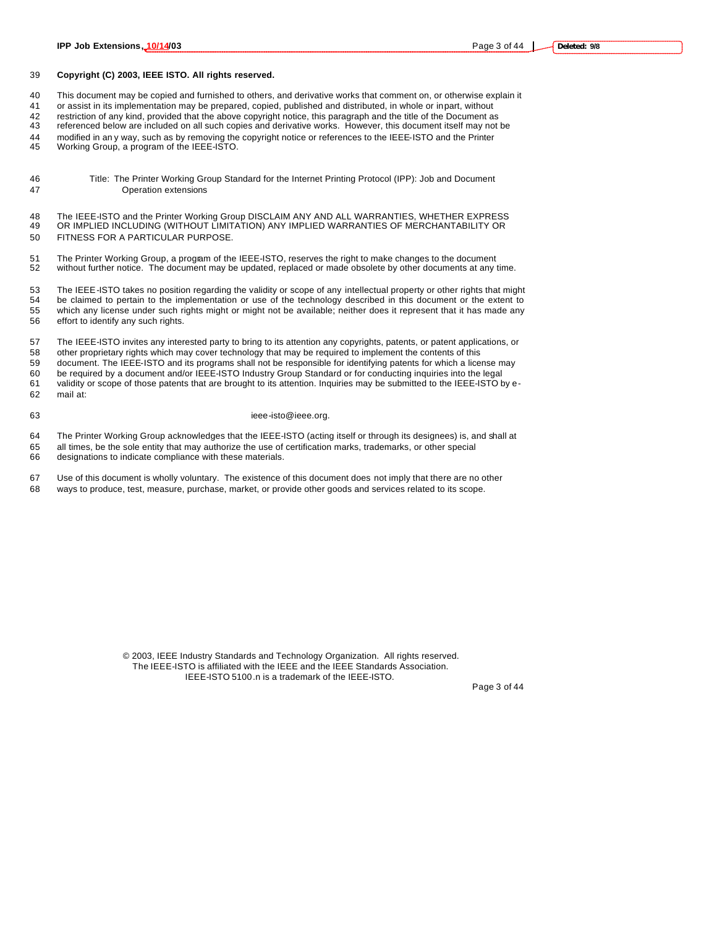#### **Copyright (C) 2003, IEEE ISTO. All rights reserved.**

This document may be copied and furnished to others, and derivative works that comment on, or otherwise explain it

or assist in its implementation may be prepared, copied, published and distributed, in whole or in part, without

restriction of any kind, provided that the above copyright notice, this paragraph and the title of the Document as

referenced below are included on all such copies and derivative works. However, this document itself may not be

modified in an y way, such as by removing the copyright notice or references to the IEEE-ISTO and the Printer

Working Group, a program of the IEEE-ISTO.

- Title: The Printer Working Group Standard for the Internet Printing Protocol (IPP): Job and Document Operation extensions
- 48 The IEEE-ISTO and the Printer Working Group DISCLAIM ANY AND ALL WARRANTIES, WHETHER EXPRESS<br>49 OR IMPLIED INCLUDING (WITHOUT LIMITATION) ANY IMPLIED WARRANTIES OF MERCHANTABILITY OR OR IMPLIED INCLUDING (WITHOUT LIMITATION) ANY IMPLIED WARRANTIES OF MERCHANTABILITY OR FITNESS FOR A PARTICULAR PURPOSE.
- 51 The Printer Working Group, a program of the IEEE-ISTO, reserves the right to make changes to the document<br>52 without further notice. The document may be updated, replaced or made obsolete by other documents at any t without further notice. The document may be updated, replaced or made obsolete by other documents at any time.

 The IEEE-ISTO takes no position regarding the validity or scope of any intellectual property or other rights that might be claimed to pertain to the implementation or use of the technology described in this document or the extent to which any license under such rights might or might not be available; neither does it represent that it has made any effort to identify any such rights.

 The IEEE-ISTO invites any interested party to bring to its attention any copyrights, patents, or patent applications, or other proprietary rights which may cover technology that may be required to implement the contents of this

 document. The IEEE-ISTO and its programs shall not be responsible for identifying patents for which a license may be required by a document and/or IEEE-ISTO Industry Group Standard or for conducting inquiries into the legal validity or scope of those patents that are brought to its attention. Inquiries may be submitted to the IEEE-ISTO by e-mail at:

#### 63 ieee-isto@ieee.org.

The Printer Working Group acknowledges that the IEEE-ISTO (acting itself or through its designees) is, and shall at

 all times, be the sole entity that may authorize the use of certification marks, trademarks, or other special designations to indicate compliance with these materials.

Use of this document is wholly voluntary. The existence of this document does not imply that there are no other

ways to produce, test, measure, purchase, market, or provide other goods and services related to its scope.

© 2003, IEEE Industry Standards and Technology Organization. All rights reserved. The IEEE-ISTO is affiliated with the IEEE and the IEEE Standards Association. IEEE-ISTO 5100.n is a trademark of the IEEE-ISTO.

Page 3 of 44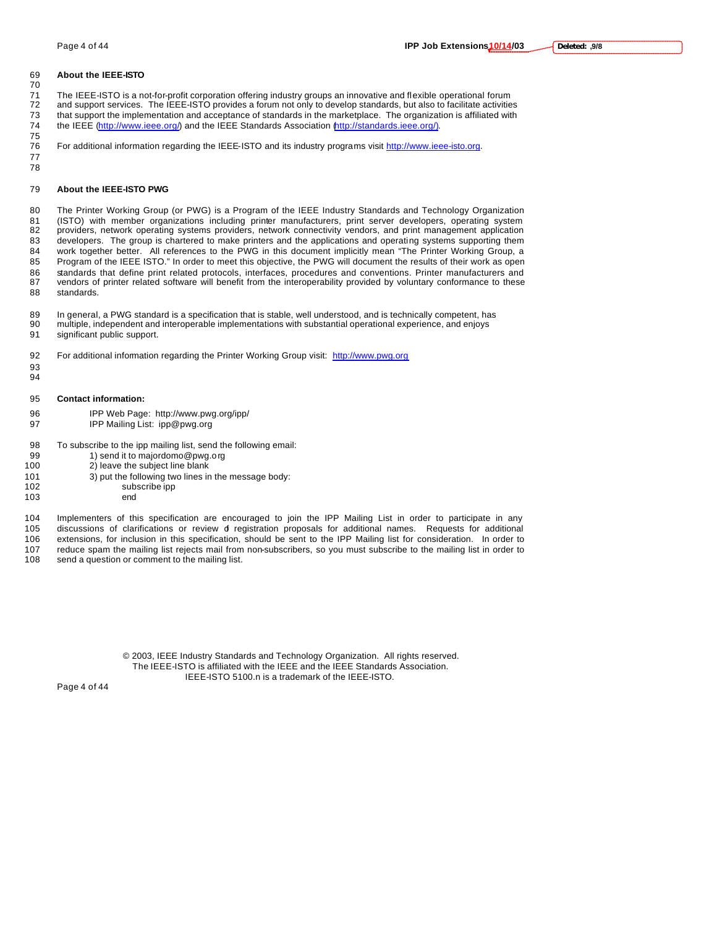#### **Deleted: ,9/8**

#### **About the IEEE-ISTO**

71 The IEEE-ISTO is a not-for-profit corporation offering industry groups an innovative and flexible operational forum<br>72 and support services. The IEEE-ISTO provides a forum not only to develop standards, but also to faci and support services. The IEEE-ISTO provides a forum not only to develop standards, but also to facilitate activities

- that support the implementation and acceptance of standards in the marketplace. The organization is affiliated with the IEEE (http://www.ieee.org/) and the IEEE Standards Association (http://standards.ieee.org/).
- For additional information regarding the IEEE-ISTO and its industry programs visit http://www.ieee-isto.org.
- 

 

#### **About the IEEE-ISTO PWG**

 The Printer Working Group (or PWG) is a Program of the IEEE Industry Standards and Technology Organization (ISTO) with member organizations including printer manufacturers, print server developers, operating system providers, network operating systems providers, network connectivity vendors, and print management application developers. The group is chartered to make printers and the applications and operating systems supporting them work together better. All references to the PWG in this document implicitly mean "The Printer Working Group, a Program of the IEEE ISTO." In order to meet this objective, the PWG will document the results of their work as open standards that define print related protocols, interfaces, procedures and conventions. Printer manufacturers and vendors of printer related software will benefit from the interoperability provided by voluntary conformance to these standards.

 In general, a PWG standard is a specification that is stable, well understood, and is technically competent, has multiple, independent and interoperable implementations with substantial operational experience, and enjoys significant public support.

For additional information regarding the Printer Working Group visit: http://www.pwg.org

- **Contact information:**
- IPP Web Page: http://www.pwg.org/ipp/
- IPP Mailing List: ipp@pwg.org

To subscribe to the ipp mailing list, send the following email:

- 99 1) send it to majordomo@pwg.org
- 2) leave the subject line blank
- 3) put the following two lines in the message body: subscribe ipp
	-
- end

 Implementers of this specification are encouraged to join the IPP Mailing List in order to participate in any discussions of clarifications or review of registration proposals for additional names. Requests for additional extensions, for inclusion in this specification, should be sent to the IPP Mailing list for consideration. In order to 107 reduce spam the mailing list rejects mail from non-subscribers, so you must subscribe to the mailing list in order to 108 send a question or comment to the mailing list in order to

send a question or comment to the mailing list.

© 2003, IEEE Industry Standards and Technology Organization. All rights reserved. The IEEE-ISTO is affiliated with the IEEE and the IEEE Standards Association. IEEE-ISTO 5100.n is a trademark of the IEEE-ISTO.

Page 4 of 44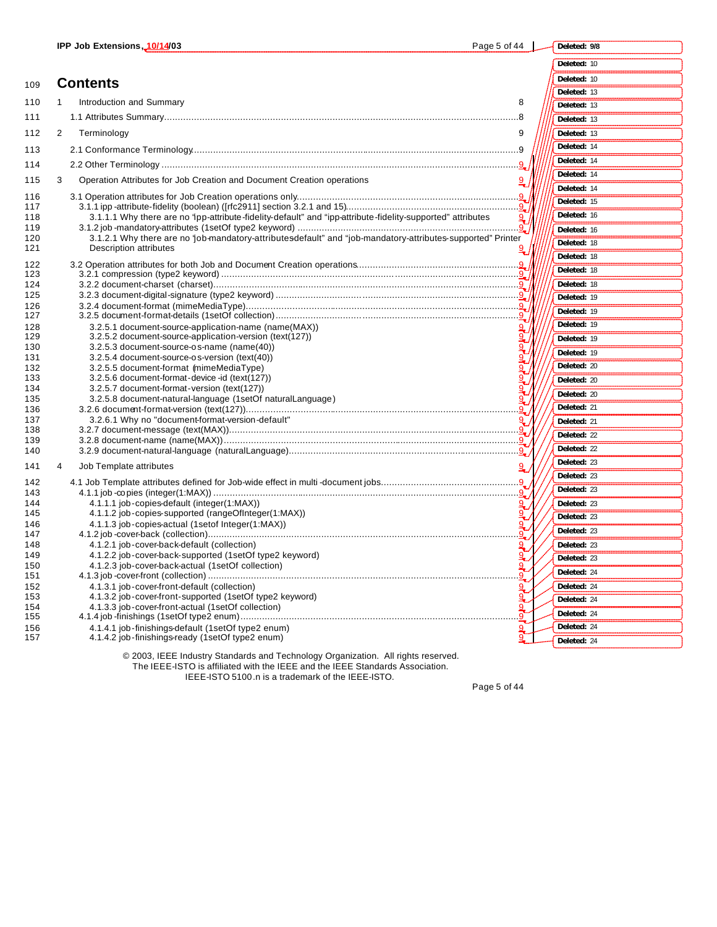| ge 5 of | eleted: 9/8 |  |
|---------|-------------|--|
|         | eted: 10    |  |

| 109        | <b>Contents</b>                                                                                                                       | Deleted: 10 |
|------------|---------------------------------------------------------------------------------------------------------------------------------------|-------------|
|            |                                                                                                                                       | Deleted: 13 |
| 110        | Introduction and Summary<br>8<br>1                                                                                                    | Deleted: 13 |
| 111        |                                                                                                                                       | Deleted: 13 |
| 112        | $\overline{2}$<br>Terminology<br>9                                                                                                    | Deleted: 13 |
| 113        |                                                                                                                                       | Deleted: 14 |
| 114        |                                                                                                                                       | Deleted: 14 |
| 115        | 3<br>Operation Attributes for Job Creation and Document Creation operations                                                           | Deleted: 14 |
|            |                                                                                                                                       | Deleted: 14 |
| 116<br>117 |                                                                                                                                       | Deleted: 15 |
| 118        | 3.1.1.1 Why there are no 'ipp-attribute-fidelity-default" and "ipp-attribute-fidelity-supported" attributes                           | Deleted: 16 |
| 119        |                                                                                                                                       | Deleted: 16 |
| 120<br>121 | 3.1.2.1 Why there are no 'job-mandatory-attributesdefault" and "job-mandatory-attributes-supported" Printer<br>Description attributes | Deleted: 18 |
|            |                                                                                                                                       | Deleted: 18 |
| 122<br>123 |                                                                                                                                       | Deleted: 18 |
| 124        |                                                                                                                                       | Deleted: 18 |
| 125        |                                                                                                                                       | Deleted: 19 |
| 126<br>127 |                                                                                                                                       | Deleted: 19 |
| 128        | 3.2.5.1 document-source-application-name (name(MAX))                                                                                  | Deleted: 19 |
| 129        | 3.2.5.2 document-source-application-version (text(127))                                                                               | Deleted: 19 |
| 130        | 3.2.5.3 document-source-os-name (name(40))                                                                                            | Deleted: 19 |
| 131<br>132 | 3.2.5.4 document-source-os-version (text(40))<br>3.2.5.5 document-format (mimeMediaType)                                              | Deleted: 20 |
| 133        | 3.2.5.6 document-format-device-id (text(127))                                                                                         | Deleted: 20 |
| 134        | 3.2.5.7 document-format-version (text(127))                                                                                           | Deleted: 20 |
| 135<br>136 | 3.2.5.8 document-natural-language (1setOf naturalLanguage)                                                                            | Deleted: 21 |
| 137        | 3.2.6.1 Why no "document-format-version-default"<br>$\mathbf{Q}$                                                                      | Deleted: 21 |
| 138        |                                                                                                                                       | Deleted: 22 |
| 139<br>140 |                                                                                                                                       | Deleted: 22 |
|            |                                                                                                                                       | Deleted: 23 |
| 141        | Job Template attributes<br>9<br>4                                                                                                     | Deleted: 23 |
| 142        |                                                                                                                                       | Deleted: 23 |
| 143<br>144 | 4.1.1.1 iob-copies-default (integer(1:MAX))<br>رچ                                                                                     | Deleted: 23 |
| 145        | 4.1.1.2 job-copies-supported (rangeOfInteger(1:MAX))                                                                                  | Deleted: 23 |
| 146        | 4.1.1.3 job-copies-actual (1setof Integer(1:MAX))                                                                                     | Deleted: 23 |
| 147<br>148 | 4.1.2.1 job-cover-back-default (collection)                                                                                           | Deleted: 23 |
| 149        | 4.1.2.2 job-cover-back-supported (1setOf type2 keyword)                                                                               | Deleted: 23 |
| 150        | 4.1.2.3 job-cover-back-actual (1setOf collection)                                                                                     | Deleted: 24 |
| 151        |                                                                                                                                       | Deleted: 24 |
| 152<br>153 | 4.1.3.1 job-cover-front-default (collection)<br>۹.<br>4.1.3.2 job-cover-front-supported (1setOf type2 keyword)                        |             |
| 154        | 4.1.3.3 job-cover-front-actual (1setOf collection)                                                                                    | Deleted: 24 |
| 155        |                                                                                                                                       | Deleted: 24 |
| 156<br>157 | 4.1.4.1 job-finishings-default (1setOf type2 enum)<br>4.1.4.2 job-finishings-ready (1setOf type2 enum)                                | Deleted: 24 |
|            | $\odot$ 0000 IFFEII $\cdots$ $\odot$ iii $\cdots$ $\cdots$ $\cdots$ $\cdots$ $\cdots$ $\cdots$ iii                                    | Deleted: 24 |

© 2003, IEEE Industry Standards and Technology Organization. All rights reserved. The IEEE-ISTO is affiliated with the IEEE and the IEEE Standards Association. IEEE-ISTO 5100.n is a trademark of the IEEE-ISTO.

Page 5 of 44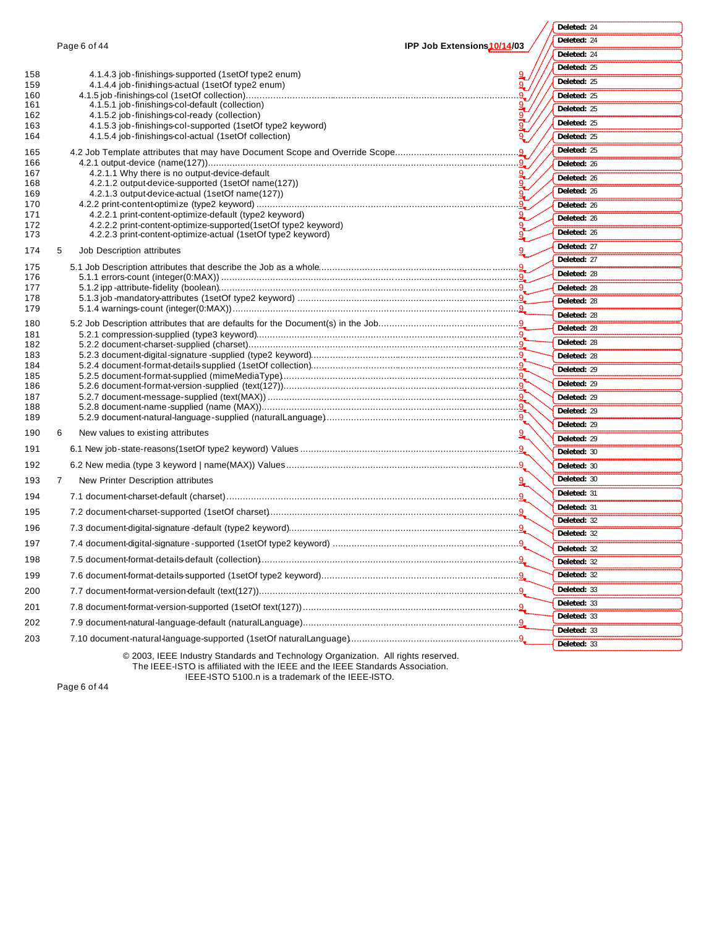Page 6 of 44 **IPP Job Extensions10/14/03** © 2003, IEEE Industry Standards and Technology Organization. All rights reserved. 158 4.1.4.3 job-finishings-supported (1setOf type2 enum) 9 159 4.1.4.4 job-finishings-actual (1setOf type2 enum) 9. The state of the state of the state of the state of the state of the state of the state of the state of the state of the state of the state of the state of the state 160 4.1.5 job -finishings-col (1setOf collection).......... 161 4.1.5.1 job-finishings-col-default (collection) 9 162 4.1.5.2 job-finishings-col-ready (collection) 9 163 4.1.5.3 job-finishings-col-supported (1setOf type2 keyword) 9 164 4.1.5.4 job-finishings-col-actual (1setOf collection) 9 165 4.2 Job Template attributes that may have Document Scope and Override Scope........... 166 4.2.1 output-device (name(127))...................................................................................................................9 167 4.2.1.1 Why there is no output-device-default 168 4.2.1.2 output-device-supported (1setOf name(127)) 169 4.2.1.3 output-device-actual (1setOf name(127)) 9 170 4.2.2 print-content-optimize (type2 keyword) ............................... 171 4.2.2.1 print-content-optimize-default (type2 keyword) 9 172 4.2.2.2 print-content-optimize-supported(1setOf type2 keyword) 9 173 4.2.2.3 print-content-optimize-actual (1setOf type2 keyword) 9 174 5 Job Description attributes 175 5.1 Job Description attributes that describe the Job as a whole..........................................................................9 176 5.1.1 errors-count (integer(0:MAX)) ..............................................................................................................9 177 5.1.2 ipp -attribute-fidelity (boolean)...............................................................................................................9 178 5.1.3 job -mandatory-attributes (1setOf type2 keyword) ..................................................................................9 179 5.1.4 warnings-count (integer(0:MAX))..........................................................................................................9 180 5.2 Job Description attributes that are defaults for the Document(s) in the Job....................................................9 181 5.2.1 compression-supplied (type3 keyword).................................................................................................9 182 5.2.2 document-charset-supplied (charset)....................................................................................................9 183 5.2.3 document-digital-signature -supplied (type2 keyword).............................................................................9 184 5.2.4 document-format-details-supplied (1setOf collection).............................................................................9 185 5.2.5 document-format-supplied (mimeMediaType)........................................................................................9 186 5.2.6 document-format-version-supplied (text(127)).......................................................................................9 187 5.2.7 document-message-supplied (text(MAX)) .............................................................................................9 188 5.2.8 document-name-supplied (name (MAX))...............................................................................................9 189 5.2.9 document-natural-language-supplied (naturalLanguage)........................................................................9 190 6 New values to existing attributes 191 6.1 New job-state-reasons(1setOf type2 keyword) Values .................................................................................9 192 6.2 New media (type 3 keyword | name(MAX)) Values......................................................................................9 193 7 New Printer Description attributes 194 7.1 document-charset-default (charset)............................................................................................................9 195 7.2 document-charset-supported (1setOf charset).............................................................................................9 196 7.3 document-digital-signature -default (type2 keyword).....................................................................................9 197 7.4 document-digital-signature -supported (1setOf type2 keyword) .....................................................................9 198 7.5 document-format-details-default (collection)................................................................................................9 199 7.6 document-format-details-supported (1setOf type2 keyword).........................................................................9 200 7.7 document-format-version-default (text(127))................................................................................................9 201 7.8 document-format-version-supported (1setOf text(127))................................................................................9 202 7.9 document-natural-language-default (naturalLanguage)................................................................................9 203 7.10 document-natural-language-supported (1setOf naturalLanguage)...............................................................9 **Deleted:** 24 **Deleted:** 24 **Deleted:** 24 **Deleted:** 25 **Deleted:** 25 **Deleted:** 25 **Deleted:** 25 **Deleted:** 25 **Deleted:** 25 **Deleted:** 25 **Deleted:** 26 **Deleted:** 26 **Deleted:** 26 **Deleted:** 26 **Deleted:** 26 **Deleted:** 26 **Deleted:** 27 **Deleted:** 27 **Deleted:** 28 **Deleted:** 28 **Deleted:** 28 **Deleted:** 28 **Deleted:** 28 **Deleted:** 28 **Deleted:** 28 **Deleted:** 29 **Deleted:** 29 **Deleted:** 29 **Deleted:** 29 **Deleted:** 29 **Deleted:** 29 **Deleted:** 30 **Deleted:** 30 **Deleted:** 30 **Deleted:** 31 **Deleted:** 31 **Deleted:** 32 **Deleted:** 32 **Deleted:** 32 **Deleted:** 32 **Deleted:** 32 **Deleted:** 33 **Deleted:** 33 **Deleted:** 33 **Deleted:** 33 **Deleted:** 33

The IEEE-ISTO is affiliated with the IEEE and the IEEE Standards Association.

Page 6 of 44

IEEE-ISTO 5100.n is a trademark of the IEEE-ISTO.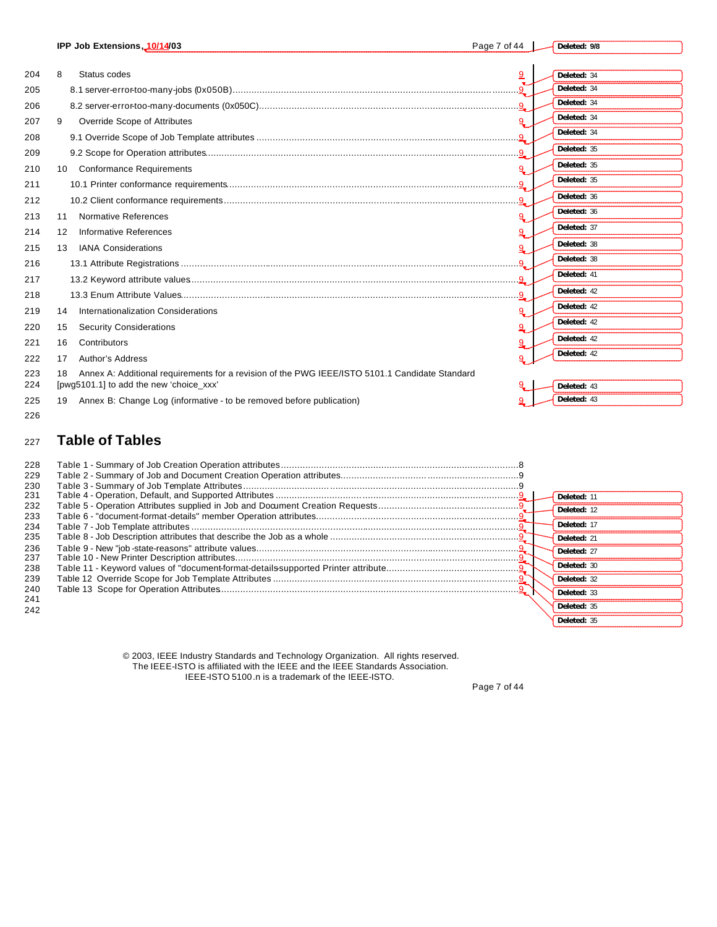|     | IPP Job Extensions, 10/14/03              |                                                                                                | Page 7 of 44 | Deleted: 9/8 |
|-----|-------------------------------------------|------------------------------------------------------------------------------------------------|--------------|--------------|
|     |                                           |                                                                                                |              |              |
| 204 | 8<br>Status codes                         |                                                                                                | 9            | Deleted: 34  |
| 205 |                                           |                                                                                                |              | Deleted: 34  |
| 206 |                                           |                                                                                                |              | Deleted: 34  |
| 207 | Override Scope of Attributes<br>9         |                                                                                                | 9            | Deleted: 34  |
| 208 |                                           |                                                                                                |              | Deleted: 34  |
| 209 |                                           |                                                                                                | <u>g</u>     | Deleted: 35  |
| 210 | 10 Conformance Requirements               |                                                                                                | q            | Deleted: 35  |
| 211 |                                           |                                                                                                |              | Deleted: 35  |
| 212 |                                           |                                                                                                |              | Deleted: 36  |
| 213 | Normative References<br>11                |                                                                                                |              | Deleted: 36  |
| 214 | Informative References<br>12              |                                                                                                | 9.           | Deleted: 37  |
| 215 | <b>IANA Considerations</b><br>13          |                                                                                                |              | Deleted: 38  |
| 216 |                                           |                                                                                                |              | Deleted: 38  |
| 217 |                                           |                                                                                                |              | Deleted: 41  |
| 218 |                                           |                                                                                                |              | Deleted: 42  |
| 219 | Internationalization Considerations<br>14 |                                                                                                |              | Deleted: 42  |
| 220 | <b>Security Considerations</b><br>15      |                                                                                                | 9            | Deleted: 42  |
| 221 | Contributors<br>16                        |                                                                                                |              | Deleted: 42  |
| 222 | Author's Address<br>17                    |                                                                                                |              | Deleted: 42  |
| 223 | 18                                        | Annex A: Additional requirements for a revision of the PWG IEEE/ISTO 5101.1 Candidate Standard |              |              |
| 224 | [pwg5101.1] to add the new 'choice_xxx'   |                                                                                                |              | Deleted: 43  |
| 225 | 19                                        | Annex B: Change Log (informative - to be removed before publication)                           |              | Deleted: 43  |
| 226 |                                           |                                                                                                |              |              |

## <sup>227</sup> **Table of Tables**

| 228 |  |             |
|-----|--|-------------|
| 229 |  |             |
| 230 |  |             |
| 231 |  | Deleted: 11 |
| 232 |  | Deleted: 12 |
| 233 |  |             |
| 234 |  | Deleted: 17 |
| 235 |  | Deleted: 21 |
| 236 |  | Deleted: 27 |
| 237 |  |             |
| 238 |  | Deleted: 30 |
| 239 |  | Deleted: 32 |
| 240 |  | Deleted: 33 |
| 241 |  |             |
| 242 |  | Deleted: 35 |
|     |  | Deleted: 35 |

© 2003, IEEE Industry Standards and Technology Organization. All rights reserved. The IEEE-ISTO is affiliated with the IEEE and the IEEE Standards Association. IEEE-ISTO 5100.n is a trademark of the IEEE-ISTO.

Page 7 of 44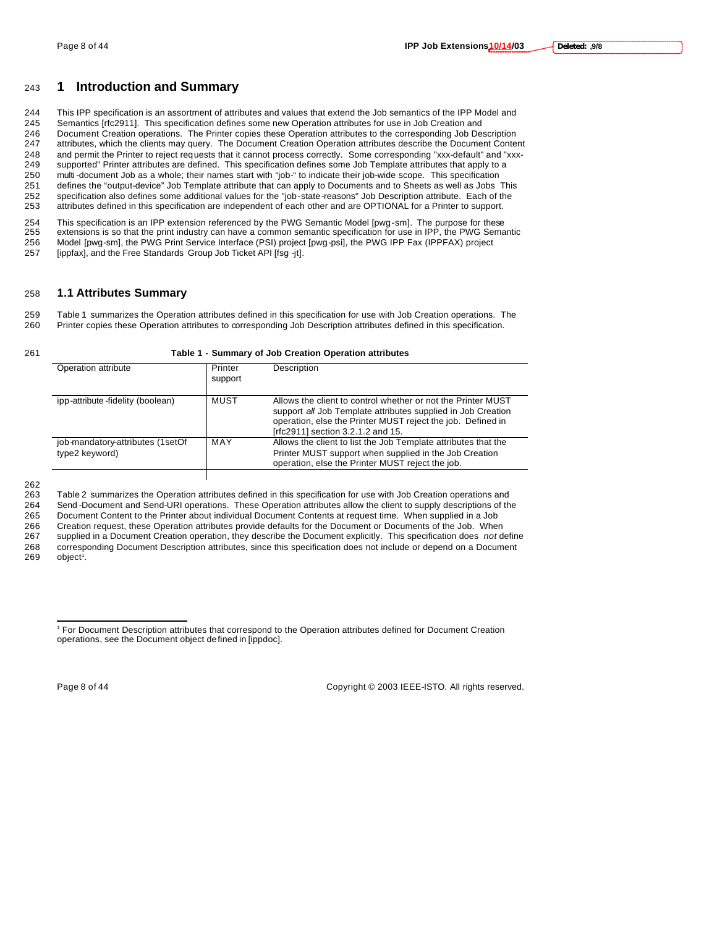### <sup>243</sup> **1 Introduction and Summary**

 This IPP specification is an assortment of attributes and values that extend the Job semantics of the IPP Model and Semantics [rfc2911]. This specification defines some new Operation attributes for use in Job Creation and Document Creation operations. The Printer copies these Operation attributes to the corresponding Job Description attributes, which the clients may query. The Document Creation Operation attributes describe the Document Content and permit the Printer to reject requests that it cannot process correctly. Some corresponding "xxx-default" and "xxx- supported" Printer attributes are defined. This specification defines some Job Template attributes that apply to a 250 multi-document Job as a whole; their names start with "job-" to indicate their job-wide scope. This specification<br>251 defines the "output-device" Job Template attribute that can apply to Documents and to Sheets as well defines the "output-device" Job Template attribute that can apply to Documents and to Sheets as well as Jobs This specification also defines some additional values for the "job-state-reasons" Job Description attribute. Each of the attributes defined in this specification are independent of each other and are OPTIONAL for a Printer to support.

254 This specification is an IPP extension referenced by the PWG Semantic Model [pwg-sm]. The purpose for these<br>255 extensions is so that the print industry can have a common semantic specification for use in IPP, the PWG extensions is so that the print industry can have a common semantic specification for use in IPP, the PWG Semantic 256 Model [pwg-sm], the PWG Print Service Interface (PSI) project [pwg-psi], the PWG IPP Fax (IPPFAX) project 257 [ippfax], and the Free Standards Group Job Ticket API [fsg -jt].

#### 258 **1.1 Attributes Summary**

259 Table 1 summarizes the Operation attributes defined in this specification for use with Job Creation operations. The 260 Printer copies these Operation attributes to corresponding Job Description attributes defined in this specification.

|  | Table 1 - Summary of Job Creation Operation attributes |
|--|--------------------------------------------------------|
|  |                                                        |

| Operation attribute                                | Printer<br>support | Description                                                                                                                                                                                                                      |
|----------------------------------------------------|--------------------|----------------------------------------------------------------------------------------------------------------------------------------------------------------------------------------------------------------------------------|
| ipp-attribute-fidelity (boolean)                   | MUST               | Allows the client to control whether or not the Printer MUST<br>support all Job Template attributes supplied in Job Creation<br>operation, else the Printer MUST reject the job. Defined in<br>[rfc2911] section 3.2.1.2 and 15. |
| job-mandatory-attributes (1setOf<br>type2 keyword) | MAY                | Allows the client to list the Job Template attributes that the<br>Printer MUST support when supplied in the Job Creation<br>operation, else the Printer MUST reject the job.                                                     |
|                                                    |                    |                                                                                                                                                                                                                                  |

262<br>263

Table 2 summarizes the Operation attributes defined in this specification for use with Job Creation operations and 264 Send -Document and Send-URI operations. These Operation attributes allow the client to supply descriptions of the 265 Document Content to the Printer about individual Document Contents at request time. When supplied in a Job

266 Creation request, these Operation attributes provide defaults for the Document or Documents of the Job. When

267 supplied in a Document Creation operation, they describe the Document explicitly. This specification does *not* define 268 corresponding Document Description attributes, since this specification does not include or depend on a Document<br>269 object<sup>1</sup>.  $object<sup>1</sup>$ .

 $\overline{a}$ 

Page 8 of 44 Copyright © 2003 IEEE-ISTO. All rights reserved.

<sup>1</sup> For Document Description attributes that correspond to the Operation attributes defined for Document Creation operations, see the Document object defined in [ippdoc].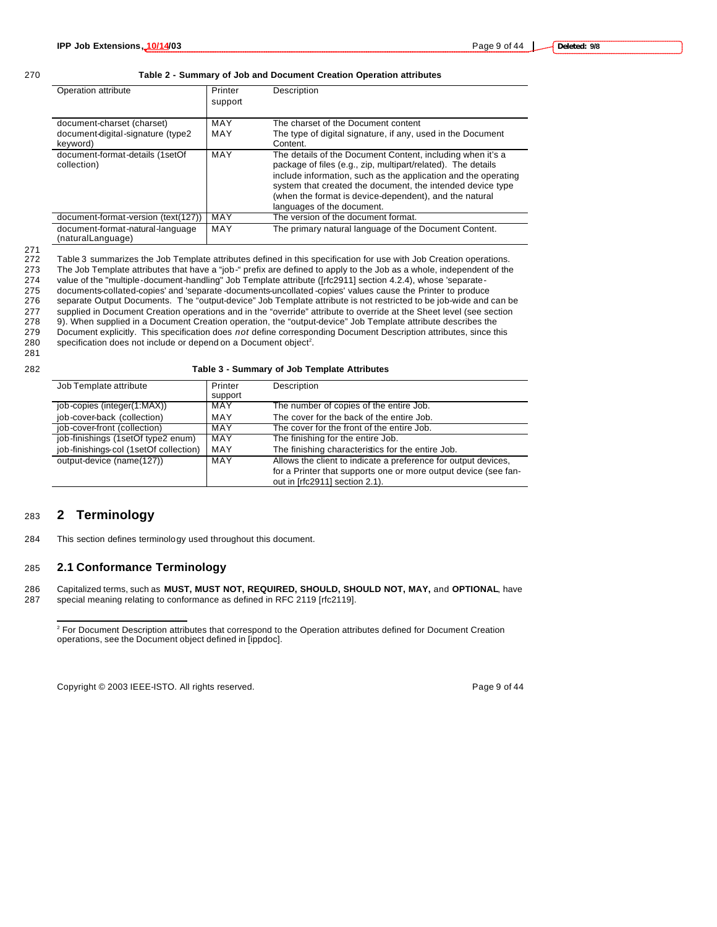#### 270 **Table 2 - Summary of Job and Document Creation Operation attributes**

| Operation attribute                                   | Printer<br>support | Description                                                                                                                                                                                                                                                                                                                                        |
|-------------------------------------------------------|--------------------|----------------------------------------------------------------------------------------------------------------------------------------------------------------------------------------------------------------------------------------------------------------------------------------------------------------------------------------------------|
| document-charset (charset)                            | MAY                | The charset of the Document content                                                                                                                                                                                                                                                                                                                |
| document-digital-signature (type2<br>keyword)         | MAY                | The type of digital signature, if any, used in the Document<br>Content.                                                                                                                                                                                                                                                                            |
| document-format-details (1setOf<br>collection)        | MAY                | The details of the Document Content, including when it's a<br>package of files (e.g., zip, multipart/related). The details<br>include information, such as the application and the operating<br>system that created the document, the intended device type<br>(when the format is device-dependent), and the natural<br>languages of the document. |
| document-format-version (text(127))                   | MAY                | The version of the document format.                                                                                                                                                                                                                                                                                                                |
| document-format-natural-language<br>(naturalLanguage) | MAY                | The primary natural language of the Document Content.                                                                                                                                                                                                                                                                                              |

<sup>271</sup>

Table 3 summarizes the Job Template attributes defined in this specification for use with Job Creation operations. 273 The Job Template attributes that have a "job-" prefix are defined to apply to the Job as a whole, independent of the

274 value of the "multiple-document-handling" Job Template attribute ([rfc2911] section 4.2.4), whose 'separate-

275 documents-collated-copies' and 'separate -documents-uncollated -copies' values cause the Printer to produce<br>276 separate Output Documents. The "output-device" Job Template attribute is not restricted to be job-wide and separate Output Documents. The "output-device" Job Template attribute is not restricted to be job-wide and can be

277 supplied in Document Creation operations and in the "override" attribute to override at the Sheet level (see section<br>278 9). When supplied in a Document Creation operation, the "output-device" Job Template attribute de 9). When supplied in a Document Creation operation, the "output-device" Job Template attribute describes the

279 Document explicitly. This specification does *not* define corresponding Document Description attributes, since this 280 specification does not include or depend on a Document object<sup>2</sup>.

281

| Job Template attribute                 | Printer | Description                                                     |
|----------------------------------------|---------|-----------------------------------------------------------------|
|                                        | support |                                                                 |
| job-copies (integer(1:MAX))            | MAY     | The number of copies of the entire Job.                         |
| job-cover-back (collection)            | MAY     | The cover for the back of the entire Job.                       |
| job-cover-front (collection)           | MAY     | The cover for the front of the entire Job.                      |
| job-finishings (1setOf type2 enum)     | MAY     | The finishing for the entire Job.                               |
| job-finishings-col (1setOf collection) | MAY     | The finishing characteristics for the entire Job.               |
| output-device (name(127))              | MAY     | Allows the client to indicate a preference for output devices,  |
|                                        |         | for a Printer that supports one or more output device (see fan- |
|                                        |         | out in [rfc2911] section 2.1).                                  |

### <sup>283</sup> **2 Terminology**

 $\overline{a}$ 

284 This section defines terminology used throughout this document.

#### 285 **2.1 Conformance Terminology**

286 Capitalized terms, such as **MUST, MUST NOT, REQUIRED, SHOULD, SHOULD NOT, MAY,** and **OPTIONAL**, have 287 special meaning relating to conformance as defined in RFC 2119 [rfc2119].

Copyright © 2003 IEEE-ISTO. All rights reserved. Page 9 of 44

<sup>&</sup>lt;sup>2</sup> For Document Description attributes that correspond to the Operation attributes defined for Document Creation operations, see the Document object defined in [ippdoc].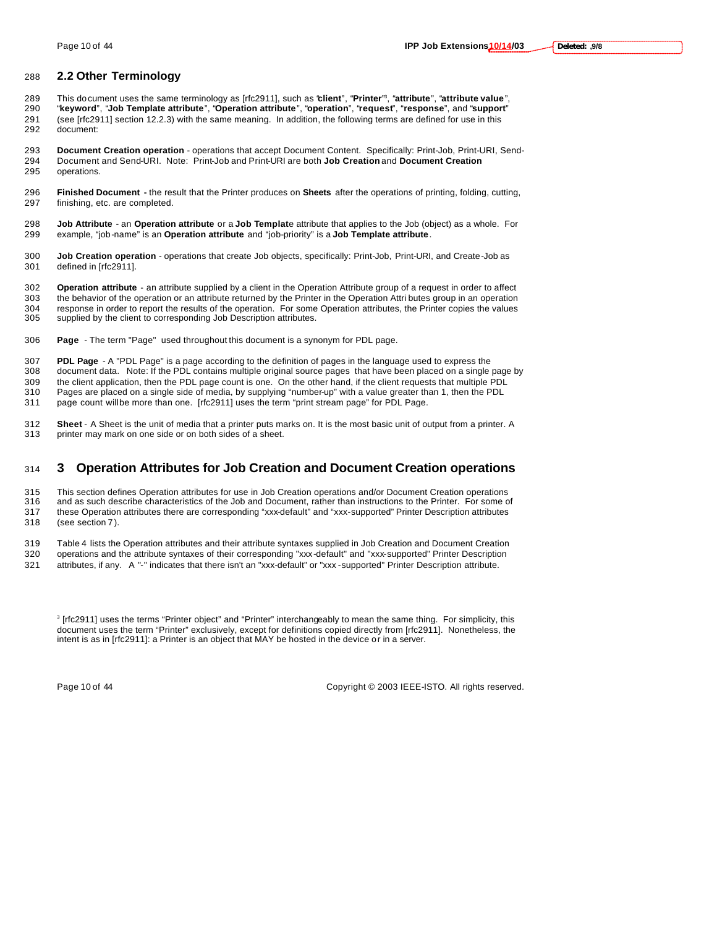### **2.2 Other Terminology**

- This document uses the same terminology as [rfc2911], such as "**client**", "**Printer**" <sup>3</sup> , "**attribute**", "**attribute value**", "**keyword**", "**Job Template attribute**", "**Operation attribute**", "**operation**", "**request**", "**response**", and "**support**" (see [rfc2911] section 12.2.3) with the same meaning. In addition, the following terms are defined for use in this document:
- **Document Creation operation**  operations that accept Document Content. Specifically: Print-Job, Print-URI, Send- Document and Send-URI. Note: Print-Job and Print-URI are both **Job Creation** and **Document Creation** operations.
- **Finished Document -** the result that the Printer produces on **Sheets** after the operations of printing, folding, cutting, finishing, etc. are completed.
- **Job Attribute** an **Operation attribute** or a **Job Templat**e attribute that applies to the Job (object) as a whole. For example, "job-name" is an **Operation attribute** and "job-priority" is a **Job Template attribute**.
- **Job Creation operation** operations that create Job objects, specifically: Print-Job, Print-URI, and Create-Job as defined in [rfc2911].
- **Operation attribute** an attribute supplied by a client in the Operation Attribute group of a request in order to affect the behavior of the operation or an attribute returned by the Printer in the Operation Attri butes group in an operation response in order to report the results of the operation. For some Operation attributes, the Printer copies the values supplied by the client to corresponding Job Description attributes.
- **Page**  The term "Page" used throughout this document is a synonym for PDL page.
- **PDL Page** A "PDL Page" is a page according to the definition of pages in the language used to express the document data. Note: If the PDL contains multiple original source pages that have been placed on a single page by 309 the client application, then the PDL page count is one. On the other hand, if the client requests that multiple PDL<br>310 Pages are placed on a single side of media, by supplying "number-up" with a value greater than 1, Pages are placed on a single side of media, by supplying "number-up" with a value greater than 1, then the PDL
- 311 page count will be more than one. [rfc2911] uses the term "print stream page" for PDL Page.
- **Sheet** A Sheet is the unit of media that a printer puts marks on. It is the most basic unit of output from a printer. A printer may mark on one side or on both sides of a sheet.

## **3 Operation Attributes for Job Creation and Document Creation operations**

 This section defines Operation attributes for use in Job Creation operations and/or Document Creation operations and as such describe characteristics of the Job and Document, rather than instructions to the Printer. For some of these Operation attributes there are corresponding "xxx-default" and "xxx-supported" Printer Description attributes (see section 7 ).

 Table 4 lists the Operation attributes and their attribute syntaxes supplied in Job Creation and Document Creation operations and the attribute syntaxes of their corresponding "xxx-default" and "xxx-supported" Printer Description

attributes, if any. A "-" indicates that there isn't an "xxx-default" or "xxx -supported" Printer Description attribute.

 [rfc2911] uses the terms "Printer object" and "Printer" interchangeably to mean the same thing. For simplicity, this document uses the term "Printer" exclusively, except for definitions copied directly from [rfc2911]. Nonetheless, the intent is as in [rfc2911]: a Printer is an object that MAY be hosted in the device or in a server.

Page 10 of 44 Copyright © 2003 IEEE-ISTO. All rights reserved.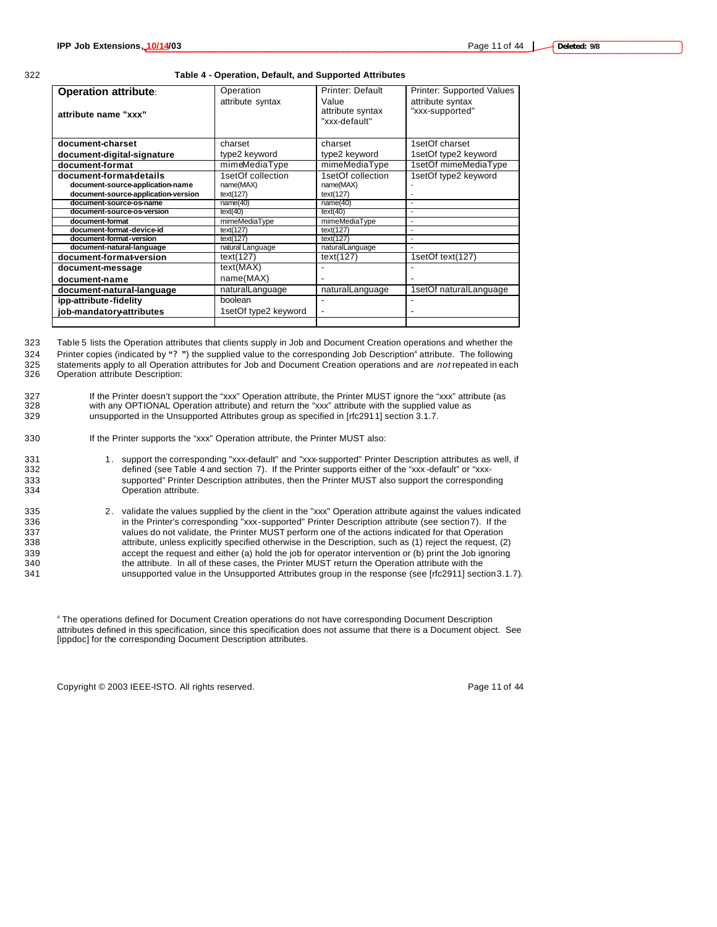#### 322 **Table 4 - Operation, Default, and Supported Attributes**

| <b>Operation attribute:</b><br>attribute name "xxx"                                                                                                                                                                                                                                                                                                              | Operation<br>attribute syntax                                                                                                                                                                | Printer: Default<br>Value<br>attribute syntax<br>"xxx-default"                                                                                                         | <b>Printer: Supported Values</b><br>attribute syntax<br>"xxx-supported"                                |
|------------------------------------------------------------------------------------------------------------------------------------------------------------------------------------------------------------------------------------------------------------------------------------------------------------------------------------------------------------------|----------------------------------------------------------------------------------------------------------------------------------------------------------------------------------------------|------------------------------------------------------------------------------------------------------------------------------------------------------------------------|--------------------------------------------------------------------------------------------------------|
| document-charset                                                                                                                                                                                                                                                                                                                                                 | charset                                                                                                                                                                                      | charset                                                                                                                                                                | 1setOf charset                                                                                         |
| document-digital-signature                                                                                                                                                                                                                                                                                                                                       | type2 keyword                                                                                                                                                                                | type2 keyword                                                                                                                                                          | 1setOf type2 keyword                                                                                   |
| document-format                                                                                                                                                                                                                                                                                                                                                  | mimeMediaType                                                                                                                                                                                | mimeMediaType                                                                                                                                                          | 1setOf mimeMediaType                                                                                   |
| document-format-details<br>document-source-application-name<br>document-source-application-version<br>document-source-os-name<br>document-source-os-version<br>document-format<br>document-format-device-id<br>document-format-version<br>document-natural-language<br>document-format-version<br>document-message<br>document-name<br>document-natural-language | 1setOf collection<br>name(MAX)<br>text(127)<br>name(40)<br>text(40)<br>mimeMediaType<br>text(127)<br>text(127)<br>natural Language<br>text(127)<br>text(MAX)<br>name(MAX)<br>naturalLanguage | 1setOf collection<br>name(MAX)<br>text(127)<br>name(40)<br>text(40)<br>mimeMediaType<br>text(127)<br>text(127)<br>naturalLanguage<br>text(127)<br>٠<br>naturalLanguage | 1setOf type2 keyword<br>$\overline{a}$<br>$\blacksquare$<br>1setOf text(127)<br>1setOf naturalLanguage |
| ipp-attribute-fidelity                                                                                                                                                                                                                                                                                                                                           | boolean<br>1setOf type2 keyword                                                                                                                                                              | $\overline{\phantom{a}}$                                                                                                                                               |                                                                                                        |
| job-mandatory-attributes                                                                                                                                                                                                                                                                                                                                         |                                                                                                                                                                                              |                                                                                                                                                                        |                                                                                                        |

323 Table 5 lists the Operation attributes that clients supply in Job and Document Creation operations and whether the Printer copies (indicated by **"? "**) the supplied value to the corresponding Job Description<sup>4</sup> 324 attribute. The following 325 statements apply to all Operation attributes for Job and Document Creation operations and are *not* repeated in each<br>326 Operation attribute Description:

Operation attribute Description:

327 If the Printer doesn't support the "xxx" Operation attribute, the Printer MUST ignore the "xxx" attribute (as 328 with any OPTIONAL Operation attribute) and return the "xxx" attribute with the supplied value as 329 unsupported in the Unsupported Attributes group as specified in [rfc2911] section 3.1.7.

#### 330 If the Printer supports the "xxx" Operation attribute, the Printer MUST also:

- 331 1. support the corresponding "xxx-default" and "xxx-supported" Printer Description attributes as well, if<br>332 defined (see Table 4 and section 7). If the Printer supports either of the "xxx-default" or "xxxdefined (see Table 4 and section 7). If the Printer supports either of the "xxx -default" or "xxx-333 supported" Printer Description attributes, then the Printer MUST also support the corresponding 334 Operation attribute.
- 335 2. validate the values supplied by the client in the "xxx" Operation attribute against the values indicated 336 in the Printer's corresponding "xxx-supported" Printer Description attribute (see section 7). If the 337 values do not validate, the Printer MUST perform one of the actions indicated for that Operation 338 attribute, unless explicitly specified otherwise in the Description, such as (1) reject the request, (2) 339 accept the request and either (a) hold the job for operator intervention or (b) print the Job ignoring<br>340 the attribute. In all of these cases, the Printer MUST return the Operation attribute with the the attribute. In all of these cases, the Printer MUST return the Operation attribute with the 341 unsupported value in the Unsupported Attributes group in the response (see [rfc2911] section 3.1.7).

4 The operations defined for Document Creation operations do not have corresponding Document Description attributes defined in this specification, since this specification does not assume that there is a Document object. See [ippdoc] for the corresponding Document Description attributes.

Copyright © 2003 IEEE-ISTO. All rights reserved. Page 11 of 44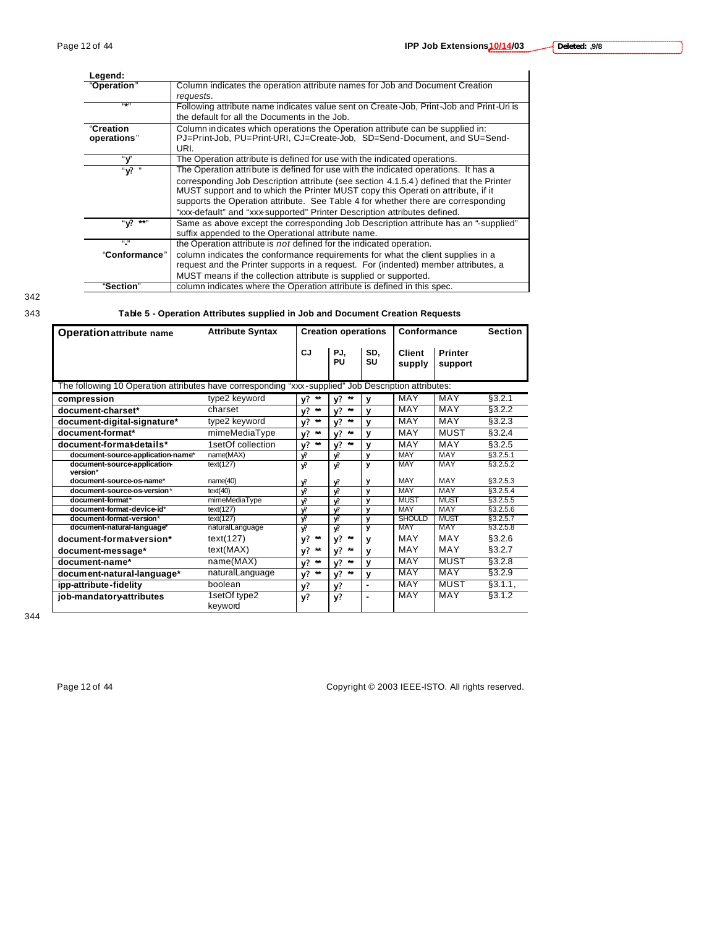| Legend:         |                                                                                         |
|-----------------|-----------------------------------------------------------------------------------------|
| "Operation"     | Column indicates the operation attribute names for Job and Document Creation            |
|                 | requests.                                                                               |
| (61.33)         | Following attribute name indicates value sent on Create-Job, Print-Job and Print-Uri is |
|                 | the default for all the Documents in the Job.                                           |
| "Creation       | Column indicates which operations the Operation attribute can be supplied in:           |
| operations"     | PJ=Print-Job, PU=Print-URI, CJ=Create-Job, SD=Send-Document, and SU=Send-               |
|                 | URI.                                                                                    |
| "ν"             | The Operation attribute is defined for use with the indicated operations.               |
| " የ "           | The Operation attribute is defined for use with the indicated operations. It has a      |
|                 | corresponding Job Description attribute (see section 4.1.5.4) defined that the Printer  |
|                 | MUST support and to which the Printer MUST copy this Operati on attribute, if it        |
|                 | supports the Operation attribute. See Table 4 for whether there are corresponding       |
|                 | "xxx-default" and "xxx-supported" Printer Description attributes defined.               |
| "V? **"         | Same as above except the corresponding Job Description attribute has an "-supplied"     |
|                 | suffix appended to the Operational attribute name.                                      |
| $\mathbf{u}$ is | the Operation attribute is not defined for the indicated operation.                     |
| "Conformance"   | column indicates the conformance requirements for what the client supplies in a         |
|                 | request and the Printer supports in a request. For (indented) member attributes, a      |
|                 | MUST means if the collection attribute is supplied or supported.                        |
| "Section"       | column indicates where the Operation attribute is defined in this spec.                 |

342

### 343 **Table 5 - Operation Attributes supplied in Job and Document Creation Requests**

| <b>Operation attribute name</b>                                                                     | <b>Attribute Syntax</b> | <b>Creation operations</b> |                    | Conformance             |                  | <b>Section</b>            |           |
|-----------------------------------------------------------------------------------------------------|-------------------------|----------------------------|--------------------|-------------------------|------------------|---------------------------|-----------|
|                                                                                                     |                         | CJ                         | PJ.<br>PU          | SD.<br>SU               | Client<br>supply | <b>Printer</b><br>support |           |
| The following 10 Operation attributes have corresponding "xxx-supplied" Job Description attributes: |                         |                            |                    |                         |                  |                           |           |
| compression                                                                                         | type2 keyword           | $*$<br>v?                  | $\star\star$<br>v? | $\mathbf{v}$            | MAY              | MAY                       | \$3.2.1   |
| document-charset*                                                                                   | charset                 | $\star\star$<br>v?         | $\star\star$<br>v? | v                       | MAY              | MAY                       | §3.2.2    |
| document-digital-signature*                                                                         | type2 keyword           | $\star\star$<br>v?         | $\star\star$<br>v? | $\mathbf{v}$            | MAY              | MAY                       | \$3.2.3   |
| document-format*                                                                                    | mimeMediaType           | $\star\star$<br>v?         | $\star\star$<br>v? | V                       | MAY              | <b>MUST</b>               | §3.2.4    |
| document-format-details*                                                                            | 1setOf collection       | $\star\star$<br>v?         | $\star\star$<br>v? | $\mathbf{v}$            | MAY              | MAY                       | \$3.2.5   |
| document-source-application-name*                                                                   | name(MAX)               | V.                         | V.                 | y                       | <b>MAY</b>       | <b>MAY</b>                | \$3.2.5.1 |
| document-source-application-<br>version*                                                            | text(127)               | v.                         | v.                 | y                       | <b>MAY</b>       | <b>MAY</b>                | §3.2.5.2  |
| document-source-os-name*                                                                            | name(40)                | v?                         | v?                 | у                       | MAY              | MAY                       | §3.2.5.3  |
| document-source-os-version*                                                                         | text(40)                | V.                         | v.                 | $\mathbf{y}$            | <b>MAY</b>       | MAY                       | \$3.2.5.4 |
| document-format*                                                                                    | mimeMediaType           | $\mathbf{v}$               | $\mathbf{v}$       | v                       | <b>MUST</b>      | <b>MUST</b>               | §3.2.5.5  |
| document-format-device-id*                                                                          | text(127)               | v?                         | v.                 | y                       | <b>MAY</b>       | <b>MAY</b>                | §3.2.5.6  |
| document-format-version*                                                                            | text(127)               | $\overline{\mathbf{v}}$    | v.                 | y                       | <b>SHOULD</b>    | <b>MUST</b>               | §3.2.5.7  |
| document-natural-language*                                                                          | naturalLanguage         | v.                         | V.                 | $\overline{\mathbf{v}}$ | MAY              | MAY                       | \$3.2.5.8 |
| document-format-version*                                                                            | text(127)               | $\star\star$<br>v?         | $\star\star$<br>v? | v                       | MAY              | MAY                       | §3.2.6    |
| document-message*                                                                                   | text(MAX)               | $\star\star$<br>v?         | $\star\star$<br>v? | ν                       | MAY              | MAY                       | §3.2.7    |
| document-name*                                                                                      | name(MAX)               | $\star\star$<br>v?         | $\star\star$<br>v? | $\mathbf{v}$            | <b>MAY</b>       | <b>MUST</b>               | \$3.2.8   |
| document-natural-language*                                                                          | naturalLanguage         | $\star\star$<br>v?         | $\star\star$<br>v? | y                       | <b>MAY</b>       | <b>MAY</b>                | \$3.2.9   |
| ipp-attribute-fidelity                                                                              | boolean                 | v?                         | v?                 | $\blacksquare$          | <b>MAY</b>       | <b>MUST</b>               | §3.1.1,   |
| job-mandatory-attributes                                                                            | 1setOf type2<br>keyword | v?                         | y?                 | ۰                       | <b>MAY</b>       | <b>MAY</b>                | \$3.1.2   |

344

Page 12 of 44 Copyright © 2003 IEEE-ISTO. All rights reserved.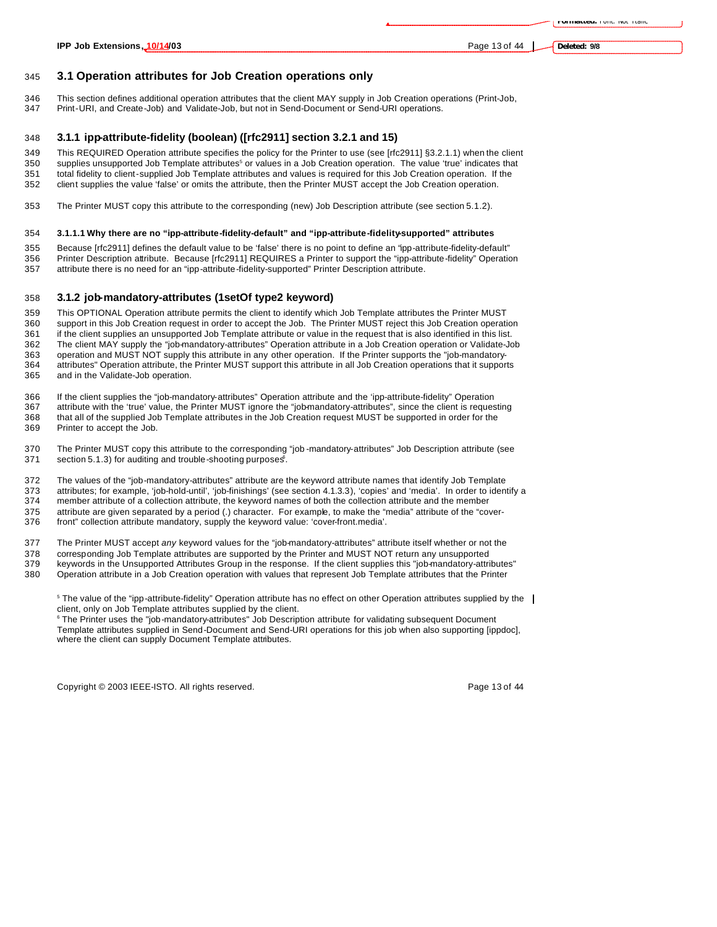**Deleted: 9/8**

### **3.1 Operation attributes for Job Creation operations only**

346 This section defines additional operation attributes that the client MAY supply in Job Creation operations (Print-Job, 347 Print-Job, 347 Print-Job, 347 Print-Job, Print-URI, and Create-Job) and Validate-Job, but not in Send-Document or Send-URI operations.

#### **3.1.1 ipp-attribute-fidelity (boolean) ([rfc2911] section 3.2.1 and 15)**

This REQUIRED Operation attribute specifies the policy for the Printer to use (see [rfc2911] §3.2.1.1) when the client

350 supplies unsupported Job Template attributes<sup>5</sup> or values in a Job Creation operation. The value 'true' indicates that total fidelity to client-supplied Job Template attributes and values is required for this Job Creation operation. If the

- client supplies the value 'false' or omits the attribute, then the Printer MUST accept the Job Creation operation.
- The Printer MUST copy this attribute to the corresponding (new) Job Description attribute (see section 5.1.2).

#### **3.1.1.1 Why there are no "ipp-attribute-fidelity-default" and "ipp-attribute-fidelity-supported" attributes**

 Because [rfc2911] defines the default value to be 'false' there is no point to define an "ipp-attribute-fidelity-default" Printer Description attribute. Because [rfc2911] REQUIRES a Printer to support the "ipp-attribute-fidelity" Operation attribute there is no need for an "ipp-attribute-fidelity-supported" Printer Description attribute.

#### **3.1.2 job-mandatory-attributes (1setOf type2 keyword)**

 This OPTIONAL Operation attribute permits the client to identify which Job Template attributes the Printer MUST support in this Job Creation request in order to accept the Job. The Printer MUST reject this Job Creation operation if the client supplies an unsupported Job Template attribute or value in the request that is also identified in this list. The client MAY supply the "job-mandatory-attributes" Operation attribute in a Job Creation operation or Validate-Job 363 operation and MUST NOT supply this attribute in any other operation. If the Printer supports the "job-mandatory-<br>364 attributes" Operation attribute, the Printer MUST support this attribute in all Job Creation operatio attributes" Operation attribute, the Printer MUST support this attribute in all Job Creation operations that it supports and in the Validate-Job operation.

 If the client supplies the "job-mandatory-attributes" Operation attribute and the 'ipp-attribute-fidelity" Operation attribute with the 'true' value, the Printer MUST ignore the "job-mandatory-attributes", since the client is requesting that all of the supplied Job Template attributes in the Job Creation request MUST be supported in order for the

Printer to accept the Job.

 The Printer MUST copy this attribute to the corresponding "job -mandatory-attributes" Job Description attribute (see 371 section 5.1.3) for auditing and trouble-shooting purposes.

 The values of the "job-mandatory-attributes" attribute are the keyword attribute names that identify Job Template 373 attributes; for example, 'job-hold-until', 'job-finishings' (see section 4.1.3.3), 'copies' and 'media'. In order to identify a<br>374 member attribute of a collection attribute, the keyword names of both the collection a member attribute of a collection attribute, the keyword names of both the collection attribute and the member

 attribute are given separated by a period (.) character. For example, to make the "media" attribute of the "cover-front" collection attribute mandatory, supply the keyword value: 'cover-front.media'.

The Printer MUST accept *any* keyword values for the "job-mandatory-attributes" attribute itself whether or not the

corresponding Job Template attributes are supported by the Printer and MUST NOT return any unsupported

keywords in the Unsupported Attributes Group in the response. If the client supplies this "job-mandatory-attributes"

Operation attribute in a Job Creation operation with values that represent Job Template attributes that the Printer

<sup>5</sup> The value of the "ipp-attribute-fidelity" Operation attribute has no effect on other Operation attributes supplied by the client, only on Job Template attributes supplied by the client.

 The Printer uses the "job-mandatory-attributes" Job Description attribute for validating subsequent Document Template attributes supplied in Send-Document and Send-URI operations for this job when also supporting [ippdoc], where the client can supply Document Template attributes.

Copyright © 2003 IEEE-ISTO. All rights reserved. Copyright C 2003 IEEE-ISTO. All rights reserved.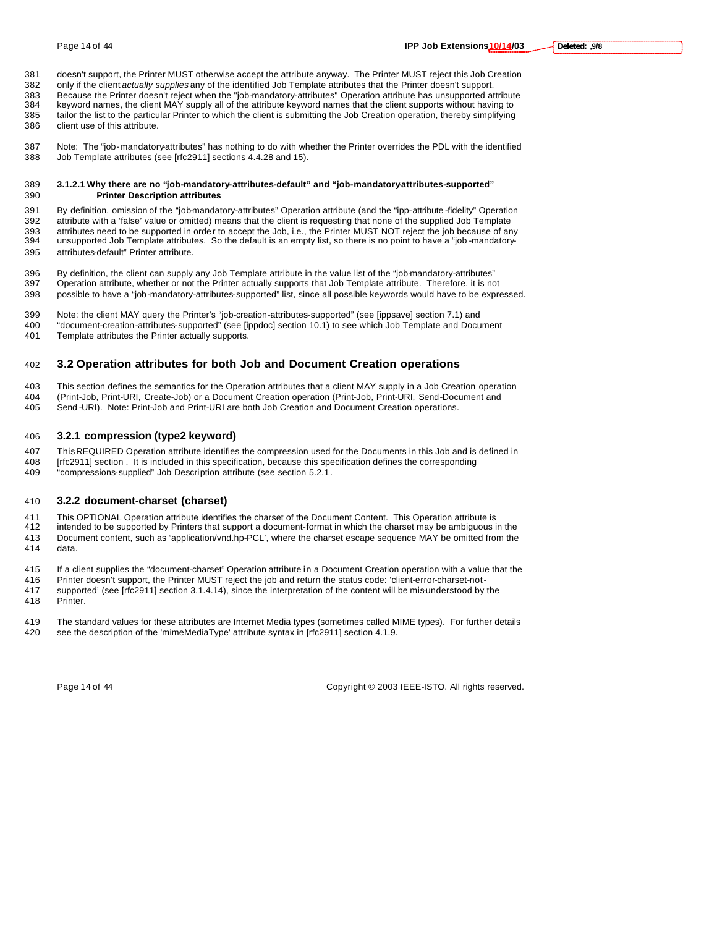doesn't support, the Printer MUST otherwise accept the attribute anyway. The Printer MUST reject this Job Creation only if the client *actually supplies* any of the identified Job Template attributes that the Printer doesn't support. 383 Because the Printer doesn't reject when the "job-mandatory-attributes" Operation attribute has unsupported attribute<br>384 keyword names, the client MAY supply all of the attribute keyword names that the client supports keyword names, the client MAY supply all of the attribute keyword names that the client supports without having to tailor the list to the particular Printer to which the client is submitting the Job Creation operation, thereby simplifying client use of this attribute.

 Note: The "job-mandatory-attributes" has nothing to do with whether the Printer overrides the PDL with the identified Job Template attributes (see [rfc2911] sections 4.4.28 and 15).

#### **3.1.2.1 Why there are no "job-mandatory-attributes-default" and "job-mandatory-attributes-supported" Printer Description attributes**

 By definition, omission of the "job-mandatory-attributes" Operation attribute (and the "ipp-attribute -fidelity" Operation attribute with a 'false' value or omitted) means that the client is requesting that none of the supplied Job Template attributes need to be supported in order to accept the Job, i.e., the Printer MUST NOT reject the job because of any unsupported Job Template attributes. So the default is an empty list, so there is no point to have a "job -mandatory-attributes-default" Printer attribute.

 By definition, the client can supply any Job Template attribute in the value list of the "job-mandatory-attributes" Operation attribute, whether or not the Printer actually supports that Job Template attribute. Therefore, it is not possible to have a "job-mandatory-attributes-supported" list, since all possible keywords would have to be expressed.

Note: the client MAY query the Printer's "job-creation-attributes-supported" (see [ippsave] section 7.1) and

 "document-creation-attributes-supported" (see [ippdoc] section 10.1) to see which Job Template and Document Template attributes the Printer actually supports.

### **3.2 Operation attributes for both Job and Document Creation operations**

 This section defines the semantics for the Operation attributes that a client MAY supply in a Job Creation operation (Print-Job, Print-URI, Create-Job) or a Document Creation operation (Print-Job, Print-URI, Send-Document and Send -URI). Note: Print-Job and Print-URI are both Job Creation and Document Creation operations.

### **3.2.1 compression (type2 keyword)**

 This REQUIRED Operation attribute identifies the compression used for the Documents in this Job and is defined in [rfc2911] section . It is included in this specification, because this specification defines the corresponding "compressions-supplied" Job Description attribute (see section 5.2.1.

#### **3.2.2 document-charset (charset)**

This OPTIONAL Operation attribute identifies the charset of the Document Content. This Operation attribute is

 intended to be supported by Printers that support a document-format in which the charset may be ambiguous in the Document content, such as 'application/vnd.hp-PCL', where the charset escape sequence MAY be omitted from the data.

If a client supplies the "document-charset" Operation attribute in a Document Creation operation with a value that the

Printer doesn't support, the Printer MUST reject the job and return the status code: 'client-error-charset-not-

supported' (see [rfc2911] section 3.1.4.14), since the interpretation of the content will be mis-understood by the

Printer.

 The standard values for these attributes are Internet Media types (sometimes called MIME types). For further details see the description of the 'mimeMediaType' attribute syntax in [rfc2911] section 4.1.9.

Page 14 of 44 Copyright © 2003 IEEE-ISTO. All rights reserved.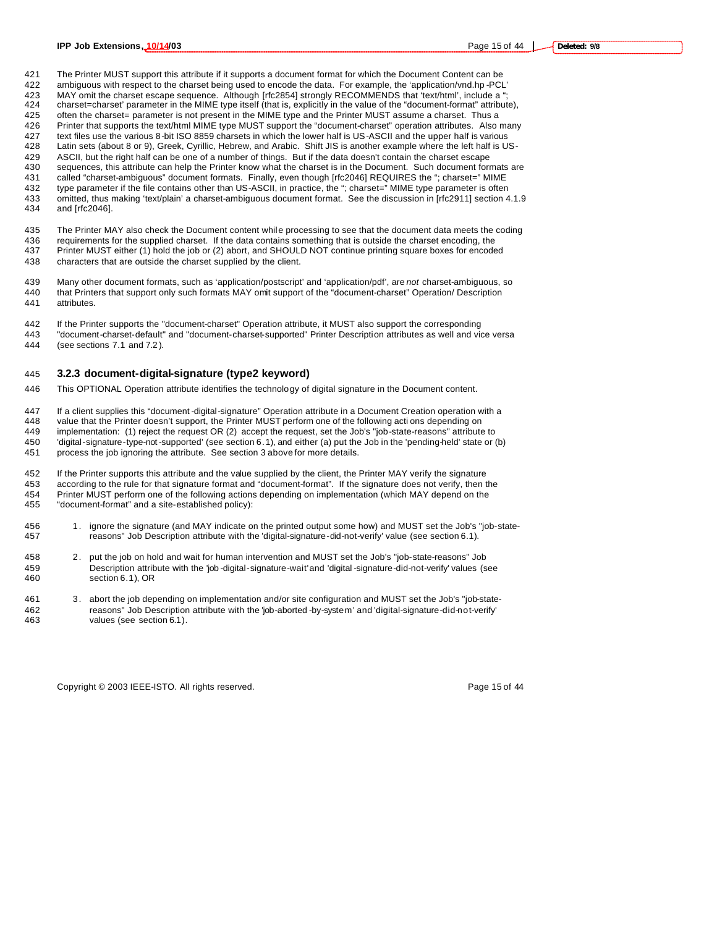The Printer MUST support this attribute if it supports a document format for which the Document Content can be ambiguous with respect to the charset being used to encode the data. For example, the 'application/vnd.hp -PCL' 423 MAY omit the charset escape sequence. Although [rfc2854] strongly RECOMMENDS that 'text/html', include a " charset=charset' parameter in the MIME type itself (that is, explicitly in the value of the "document-format" attribute), often the charset= parameter is not present in the MIME type and the Printer MUST assume a charset. Thus a Printer that supports the text/html MIME type MUST support the "document-charset" operation attributes. Also many 427 text files use the various 8-bit ISO 8859 charsets in which the lower half is US-ASCII and the upper half is various<br>428 Latin sets (about 8 or 9). Greek, Cyrillic, Hebrew, and Arabic. Shift JIS is another example wher Latin sets (about 8 or 9), Greek, Cyrillic, Hebrew, and Arabic. Shift JIS is another example where the left half is US-429 ASCII, but the right half can be one of a number of things. But if the data doesn't contain the charset escape<br>430 sequences, this attribute can help the Printer know what the charset is in the Document. Such document sequences, this attribute can help the Printer know what the charset is in the Document. Such document formats are called "charset-ambiguous" document formats. Finally, even though [rfc2046] REQUIRES the "; charset=" MIME type parameter if the file contains other than US-ASCII, in practice, the "; charset=" MIME type parameter is often omitted, thus making 'text/plain' a charset-ambiguous document format. See the discussion in [rfc2911] section 4.1.9 and [rfc2046].

 The Printer MAY also check the Document content while processing to see that the document data meets the coding 436 requirements for the supplied charset. If the data contains something that is outside the charset encoding, the<br>437 Printer MUST either (1) hold the job or (2) abort, and SHOULD NOT continue printing square boxes for e Printer MUST either (1) hold the job or (2) abort, and SHOULD NOT continue printing square boxes for encoded characters that are outside the charset supplied by the client.

- Many other document formats, such as 'application/postscript' and 'application/pdf', are *not* charset-ambiguous, so that Printers that support only such formats MAY omit support of the "document-charset" Operation/ Description attributes.
- If the Printer supports the "document-charset" Operation attribute, it MUST also support the corresponding "document-charset-default" and "document-charset-supported" Printer Description attributes as well and vice versa
- (see sections 7.1 and 7.2 ).

#### **3.2.3 document-digital-signature (type2 keyword)**

This OPTIONAL Operation attribute identifies the technology of digital signature in the Document content.

 If a client supplies this "document -digital-signature" Operation attribute in a Document Creation operation with a value that the Printer doesn't support, the Printer MUST perform one of the following acti ons depending on implementation: (1) reject the request OR (2) accept the request, set the Job's "job-state-reasons" attribute to 'digital-signature-type-not -supported' (see section 6.1), and either (a) put the Job in the 'pending-held' state or (b) process the job ignoring the attribute. See section 3 above for more details.

 If the Printer supports this attribute and the value supplied by the client, the Printer MAY verify the signature according to the rule for that signature format and "document-format". If the signature does not verify, then the Printer MUST perform one of the following actions depending on implementation (which MAY depend on the "document-format" and a site-established policy):

- 1. ignore the signature (and MAY indicate on the printed output some how) and MUST set the Job's "job-state-reasons" Job Description attribute with the 'digital-signature-did-not-verify' value (see section 6.1).
- 2. put the job on hold and wait for human intervention and MUST set the Job's "job-state-reasons" Job Description attribute with the 'job -digital-signature-wait' and 'digital -signature-did-not-verify' values (see section 6.1), OR
- 3. abort the job depending on implementation and/or site configuration and MUST set the Job's "job-state- reasons" Job Description attribute with the 'job-aborted -by-system' and 'digital-signature-did-not-verify' values (see section 6.1).

Copyright © 2003 IEEE-ISTO. All rights reserved. Copyright C 2003 IEEE-ISTO. All rights reserved.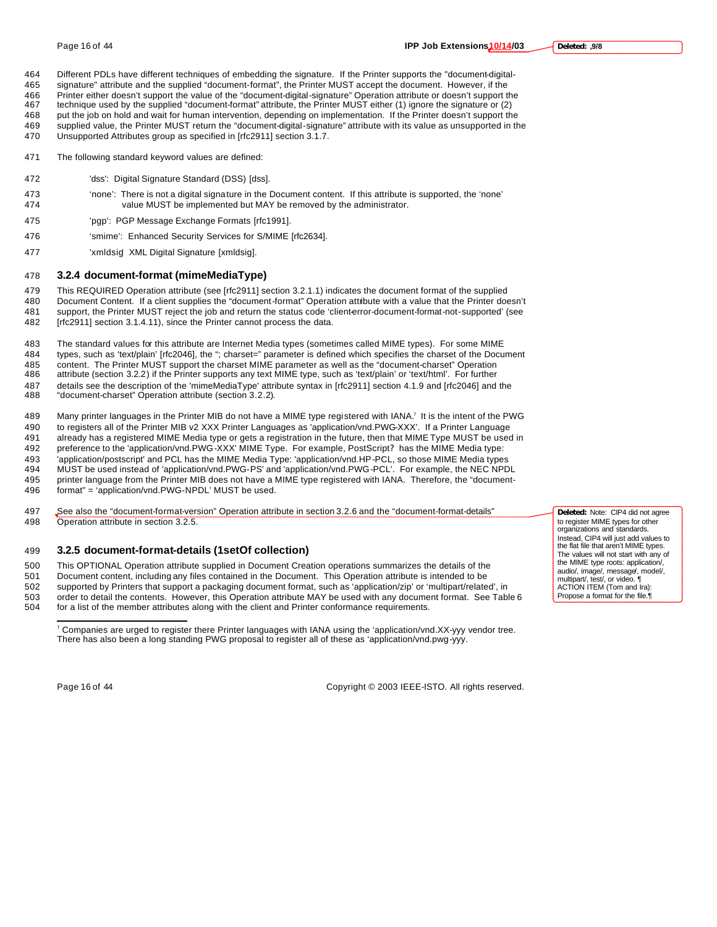Different PDLs have different techniques of embedding the signature. If the Printer supports the "document-digital-signature" attribute and the supplied "document-format", the Printer MUST accept the document. However, if the

 Printer either doesn't support the value of the "document-digital-signature" Operation attribute or doesn't support the technique used by the supplied "document-format" attribute, the Printer MUST either (1) ignore the signature or (2) put the job on hold and wait for human intervention, depending on implementation. If the Printer doesn't support the supplied value, the Printer MUST return the "document-digital-signature" attribute with its value as unsupported in the

- Unsupported Attributes group as specified in [rfc2911] section 3.1.7.
- The following standard keyword values are defined:
- 'dss': Digital Signature Standard (DSS) [dss].
- 'none': There is not a digital signature in the Document content. If this attribute is supported, the 'none' value MUST be implemented but MAY be removed by the administrator.
- 'pgp': PGP Message Exchange Formats [rfc1991].
- 'smime': Enhanced Security Services for S/MIME [rfc2634].
- 'xmldsig' XML Digital Signature [xmldsig].

### **3.2.4 document-format (mimeMediaType)**

 This REQUIRED Operation attribute (see [rfc2911] section 3.2.1.1) indicates the document format of the supplied Document Content. If a client supplies the "document-format" Operation attribute with a value that the Printer doesn't support, the Printer MUST reject the job and return the status code 'client-error-document-format-not-supported' (see

[rfc2911] section 3.1.4.11), since the Printer cannot process the data.

 The standard values for this attribute are Internet Media types (sometimes called MIME types). For some MIME types, such as 'text/plain' [rfc2046], the "; charset=" parameter is defined which specifies the charset of the Document 485 content. The Printer MUST support the charset MIME parameter as well as the "document-charset" Operation<br>486 attribute (section 3.2.2) if the Printer supports any text MIME type, such as 'text/plain' or 'text/html'. Fo attribute (section 3.2.2) if the Printer supports any text MIME type, such as 'text/plain' or 'text/html'. For further details see the description of the 'mimeMediaType' attribute syntax in [rfc2911] section 4.1.9 and [rfc2046] and the "document-charset" Operation attribute (section 3.2.2).

489 Many printer languages in the Printer MIB do not have a MIME type registered with IANA.<sup>7</sup> It is the intent of the PWG to registers all of the Printer MIB v2 XXX Printer Languages as 'application/vnd.PWG-XXX'. If a Printer Language already has a registered MIME Media type or gets a registration in the future, then that MIME Type MUST be used in preference to the 'application/vnd.PWG-XXX' MIME Type. For example, PostScript? has the MIME Media type: 'application/postscript' and PCL has the MIME Media Type: 'application/vnd.HP-PCL, so those MIME Media types MUST be used instead of 'application/vnd.PWG-PS' and 'application/vnd.PWG-PCL'. For example, the NEC NPDL printer language from the Printer MIB does not have a MIME type registered with IANA. Therefore, the "document-format" = 'application/vnd.PWG-NPDL' MUST be used.

 See also the "document-format-version" Operation attribute in section 3.2.6 and the "document-format-details" Operation attribute in section 3.2.5.

#### **3.2.5 document-format-details (1setOf collection)**

This OPTIONAL Operation attribute supplied in Document Creation operations summarizes the details of the

Document content, including any files contained in the Document. This Operation attribute is intended to be

- supported by Printers that support a packaging document format, such as 'application/zip' or 'multipart/related', in order to detail the contents. However, this Operation attribute MAY be used with any document format. See Table 6
- for a list of the member attributes along with the client and Printer conformance requirements.

 $\overline{a}$ 

Page 16 of 44 Copyright © 2003 IEEE-ISTO. All rights reserved.

**Deleted:** Note: CIP4 did not agree to register MIME types for other organizations and standards. Instead, CIP4 will just add values to the flat file that aren't MIME types. The values will not start with any of the MIME type roots: application/, audio/, image/, message/, model/, multipart/, test/, or video. ACTION ITEM (Tom and Ira): Propose a format for the file.

 Companies are urged to register there Printer languages with IANA using the 'application/vnd.XX-yyy vendor tree. There has also been a long standing PWG proposal to register all of these as 'application/vnd.pwg-yyy.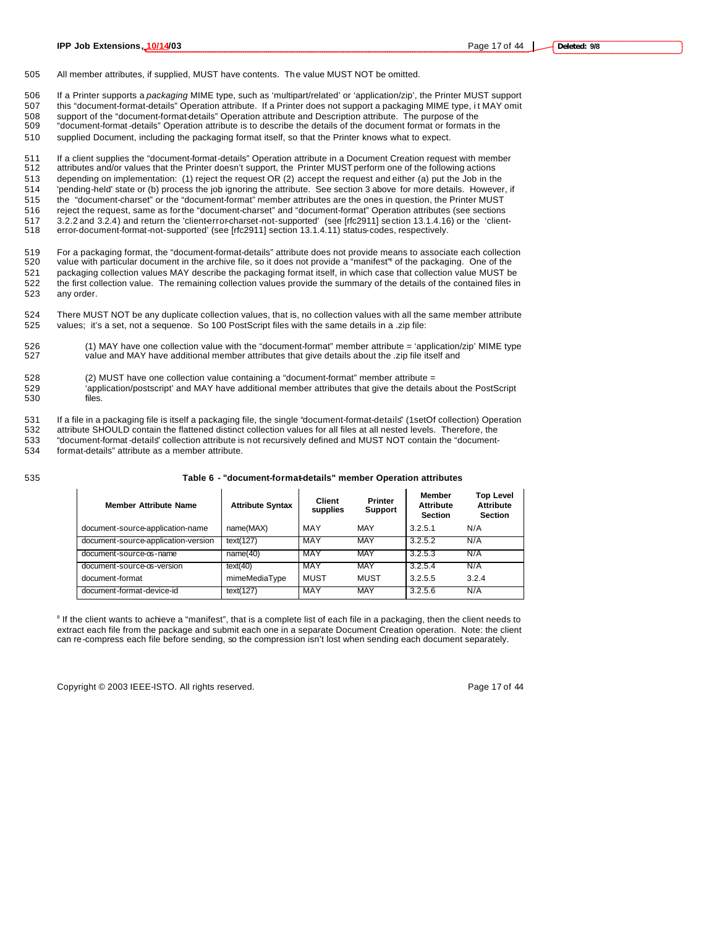505 All member attributes, if supplied, MUST have contents. The value MUST NOT be omitted.

506 If a Printer supports a *packaging* MIME type, such as 'multipart/related' or 'application/zip', the Printer MUST support

507 this "document-format-details" Operation attribute. If a Printer does not support a packaging MIME type, i t MAY omit 508 support of the "document-format-details" Operation attribute and Description attribute. The purpose of the

509 "document-format -details" Operation attribute is to describe the details of the document format or formats in the

510 supplied Document, including the packaging format itself, so that the Printer knows what to expect.

 If a client supplies the "document-format-details" Operation attribute in a Document Creation request with member attributes and/or values that the Printer doesn't support, the Printer MUST perform one of the following actions depending on implementation: (1) reject the request OR (2) accept the request and either (a) put the Job in the 'pending-held' state or (b) process the job ignoring the attribute. See section 3 above for more details. However, if the "document-charset" or the "document-format" member attributes are the ones in question, the Printer MUST reject the request, same as for the "document-charset" and "document-format" Operation attributes (see sections 517 3.2.2 and 3.2.4) and return the 'client-error-charset-not-supported' (see [rfc2911] section 13.1.4.16) or the 'client-error-document-format-not-supported' (see [rfc2911] section 13.1.4.11) status-codes, respectively.

519 For a packaging format, the "document-format-details" attribute does not provide means to associate each collection<br>520 value with particular document in the archive file, so it does not provide a "manifest" of the pac value with particular document in the archive file, so it does not provide a "manifest" of the packaging. One of the 521 packaging collection values MAY describe the packaging format itself, in which case that collection value MUST be 522 the first collection value. The remaining collection values provide the summary of the details of the contained files in 523 any order.

524 There MUST NOT be any duplicate collection values, that is, no collection values with all the same member attribute 525 values; it's a set, not a sequence. So 100 PostScript files with the same details in a .zip file:

- 526 (1) MAY have one collection value with the "document-format" member attribute = 'application/zip' MIME type<br>527 value and MAY have additional member attributes that give details about the .zip file itself and value and MAY have additional member attributes that give details about the .zip file itself and
- 528 (2) MUST have one collection value containing a "document-format" member attribute = 529 'application/postscript' and MAY have additional member attributes that give the details about the PostScript<br>530 files. files.

531 If a file in a packaging file is itself a packaging file, the single "document-format-details" (1setOf collection) Operation<br>532 attribute SHOULD contain the flattened distinct collection values for all files at all ne

attribute SHOULD contain the flattened distinct collection values for all files at all nested levels. Therefore, the 533 "document-format -details" collection attribute is not recursively defined and MUST NOT contain the "document-

534 format-details" attribute as a member attribute.

#### 535 **Table 6 - "document-format-details" member Operation attributes**

| <b>Member Attribute Name</b>        | <b>Attribute Syntax</b> | Client<br>supplies | <b>Printer</b><br><b>Support</b> | Member<br><b>Attribute</b><br><b>Section</b> | <b>Top Level</b><br><b>Attribute</b><br><b>Section</b> |
|-------------------------------------|-------------------------|--------------------|----------------------------------|----------------------------------------------|--------------------------------------------------------|
| document-source-application-name    | name(MAX)               | MAY                | MAY                              | 3.2.5.1                                      | N/A                                                    |
| document-source-application-version | text(127)               | MAY                | MAY                              | 3.2.5.2                                      | N/A                                                    |
| document-source-os-name             | name(40)                | MAY                | <b>MAY</b>                       | 3.2.5.3                                      | N/A                                                    |
| document-source-os-version          | text(40)                | MAY                | <b>MAY</b>                       | 3.2.5.4                                      | N/A                                                    |
| document-format                     | mimeMediaType           | MUST               | MUST                             | 3.2.5.5                                      | 3.2.4                                                  |
| document-format-device-id           | text(127)               | MAY                | <b>MAY</b>                       | 3.2.5.6                                      | N/A                                                    |

<sup>8</sup> If the client wants to achieve a "manifest", that is a complete list of each file in a packaging, then the client needs to extract each file from the package and submit each one in a separate Document Creation operation. Note: the client can re-compress each file before sending, so the compression isn't lost when sending each document separately.

Copyright © 2003 IEEE-ISTO. All rights reserved. Page 17 of 44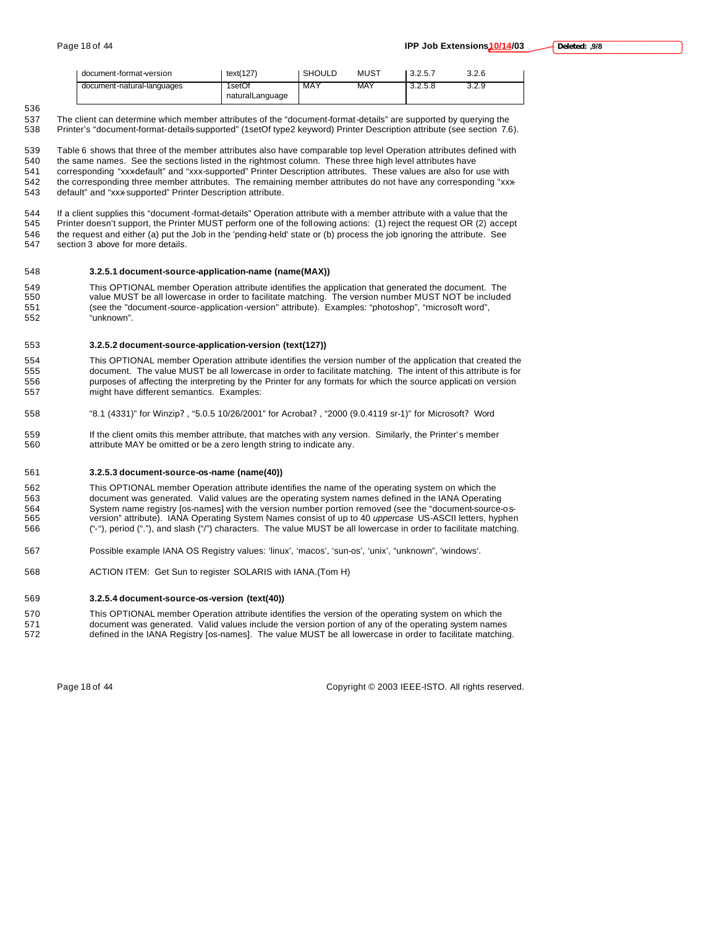| document-format-version    | text(127)                 | <b>SHOULD</b> | MUST | 3.2.5.7 | 3.2.6 |
|----------------------------|---------------------------|---------------|------|---------|-------|
| document-natural-languages | 1setOf<br>naturalLanguage | MAY           | MAY  | 3.2.5.8 | 3.2.9 |

537 The client can determine which member attributes of the "document-format-details" are supported by querying the<br>538 Printer's "document-format-details-supported" (1setOf type2 keyword) Printer Description attribute (se Printer's "document-format-details-supported" (1setOf type2 keyword) Printer Description attribute (see section 7.6).

 Table 6 shows that three of the member attributes also have comparable top level Operation attributes defined with the same names. See the sections listed in the rightmost column. These three high level attributes have corresponding "xxx-default" and "xxx-supported" Printer Description attributes. These values are also for use with 542 the corresponding three member attributes. The remaining member attributes do not have any corresponding "xxx-default" and "xxx-supported" Printer Description attribute.

 If a client supplies this "document -format-details" Operation attribute with a member attribute with a value that the Printer doesn't support, the Printer MUST perform one of the following actions: (1) reject the request OR (2) accept 546 the request and either (a) put the Job in the 'pending-held' state or (b) process the job ignoring the attribute. See<br>547 section 3 above for more details. section 3 above for more details.

#### **3.2.5.1 document-source-application-name (name(MAX))**

549 This OPTIONAL member Operation attribute identifies the application that generated the document. The 550 value MUST be included value MUST be all lowercase in order to facilitate matching. The version number MUST NOT be included (see the "document-source-application-version" attribute). Examples: "photoshop", "microsoft word", "unknown".

#### **3.2.5.2 document-source-application-version (text(127))**

 This OPTIONAL member Operation attribute identifies the version number of the application that created the document. The value MUST be all lowercase in order to facilitate matching. The intent of this attribute is for purposes of affecting the interpreting by the Printer for any formats for which the source applicati on version might have different semantics. Examples:

- "8.1 (4331)" for Winzip? , "5.0.5 10/26/2001" for Acrobat? , "2000 (9.0.4119 sr-1)" for Microsoft? Word
- If the client omits this member attribute, that matches with any version. Similarly, the Printer's member attribute MAY be omitted or be a zero length string to indicate any.

#### **3.2.5.3 document-source-os-name (name(40))**

 This OPTIONAL member Operation attribute identifies the name of the operating system on which the document was generated. Valid values are the operating system names defined in the IANA Operating System name registry [os-names] with the version number portion removed (see the "document-source-os- version" attribute). IANA Operating System Names consist of up to 40 *uppercase* US-ASCII letters, hyphen ("-"), period ("."), and slash ("/") characters. The value MUST be all lowercase in order to facilitate matching.

- Possible example IANA OS Registry values: 'linux', 'macos', 'sun-os', 'unix', "unknown", 'windows'.
- ACTION ITEM: Get Sun to register SOLARIS with IANA.(Tom H)

#### **3.2.5.4 document-source-os-version (text(40))**

 This OPTIONAL member Operation attribute identifies the version of the operating system on which the document was generated. Valid values include the version portion of any of the operating system names defined in the IANA Registry [os-names]. The value MUST be all lowercase in order to facilitate matching.

Page 18 of 44 Copyright © 2003 IEEE-ISTO. All rights reserved.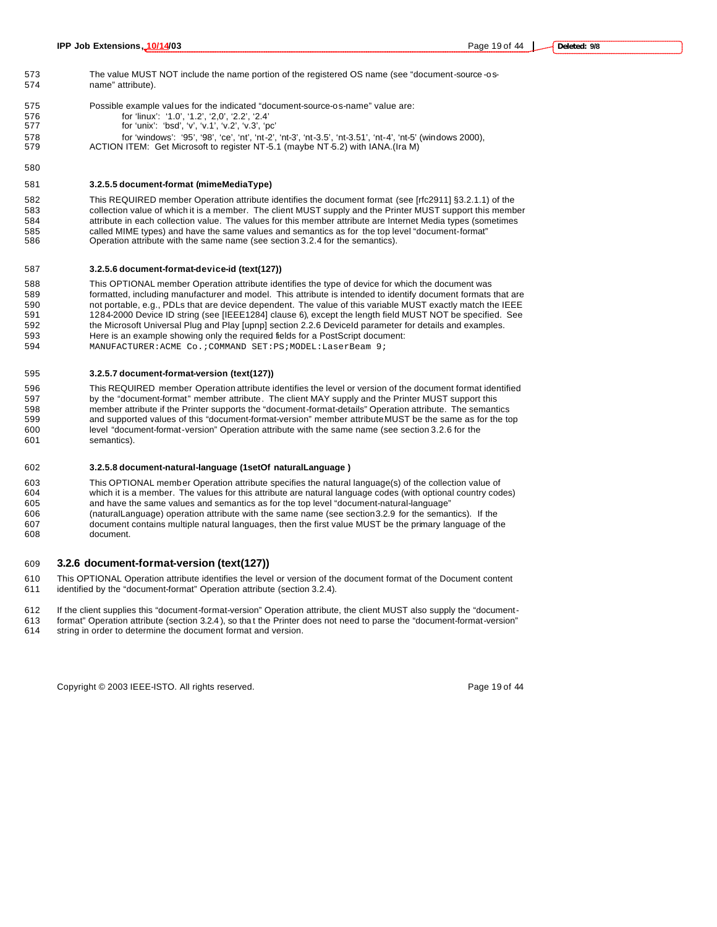The value MUST NOT include the name portion of the registered OS name (see "document-source -os- name" attribute). Possible example values for the indicated "document-source-os-name" value are:

- for 'linux': '1.0', '1.2', '2,0', '2.2', '2.4'
- for 'unix': 'bsd', 'v', 'v.1', 'v.2', 'v.3', 'pc'
- for 'windows': '95', '98', 'ce', 'nt', 'nt-2', 'nt-3', 'nt-3.5', 'nt-3.51', 'nt-4', 'nt-5' (windows 2000),
- ACTION ITEM: Get Microsoft to register NT-5.1 (maybe NT-5.2) with IANA.(Ira M)

#### **3.2.5.5 document-format (mimeMediaType)**

 This REQUIRED member Operation attribute identifies the document format (see [rfc2911] §3.2.1.1) of the collection value of which it is a member. The client MUST supply and the Printer MUST support this member attribute in each collection value. The values for this member attribute are Internet Media types (sometimes called MIME types) and have the same values and semantics as for the top level "document-format" Operation attribute with the same name (see section 3.2.4 for the semantics).

#### **3.2.5.6 document-format-device-id (text(127))**

 This OPTIONAL member Operation attribute identifies the type of device for which the document was formatted, including manufacturer and model. This attribute is intended to identify document formats that are 590 not portable, e.g., PDLs that are device dependent. The value of this variable MUST exactly match the IEEE<br>591 1284-2000 Device ID string (see [IEEE1284] clause 6), except the length field MUST NOT be specified. See 1284-2000 Device ID string (see [IEEE1284] clause 6), except the length field MUST NOT be specified. See the Microsoft Universal Plug and Play [upnp] section 2.2.6 DeviceId parameter for details and examples. Here is an example showing only the required fields for a PostScript document:

MANUFACTURER:ACME Co.;COMMAND SET:PS;MODEL:LaserBeam 9;

#### **3.2.5.7 document-format-version (text(127))**

 This REQUIRED member Operation attribute identifies the level or version of the document format identified by the "document-format" member attribute. The client MAY supply and the Printer MUST support this member attribute if the Printer supports the "document-format-details" Operation attribute. The semantics and supported values of this "document-format-version" member attribute MUST be the same as for the top level "document-format-version" Operation attribute with the same name (see section 3.2.6 for the semantics).

#### **3.2.5.8 document-natural-language (1setOf naturalLanguage )**

 This OPTIONAL member Operation attribute specifies the natural language(s) of the collection value of which it is a member. The values for this attribute are natural language codes (with optional country codes) and have the same values and semantics as for the top level "document-natural-language" (naturalLanguage) operation attribute with the same name (see section 3.2.9 for the semantics). If the document contains multiple natural languages, then the first value MUST be the primary language of the document.

#### **3.2.6 document-format-version (text(127))**

 This OPTIONAL Operation attribute identifies the level or version of the document format of the Document content identified by the "document-format" Operation attribute (section 3.2.4).

If the client supplies this "document-format-version" Operation attribute, the client MUST also supply the "document-

 format" Operation attribute (section 3.2.4 ), so tha t the Printer does not need to parse the "document-format-version" string in order to determine the document format and version.

Copyright © 2003 IEEE-ISTO. All rights reserved. Copyright C 2003 IEEE-ISTO. All rights reserved.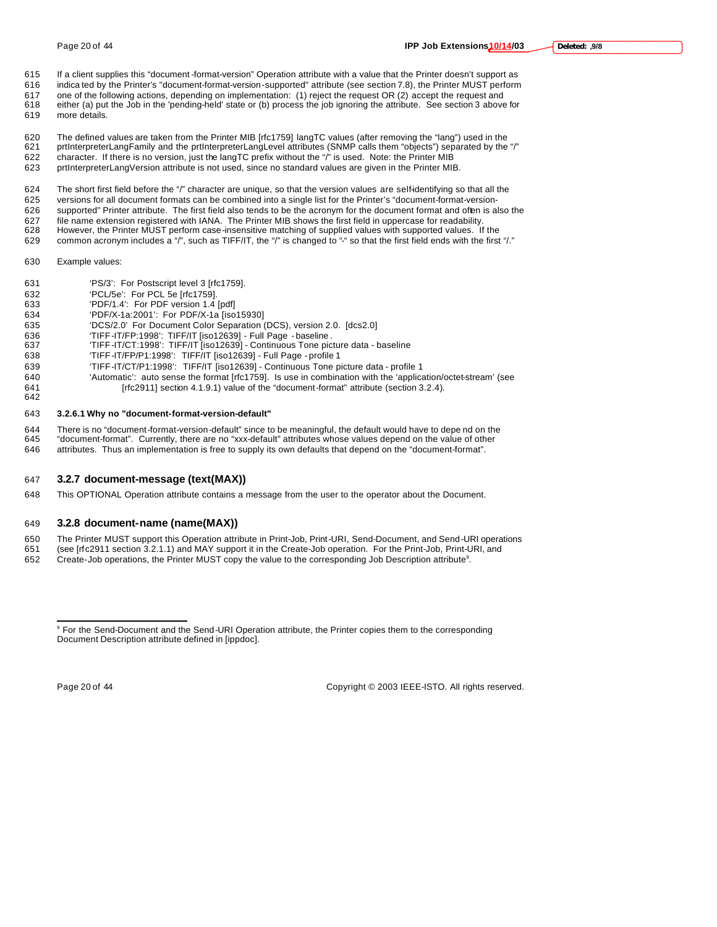- 
- If a client supplies this "document -format-version" Operation attribute with a value that the Printer doesn't support as
- indica ted by the Printer's "document-format-version-supported" attribute (see section 7.8), the Printer MUST perform
- 617 one of the following actions, depending on implementation: (1) reject the request OR (2) accept the request and<br>618 either (a) put the Job in the 'pending-held' state or (b) process the job ignoring the attribute. See either (a) put the Job in the 'pending-held' state or (b) process the job ignoring the attribute. See section 3 above for
- more details.
- The defined values are taken from the Printer MIB [rfc1759] langTC values (after removing the "lang") used in the prtInterpreterLangFamily and the prtInterpreterLangLevel attributes (SNMP calls them "objects") separated by the "/" character. If there is no version, just the langTC prefix without the "/" is used. Note: the Printer MIB
- prtInterpreterLangVersion attribute is not used, since no standard values are given in the Printer MIB.
- The short first field before the "/" character are unique, so that the version values are self-identifying so that all the versions for all document formats can be combined into a single list for the Printer's "document-format-version- supported" Printer attribute. The first field also tends to be the acronym for the document format and often is also the file name extension registered with IANA. The Printer MIB shows the first field in uppercase for readability. However, the Printer MUST perform case-insensitive matching of supplied values with supported values. If the
- 629 common acronym includes a "/", such as TIFF/IT, the "/" is changed to "-" so that the first field ends with the first "/."
- Example values:
- 'PS/3': For Postscript level 3 [rfc1759].
- 'PCL/5e': For PCL 5e [rfc1759].
- 'PDF/1.4': For PDF version 1.4 [pdf]
- 'PDF/X-1a:2001': For PDF/X-1a [iso15930]
- 'DCS/2.0' For Document Color Separation (DCS), version 2.0. [dcs2.0]
- 'TIFF-IT/FP:1998': TIFF/IT [iso12639] Full Page baseline .
- 'TIFF-IT/CT:1998': TIFF/IT [iso12639] Continuous Tone picture data baseline
- 'TIFF-IT/FP/P1:1998': TIFF/IT [iso12639] Full Page profile 1
- 'TIFF-IT/CT/P1:1998': TIFF/IT [iso12639] Continuous Tone picture data profile 1
- 'Automatic': auto sense the format [rfc1759]. Is use in combination with the 'application/octet-stream' (see [rfc2911] section 4.1.9.1) value of the "document-format" attribute (section 3.2.4).
- 

#### **3.2.6.1 Why no "document-format-version-default"**

- 644 There is no "document-format-version-default" since to be meaningful, the default would have to depe nd on the<br>645 "document-format". Currently, there are no "xxx-default" attributes whose values depend on the value of
- "document-format". Currently, there are no "xxx-default" attributes whose values depend on the value of other attributes. Thus an implementation is free to supply its own defaults that depend on the "document-format".
- 

### **3.2.7 document-message (text(MAX))**

This OPTIONAL Operation attribute contains a message from the user to the operator about the Document.

#### **3.2.8 document-name (name(MAX))**

- The Printer MUST support this Operation attribute in Print-Job, Print-URI, Send-Document, and Send-URI operations
- (see [rfc2911 section 3.2.1.1) and MAY support it in the Create-Job operation. For the Print-Job, Print-URI, and
- 652 Create-Job operations, the Printer MUST copy the value to the corresponding Job Description attribute<sup>9</sup>.

 $\overline{a}$ 

Page 20 of 44 Copyright © 2003 IEEE-ISTO. All rights reserved.

<sup>&</sup>lt;sup>9</sup> For the Send-Document and the Send-URI Operation attribute, the Printer copies them to the corresponding Document Description attribute defined in [ippdoc].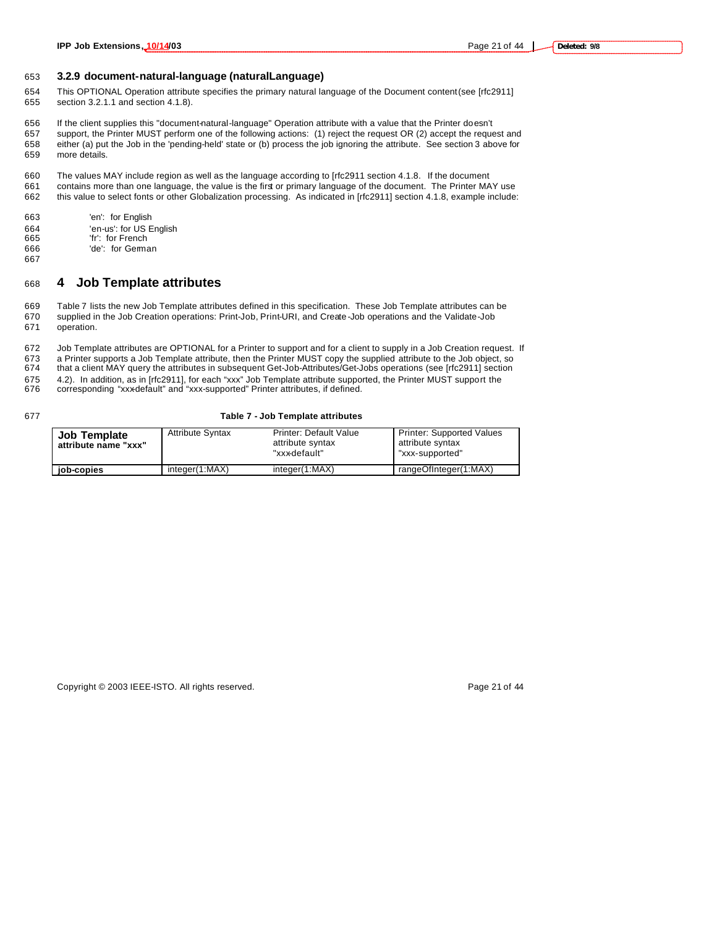#### 653 **3.2.9 document-natural-language (naturalLanguage)**

654 This OPTIONAL Operation attribute specifies the primary natural language of the Document content (see [rfc2911] 655 section 3.2.1.1 and section 4.1.8).

656 If the client supplies this "document-natural-language" Operation attribute with a value that the Printer doesn't

657 support, the Printer MUST perform one of the following actions: (1) reject the request OR (2) accept the request and 658 either (a) put the Job in the 'pending-held' state or (b) process the job ignoring the attribute. See section 3 above for 659 more details.

660 The values MAY include region as well as the language according to [rfc2911 section 4.1.8. If the document 661 contains more than one language, the value is the first or primary language of the document. The Printer MAY use 662 this value to select fonts or other Globalization processing. As indicated in [rfc2911] section 4.1.8, example include:

- 663 'en': for English
- 664 'en-us': for US English<br>665 'fr': for French
- 'fr': for French
- 666 'de': for German 667

### <sup>668</sup> **4 Job Template attributes**

669 Table 7 lists the new Job Template attributes defined in this specification. These Job Template attributes can be 670 supplied in the Job Creation operations: Print-Job, Print-URI, and Create-Job operations and the Validate-Job 671 operation.

672 Job Template attributes are OPTIONAL for a Printer to support and for a client to supply in a Job Creation request. If 673 a Printer supports a Job Template attribute, then the Printer MUST copy the supplied attribute to the Job object, so<br>674 that a client MAY query the attributes in subsequent Get-Job-Attributes/Get-Jobs operations (see that a client MAY query the attributes in subsequent Get-Job-Attributes/Get-Jobs operations (see [rfc2911] section 675 4.2). In addition, as in [rfc2911], for each "xxx" Job Template attribute supported, the Printer MUST support the <br>676 corresponding "xxxdefault" and "xxx-supported" Printer attributes. if defined. corresponding "xxx-default" and "xxx-supported" Printer attributes, if defined.

#### 677 **Table 7 - Job Template attributes**

| <b>Job Template</b><br>attribute name "xxx" | <b>Attribute Syntax</b> | <b>Printer: Default Value</b><br>attribute syntax<br>"xxx-default" | <b>Printer: Supported Values</b><br>attribute syntax<br>"xxx-supported" |
|---------------------------------------------|-------------------------|--------------------------------------------------------------------|-------------------------------------------------------------------------|
| job-copies                                  | integer(1:MAX)          | integer(1:MAX)                                                     | rangeOfInteger(1:MAX)                                                   |

Copyright © 2003 IEEE-ISTO. All rights reserved. Page 21 of 44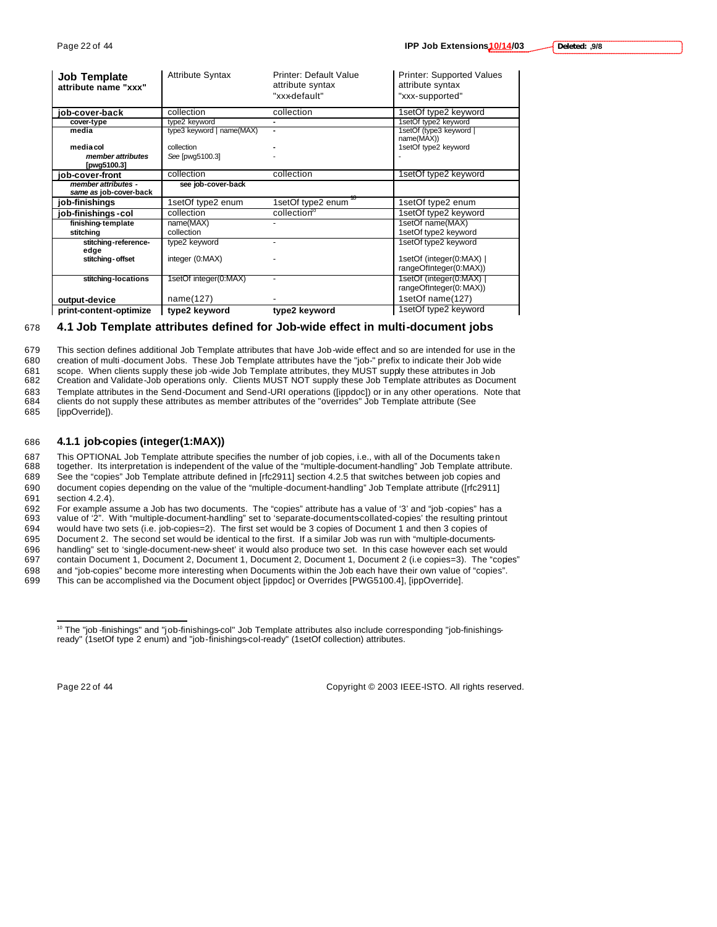| 9/8, :Deleted |  |
|---------------|--|
|               |  |

| <b>Job Template</b><br>attribute name "xxx"   | <b>Attribute Syntax</b>   | <b>Printer: Default Value</b><br>attribute syntax | <b>Printer: Supported Values</b><br>attribute syntax |
|-----------------------------------------------|---------------------------|---------------------------------------------------|------------------------------------------------------|
|                                               |                           | "xxx-default"                                     | "xxx-supported"                                      |
| iob-cover-back                                | collection                | collection                                        | 1setOf type2 keyword                                 |
| cover-type                                    | type2 keyword             |                                                   | 1setOf type2 keyword                                 |
| media                                         | type3 keyword   name(MAX) | ۰                                                 | 1setOf (type3 keyword  <br>name(MAX))                |
| media col                                     | collection                |                                                   | 1setOf type2 keyword                                 |
| member attributes<br>[pwg5100.3]              | See [pwq5100.3]           |                                                   |                                                      |
| iob-cover-front                               | collection                | collection                                        | 1setOf type2 keyword                                 |
| member attributes -<br>same as job-cover-back | see job-cover-back        |                                                   |                                                      |
| job-finishings                                | 1setOf type2 enum         | 1setOf type2 enum                                 | 1setOf type2 enum                                    |
| job-finishings -col                           | collection                | collection <sup>10</sup>                          | 1setOf type2 keyword                                 |
| finishing-template                            | name(MAX)                 |                                                   | 1setOf name(MAX)                                     |
| stitching                                     | collection                |                                                   | 1setOf type2 keyword                                 |
| stitching-reference-<br>edge                  | type2 keyword             |                                                   | 1setOf type2 keyword                                 |
| stitching-offset                              | integer (0:MAX)           |                                                   | 1setOf (integer(0:MAX)  <br>rangeOfInteger(0:MAX))   |
| stitching-locations                           | 1setOf integer(0:MAX)     |                                                   | 1setOf (integer(0:MAX)<br>rangeOfInteger(0: MAX))    |
| output-device                                 | name(127)                 |                                                   | 1setOf name(127)                                     |
| print-content-optimize                        | type2 keyword             | type2 keyword                                     | 1setOf type2 keyword                                 |

### 678 **4.1 Job Template attributes defined for Job-wide effect in multi-document jobs**

679 This section defines additional Job Template attributes that have Job-wide effect and so are intended for use in the 680 creation of multi -document Jobs. These Job Template attributes have the "job-" prefix to indicate their Job wide 681 scope. When clients supply these job -wide Job Template attributes, they MUST supply these attributes in Job<br>682 Creation and Validate Job operations only. Clients MUST NOT supply these Job Template attributes as Docu 682 Creation and Validate-Job operations only. Clients MUST NOT supply these Job Template attributes as Document 683 Template attributes in the Send-Document and Send-URI operations ([ippdoc]) or in any other operations. Note that 684 clients do not supply these attributes as member attributes of the "overrides" Job Template attribut clients do not supply these attributes as member attributes of the "overrides" Job Template attribute (See

685 [ippOverride]).

### 686 **4.1.1 job-copies (integer(1:MAX))**

687 This OPTIONAL Job Template attribute specifies the number of job copies, i.e., with all of the Documents taken 688 together. Its interpretation is independent of the value of the "multiple-document-handling" Job Template attribute.

689 See the "copies" Job Template attribute defined in [rfc2911] section 4.2.5 that switches between job copies and 690 document copies depending on the value of the "multiple-document-handling" Job Template attribute ([rfc2911] 691 section 4.2.4).

 For example assume a Job has two documents. The "copies" attribute has a value of '3' and "job -copies" has a value of '2". With "multiple-document-handling" set to 'separate-documents-collated-copies' the resulting printout would have two sets (i.e. job-copies=2). The first set would be 3 copies of Document 1 and then 3 copies of Document 2. The second set would be identical to the first. If a similar Job was run with "multiple-documents-696 handling" set to 'single-document-new-sheet' it would also produce two set. In this case however each set would<br>697 contain Document 1, Document 2, Document 1, Document 2, Document 1, Document 2 (i.e copies=3). The "co contain Document 1, Document 2, Document 1, Document 2, Document 1, Document 2 (i.e copies=3). The "copies"

698 and "job-copies" become more interesting when Documents within the Job each have their own value of "copies".<br>699 This can be accomplished via the Document object [ippdoc] or Overrides [PWG5100.4], [ippOverride]. This can be accomplished via the Document object [ippdoc] or Overrides [PWG5100.4], [ippOverride].

 $\overline{a}$ 

Page 22 of 44 Copyright © 2003 IEEE-ISTO. All rights reserved.

<sup>&</sup>lt;sup>10</sup> The "job -finishings" and "job-finishings-col" Job Template attributes also include corresponding "job-finishingsready" (1setOf type 2 enum) and "job-finishings-col-ready" (1setOf collection) attributes.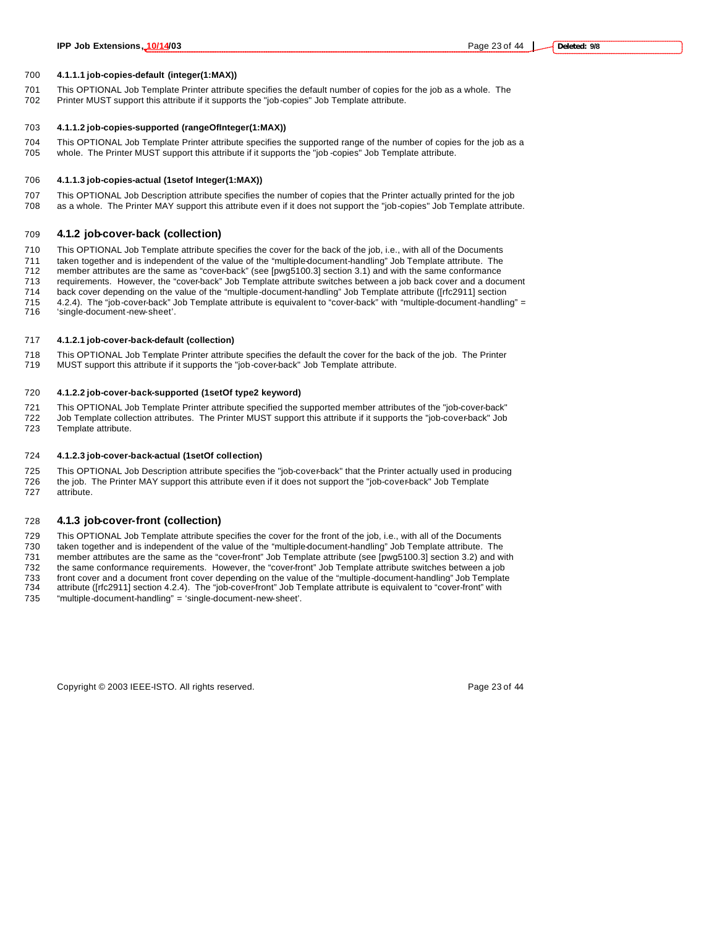#### **4.1.1.1 job-copies-default (integer(1:MAX))**

 This OPTIONAL Job Template Printer attribute specifies the default number of copies for the job as a whole. The Printer MUST support this attribute if it supports the "job-copies" Job Template attribute.

#### **4.1.1.2 job-copies-supported (rangeOfInteger(1:MAX))**

 This OPTIONAL Job Template Printer attribute specifies the supported range of the number of copies for the job as a whole. The Printer MUST support this attribute if it supports the "job -copies" Job Template attribute.

#### **4.1.1.3 job-copies-actual (1setof Integer(1:MAX))**

 This OPTIONAL Job Description attribute specifies the number of copies that the Printer actually printed for the job as a whole. The Printer MAY support this attribute even if it does not support the "job-copies" Job Template attribute.

### **4.1.2 job-cover-back (collection)**

 This OPTIONAL Job Template attribute specifies the cover for the back of the job, i.e., with all of the Documents taken together and is independent of the value of the "multiple-document-handling" Job Template attribute. The

- member attributes are the same as "cover-back" (see [pwg5100.3] section 3.1) and with the same conformance
- requirements. However, the "cover-back" Job Template attribute switches between a job back cover and a document
- back cover depending on the value of the "multiple-document-handling" Job Template attribute ([rfc2911] section
- 4.2.4). The "job-cover-back" Job Template attribute is equivalent to "cover-back" with "multiple-document-handling" = 'single-document-new-sheet'.
- 

### **4.1.2.1 job-cover-back-default (collection)**

718 This OPTIONAL Job Template Printer attribute specifies the default the cover for the back of the job. The Printer<br>719 MUST support this attribute if it supports the "job-cover-back" Job Template attribute. MUST support this attribute if it supports the "job-cover-back" Job Template attribute.

#### **4.1.2.2 job-cover-back-supported (1setOf type2 keyword)**

 This OPTIONAL Job Template Printer attribute specified the supported member attributes of the "job-cover-back" Job Template collection attributes. The Printer MUST support this attribute if it supports the "job-cover-back" Job

Template attribute.

#### **4.1.2.3 job-cover-back-actual (1setOf collection)**

 This OPTIONAL Job Description attribute specifies the "job-cover-back" that the Printer actually used in producing 726 the job. The Printer MAY support this attribute even if it does not support the "job-cover-back" Job Template attribute.

#### **4.1.3 job-cover-front (collection)**

This OPTIONAL Job Template attribute specifies the cover for the front of the job, i.e., with all of the Documents

taken together and is independent of the value of the "multiple-document-handling" Job Template attribute. The

member attributes are the same as the "cover-front" Job Template attribute (see [pwg5100.3] section 3.2) and with

- the same conformance requirements. However, the "cover-front" Job Template attribute switches between a job
- front cover and a document front cover depending on the value of the "multiple-document-handling" Job Template attribute ([rfc2911] section 4.2.4). The "job-cover-front" Job Template attribute is equivalent to "cover-front" with

"multiple-document-handling" = 'single-document-new-sheet'.

Copyright © 2003 IEEE-ISTO. All rights reserved. Copyright C 2003 IEEE-ISTO. All rights reserved.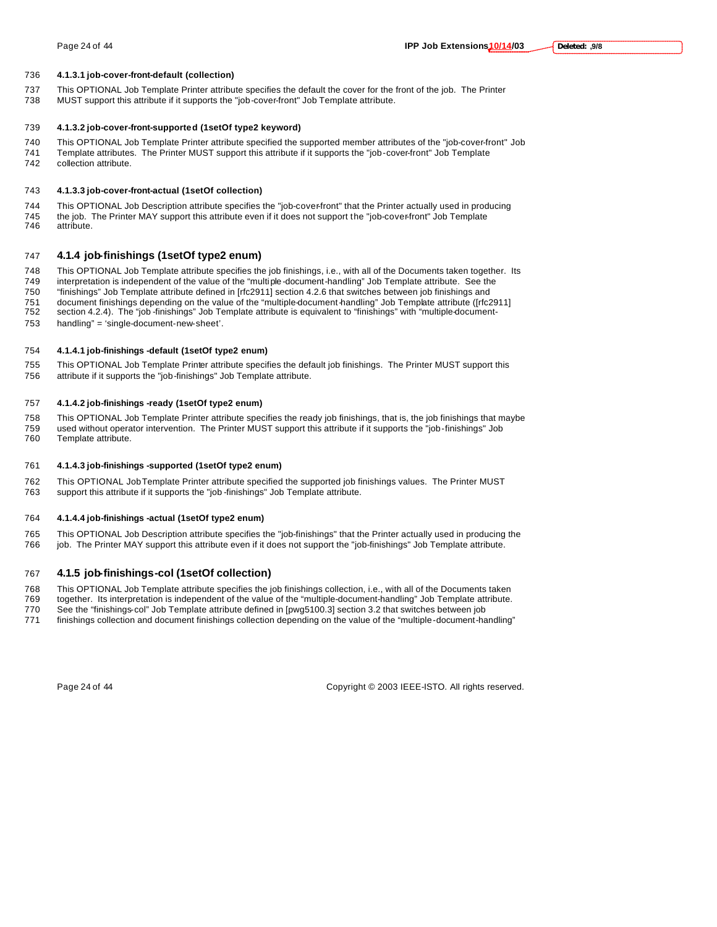#### **4.1.3.1 job-cover-front-default (collection)**

- This OPTIONAL Job Template Printer attribute specifies the default the cover for the front of the job. The Printer MUST support this attribute if it supports the "job-cover-front" Job Template attribute.
- 

### **4.1.3.2 job-cover-front-supported (1setOf type2 keyword)**

 This OPTIONAL Job Template Printer attribute specified the supported member attributes of the "job-cover-front" Job Template attributes. The Printer MUST support this attribute if it supports the "job-cover-front" Job Template collection attribute.

### **4.1.3.3 job-cover-front-actual (1setOf collection)**

 This OPTIONAL Job Description attribute specifies the "job-cover-front" that the Printer actually used in producing 745 the job. The Printer MAY support this attribute even if it does not support the "job-cover-front" Job Template<br>746 attribute. attribute.

### **4.1.4 job-finishings (1setOf type2 enum)**

This OPTIONAL Job Template attribute specifies the job finishings, i.e., with all of the Documents taken together. Its

interpretation is independent of the value of the "multiple -document-handling" Job Template attribute. See the

"finishings" Job Template attribute defined in [rfc2911] section 4.2.6 that switches between job finishings and

 document finishings depending on the value of the "multiple-document-handling" Job Template attribute ([rfc2911] section 4.2.4). The "job -finishings" Job Template attribute is equivalent to "finishings" with "multiple-document-

handling" = 'single-document-new-sheet'.

### **4.1.4.1 job-finishings -default (1setOf type2 enum)**

 This OPTIONAL Job Template Printer attribute specifies the default job finishings. The Printer MUST support this attribute if it supports the "job-finishings" Job Template attribute.

### **4.1.4.2 job-finishings -ready (1setOf type2 enum)**

 This OPTIONAL Job Template Printer attribute specifies the ready job finishings, that is, the job finishings that maybe used without operator intervention. The Printer MUST support this attribute if it supports the "job-finishings" Job Template attribute.

### **4.1.4.3 job-finishings -supported (1setOf type2 enum)**

 This OPTIONAL Job Template Printer attribute specified the supported job finishings values. The Printer MUST support this attribute if it supports the "job -finishings" Job Template attribute.

### **4.1.4.4 job-finishings -actual (1setOf type2 enum)**

 This OPTIONAL Job Description attribute specifies the "job-finishings" that the Printer actually used in producing the job. The Printer MAY support this attribute even if it does not support the "job-finishings" Job Template attribute.

### **4.1.5 job-finishings-col (1setOf collection)**

This OPTIONAL Job Template attribute specifies the job finishings collection, i.e., with all of the Documents taken

- together. Its interpretation is independent of the value of the "multiple-document-handling" Job Template attribute.
- See the "finishings-col" Job Template attribute defined in [pwg5100.3] section 3.2 that switches between job
- finishings collection and document finishings collection depending on the value of the "multiple-document-handling"

Page 24 of 44 Copyright © 2003 IEEE-ISTO. All rights reserved.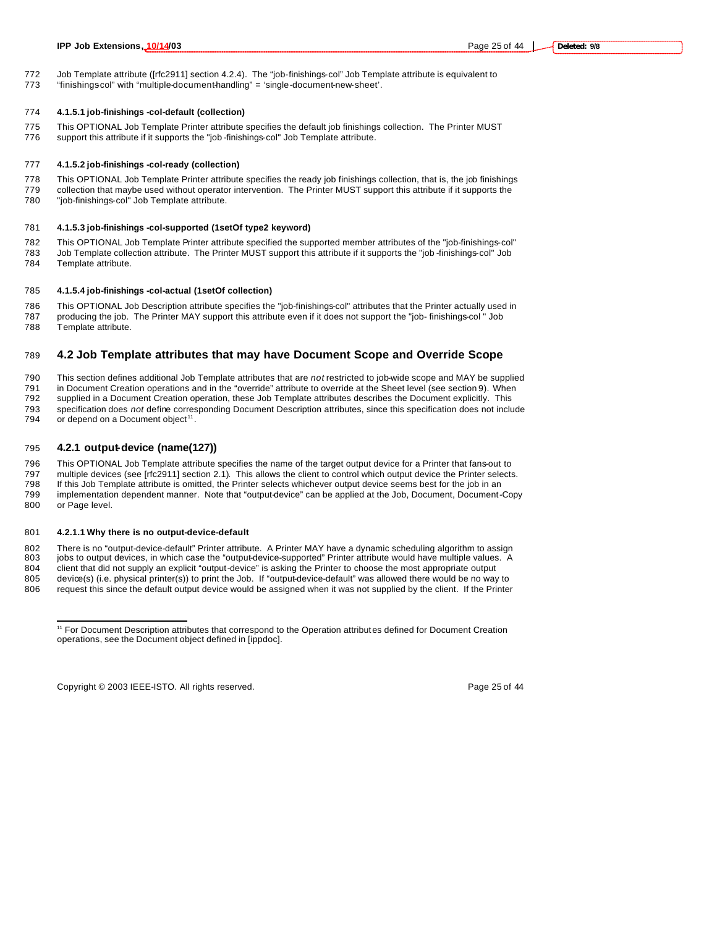- Job Template attribute ([rfc2911] section 4.2.4). The "job-finishings-col" Job Template attribute is equivalent to
- 773 "finishingscol" with "multiple-document-handling" = 'single-document-new-sheet'.

### **4.1.5.1 job-finishings -col-default (collection)**

- This OPTIONAL Job Template Printer attribute specifies the default job finishings collection. The Printer MUST
- support this attribute if it supports the "job -finishings-col" Job Template attribute.

### **4.1.5.2 job-finishings -col-ready (collection)**

 This OPTIONAL Job Template Printer attribute specifies the ready job finishings collection, that is, the job finishings collection that maybe used without operator intervention. The Printer MUST support this attribute if it supports the "job-finishings-col" Job Template attribute.

### **4.1.5.3 job-finishings -col-supported (1setOf type2 keyword)**

 This OPTIONAL Job Template Printer attribute specified the supported member attributes of the "job-finishings-col" Job Template collection attribute. The Printer MUST support this attribute if it supports the "job -finishings-col" Job Template attribute.

### **4.1.5.4 job-finishings -col-actual (1setOf collection)**

 This OPTIONAL Job Description attribute specifies the "job-finishings-col" attributes that the Printer actually used in producing the job. The Printer MAY support this attribute even if it does not support the "job- finishings-col " Job Template attribute.

### **4.2 Job Template attributes that may have Document Scope and Override Scope**

 This section defines additional Job Template attributes that are *not* restricted to job-wide scope and MAY be supplied 791 in Document Creation operations and in the "override" attribute to override at the Sheet level (see section 9). When<br>792 supplied in a Document Creation operation, these Job Template attributes describes the Document e supplied in a Document Creation operation, these Job Template attributes describes the Document explicitly. This specification does *not* define corresponding Document Description attributes, since this specification does not include

794 or depend on a Document object<sup>11</sup>.

### **4.2.1 output-device (name(127))**

 This OPTIONAL Job Template attribute specifies the name of the target output device for a Printer that fans-out to multiple devices (see [rfc2911] section 2.1). This allows the client to control which output device the Printer selects. If this Job Template attribute is omitted, the Printer selects whichever output device seems best for the job in an implementation dependent manner. Note that "output-device" can be applied at the Job, Document, Document-Copy or Page level.

#### **4.2.1.1 Why there is no output-device-default**

 There is no "output-device-default" Printer attribute. A Printer MAY have a dynamic scheduling algorithm to assign 803 jobs to output devices, in which case the "output-device-supported" Printer attribute would have multiple values. A

client that did not supply an explicit "output-device" is asking the Printer to choose the most appropriate output

 device(s) (i.e. physical printer(s)) to print the Job. If "output-device-default" was allowed there would be no way to request this since the default output device would be assigned when it was not supplied by the client. If the Printer

Copyright © 2003 IEEE-ISTO. All rights reserved. Page 25 of 44

 $\overline{a}$ 

 For Document Description attributes that correspond to the Operation attributes defined for Document Creation operations, see the Document object defined in [ippdoc].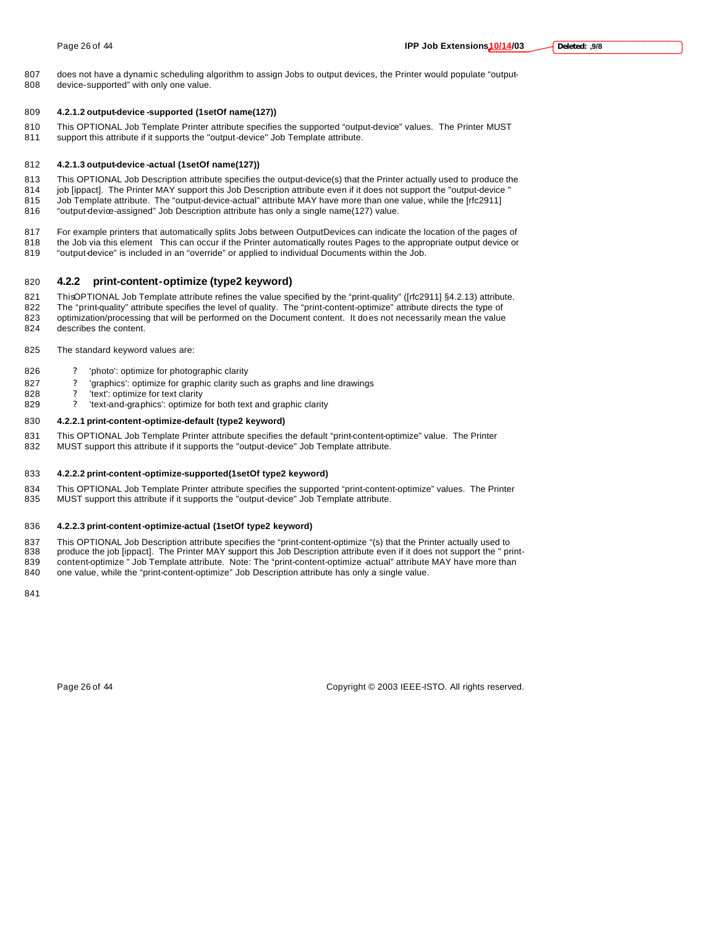does not have a dynamic scheduling algorithm to assign Jobs to output devices, the Printer would populate "output-device-supported" with only one value.

#### **4.2.1.2 output-device -supported (1setOf name(127))**

- This OPTIONAL Job Template Printer attribute specifies the supported "output-device" values. The Printer MUST
- support this attribute if it supports the "output-device" Job Template attribute.

#### **4.2.1.3 output-device -actual (1setOf name(127))**

- This OPTIONAL Job Description attribute specifies the output-device(s) that the Printer actually used to produce the
- 814 job [ippact]. The Printer MAY support this Job Description attribute even if it does not support the "output-device "
- Job Template attribute. The "output-device-actual" attribute MAY have more than one value, while the [rfc2911] "output-device-assigned" Job Description attribute has only a single name(127) value.
- 
- For example printers that automatically splits Jobs between OutputDevices can indicate the location of the pages of
- the Job via this element This can occur if the Printer automatically routes Pages to the appropriate output device or "output-device" is included in an "override" or applied to individual Documents within the Job.
- 

### **4.2.2 print-content-optimize (type2 keyword)**

821 ThisOPTIONAL Job Template attribute refines the value specified by the "print-quality" ([rfc2911] §4.2.13) attribute.

The "print-quality" attribute specifies the level of quality. The "print-content-optimize" attribute directs the type of

- 823 optimization/processing that will be performed on the Document content. It does not necessarily mean the value describes the content.
- The standard keyword values are:
- ? 'photo': optimize for photographic clarity
- ? 'graphics': optimize for graphic clarity such as graphs and line drawings
- 828 ? 'text': optimize for text clarity
- 829 ? 'text-and-graphics': optimize for both text and graphic clarity

#### **4.2.2.1 print-content-optimize-default (type2 keyword)**

- This OPTIONAL Job Template Printer attribute specifies the default "print-content-optimize" value. The Printer
- MUST support this attribute if it supports the "output-device" Job Template attribute.

#### **4.2.2.2 print-content-optimize-supported(1setOf type2 keyword)**

 This OPTIONAL Job Template Printer attribute specifies the supported "print-content-optimize" values. The Printer MUST support this attribute if it supports the "output-device" Job Template attribute.

#### **4.2.2.3 print-content-optimize-actual (1setOf type2 keyword)**

- This OPTIONAL Job Description attribute specifies the "print-content-optimize "(s) that the Printer actually used to
- 838 produce the job [ippact]. The Printer MAY support this Job Description attribute even if it does not support the " print-839 content-optimize " Job Template attribute. Note: The "print-content-optimize -actual" attribute MAY have more than one value, while the "print-content-optimize" Job Description attribute has only a single value.
- 

Page 26 of 44 Copyright © 2003 IEEE-ISTO. All rights reserved.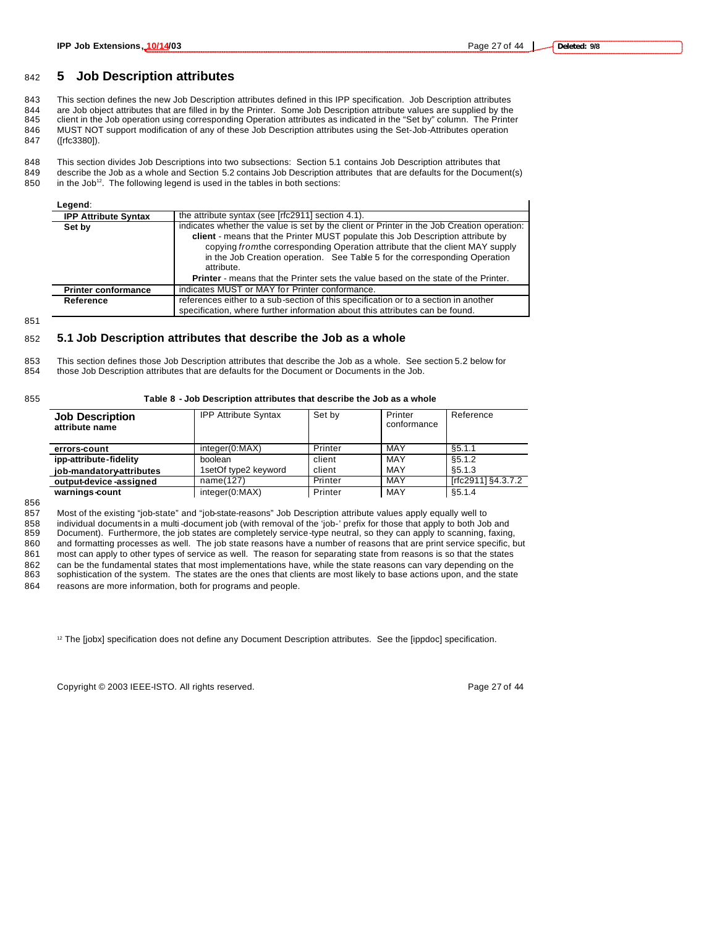### <sup>842</sup> **5 Job Description attributes**

 This section defines the new Job Description attributes defined in this IPP specification. Job Description attributes are Job object attributes that are filled in by the Printer. Some Job Description attribute values are supplied by the client in the Job operation using corresponding Operation attributes as indicated in the "Set by" column. The Printer MUST NOT support modification of any of these Job Description attributes using the Set-Job-Attributes operation ([rfc3380]).

848 This section divides Job Descriptions into two subsections: Section 5.1 contains Job Description attributes that 849 describe the Job as a whole and Section 5.2 contains Job Description attributes that are defaults for the Document(s)

 $850$  in the Job<sup>12</sup>. The following legend is used in the tables in both sections:

| Legend:                     |                                                                                                                                                                                                                                                                                                                                                            |
|-----------------------------|------------------------------------------------------------------------------------------------------------------------------------------------------------------------------------------------------------------------------------------------------------------------------------------------------------------------------------------------------------|
| <b>IPP Attribute Syntax</b> | the attribute syntax (see [rfc2911] section 4.1).                                                                                                                                                                                                                                                                                                          |
| Set by                      | indicates whether the value is set by the client or Printer in the Job Creation operation:<br>client - means that the Printer MUST populate this Job Description attribute by<br>copying from the corresponding Operation attribute that the client MAY supply<br>in the Job Creation operation. See Table 5 for the corresponding Operation<br>attribute. |
|                             | <b>Printer</b> - means that the Printer sets the value based on the state of the Printer.                                                                                                                                                                                                                                                                  |
| <b>Printer conformance</b>  | indicates MUST or MAY for Printer conformance.                                                                                                                                                                                                                                                                                                             |
| Reference                   | references either to a sub-section of this specification or to a section in another<br>specification, where further information about this attributes can be found.                                                                                                                                                                                        |

851

#### 852 **5.1 Job Description attributes that describe the Job as a whole**

853 This section defines those Job Description attributes that describe the Job as a whole. See section 5.2 below for 854 those Job Description attributes that are defaults for the Document or Documents in the Job.

#### 855 **Table 8 - Job Description attributes that describe the Job as a whole**

| <b>Job Description</b><br>attribute name | <b>IPP Attribute Syntax</b> | Set by  | Printer<br>conformance | Reference          |
|------------------------------------------|-----------------------------|---------|------------------------|--------------------|
| errors-count                             | integer(0:MAX)              | Printer | MAY                    | §5.1.1             |
| ipp-attribute-fidelity                   | boolean                     | client  | MAY                    | \$5.1.2            |
| job-mandatory-attributes                 | 1setOf type2 keyword        | client  | MAY                    | §5.1.3             |
| output-device-assigned                   | name(127)                   | Printer | MAY                    | [rfc2911] §4.3.7.2 |
| warnings-count                           | integer(0:MAX)              | Printer | MAY                    | \$5.1.4            |

856

 Most of the existing "job-state" and "job-state-reasons" Job Description attribute values apply equally well to individual documents in a multi -document job (with removal of the 'job-' prefix for those that apply to both Job and Document). Furthermore, the job states are completely service-type neutral, so they can apply to scanning, faxing, and formatting processes as well. The job state reasons have a number of reasons that are print service specific, but most can apply to other types of service as well. The reason for separating state from reasons is so that the states 862 can be the fundamental states that most implementations have, while the state reasons can vary depending on the<br>863 sophistication of the system. The states are the ones that clients are most likely to base actions upo sophistication of the system. The states are the ones that clients are most likely to base actions upon, and the state reasons are more information, both for programs and people.

<sup>12</sup> The [jobx] specification does not define any Document Description attributes. See the [ippdoc] specification.

Copyright © 2003 IEEE-ISTO. All rights reserved. Page 27 of 44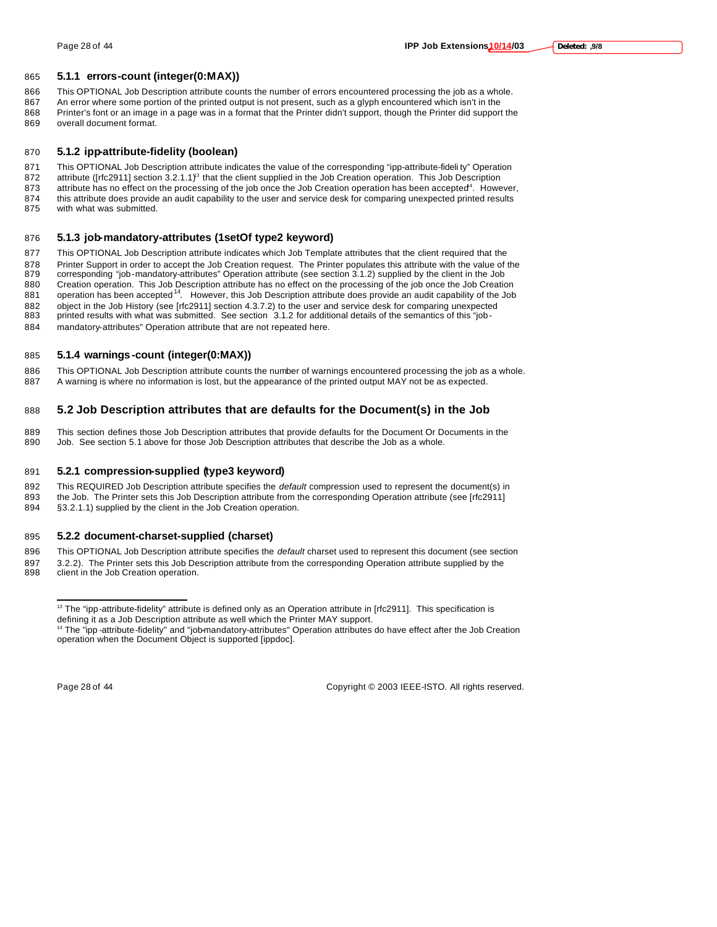#### **5.1.1 errors-count (integer(0:MAX))**

This OPTIONAL Job Description attribute counts the number of errors encountered processing the job as a whole.

867 An error where some portion of the printed output is not present, such as a glyph encountered which isn't in the Printer's font or an image in a page was in a format that the Printer didn't support, though the Printer did support the overall document format.

#### **5.1.2 ipp-attribute-fidelity (boolean)**

 This OPTIONAL Job Description attribute indicates the value of the corresponding "ipp-attribute-fideli ty" Operation 872 attribute ([rfc2911] section  $3.2.1.1$ ]<sup>3</sup> that the client supplied in the Job Creation operation. This Job Description 873 attribute has no effect on the processing of the job once the Job Creation operation has been accepted<sup>4</sup>. However, this attribute does provide an audit capability to the user and service desk for comparing unexpected printed results with what was submitted.

#### **5.1.3 job-mandatory-attributes (1setOf type2 keyword)**

 This OPTIONAL Job Description attribute indicates which Job Template attributes that the client required that the Printer Support in order to accept the Job Creation request. The Printer populates this attribute with the value of the corresponding "job-mandatory-attributes" Operation attribute (see section 3.1.2) supplied by the client in the Job Creation operation. This Job Description attribute has no effect on the processing of the job once the Job Creation operation has been accepted<sup>14</sup>. However, this Job Description attribute does provide an audit capability of the Job 882 object in the Job History (see [rfc2911] section 4.3.7.2) to the user and service desk for comparing unexpected 883 printed results with what was submitted. See section 3.1.2 for additional details of the semantics of printed results with what was submitted. See section 3.1.2 for additional details of the semantics of this "job-mandatory-attributes" Operation attribute that are not repeated here.

### **5.1.4 warnings -count (integer(0:MAX))**

 This OPTIONAL Job Description attribute counts the number of warnings encountered processing the job as a whole. A warning is where no information is lost, but the appearance of the printed output MAY not be as expected.

### **5.2 Job Description attributes that are defaults for the Document(s) in the Job**

889 This section defines those Job Description attributes that provide defaults for the Document Or Documents in the <br>890 Job. See section 5.1 above for those Job Description attributes that describe the Job as a whole. Job. See section 5.1 above for those Job Description attributes that describe the Job as a whole.

#### **5.2.1 compression-supplied (type3 keyword)**

This REQUIRED Job Description attribute specifies the *default* compression used to represent the document(s) in

893 the Job. The Printer sets this Job Description attribute from the corresponding Operation attribute (see [rfc2911] §3.2.1.1) supplied by the client in the Job Creation operation.

#### **5.2.2 document-charset-supplied (charset)**

 This OPTIONAL Job Description attribute specifies the *default* charset used to represent this document (see section 3.2.2). The Printer sets this Job Description attribute from the corresponding Operation attribute supplied by the client in the Job Creation operation.

 $\overline{a}$ 

Page 28 of 44 Copyright © 2003 IEEE-ISTO. All rights reserved.

 The "ipp-attribute-fidelity" attribute is defined only as an Operation attribute in [rfc2911]. This specification is defining it as a Job Description attribute as well which the Printer MAY support.

<sup>&</sup>lt;sup>14</sup> The "ipp -attribute-fidelity" and "job-mandatory-attributes" Operation attributes do have effect after the Job Creation operation when the Document Object is supported [ippdoc].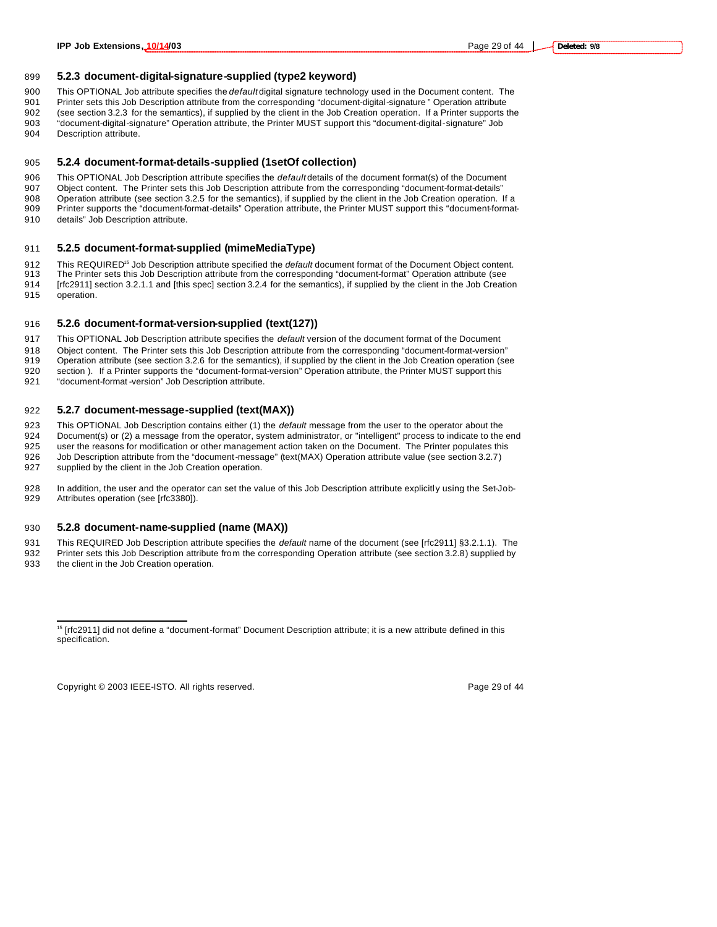#### **5.2.3 document-digital-signature-supplied (type2 keyword)**

This OPTIONAL Job attribute specifies the *default* digital signature technology used in the Document content. The

 Printer sets this Job Description attribute from the corresponding "document-digital-signature " Operation attribute (see section 3.2.3 for the semantics), if supplied by the client in the Job Creation operation. If a Printer supports the

- "document-digital-signature" Operation attribute, the Printer MUST support this "document-digital-signature" Job Description attribute.
- 

#### **5.2.4 document-format-details-supplied (1setOf collection)**

This OPTIONAL Job Description attribute specifies the *default* details of the document format(s) of the Document

Object content. The Printer sets this Job Description attribute from the corresponding "document-format-details"

 Operation attribute (see section 3.2.5 for the semantics), if supplied by the client in the Job Creation operation. If a Printer supports the "document-format-details" Operation attribute, the Printer MUST support this "document-format-

details" Job Description attribute.

#### **5.2.5 document-format-supplied (mimeMediaType)**

912 This REQUIRED<sup>15</sup> Job Description attribute specified the *default* document format of the Document Object content.

 The Printer sets this Job Description attribute from the corresponding "document-format" Operation attribute (see 914 [rfc2911] section 3.2.1.1 and [this spec] section 3.2.4 for the semantics), if supplied by the client in the Job Creation operation.

#### **5.2.6 document-format-version-supplied (text(127))**

This OPTIONAL Job Description attribute specifies the *default* version of the document format of the Document

Object content. The Printer sets this Job Description attribute from the corresponding "document-format-version"

 Operation attribute (see section 3.2.6 for the semantics), if supplied by the client in the Job Creation operation (see section ). If a Printer supports the "document-format-version" Operation attribute, the Printer MUST support this

"document-format -version" Job Description attribute.

#### **5.2.7 document-message-supplied (text(MAX))**

 This OPTIONAL Job Description contains either (1) the *default* message from the user to the operator about the Document(s) or (2) a message from the operator, system administrator, or "intelligent" process to indicate to the end user the reasons for modification or other management action taken on the Document. The Printer populates this Job Description attribute from the "document-message" (text(MAX) Operation attribute value (see section 3.2.7)

supplied by the client in the Job Creation operation.

 In addition, the user and the operator can set the value of this Job Description attribute explicitly using the Set-Job-929 Attributes operation (see [rfc3380]).

#### **5.2.8 document-name-supplied (name (MAX))**

 This REQUIRED Job Description attribute specifies the *default* name of the document (see [rfc2911] §3.2.1.1). The Printer sets this Job Description attribute from the corresponding Operation attribute (see section 3.2.8) supplied by the client in the Job Creation operation.

Copyright © 2003 IEEE-ISTO. All rights reserved. Copyright C 2003 IEEE-ISTO. All rights reserved.

 $\overline{a}$ 

 [rfc2911] did not define a "document-format" Document Description attribute; it is a new attribute defined in this specification.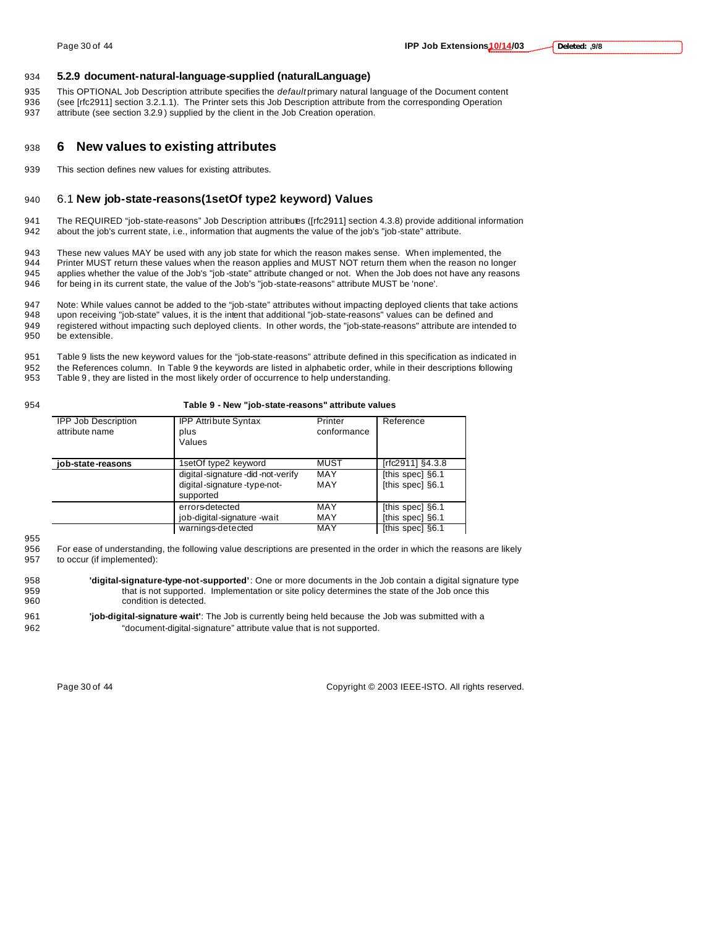### 934 **5.2.9 document-natural-language-supplied (naturalLanguage)**

- 935 This OPTIONAL Job Description attribute specifies the *default* primary natural language of the Document content 936 (see [rfc2911] section 3.2.1.1). The Printer sets this Job Description attribute from the corresponding Operation
- 937 attribute (see section 3.2.9 ) supplied by the client in the Job Creation operation.

### <sup>938</sup> **6 New values to existing attributes**

939 This section defines new values for existing attributes.

### 940 6.1 **New job-state-reasons(1setOf type2 keyword) Values**

941 The REQUIRED "job-state-reasons" Job Description attributes ([rfc2911] section 4.3.8) provide additional information 942 about the job's current state, i.e., information that augments the value of the job's "job-state" attribute.

943 These new values MAY be used with any job state for which the reason makes sense. When implemented, the 944 Printer MUST return these values when the reason as long Printer MUST return these values when the reason applies and MUST NOT return them when the reason no longer 945 applies whether the value of the Job's "job -state" attribute changed or not. When the Job does not have any reasons 946 for being in its current state, the value of the Job's "job-state-reasons" attribute MUST be 'none'.

947 Note: While values cannot be added to the "job-state" attributes without impacting deployed clients that take actions<br>948 upon receiving "job-state" values, it is the intent that additional "job-state-reasons" values c upon receiving "job-state" values, it is the intent that additional "job-state-reasons" values can be defined and

949 registered without impacting such deployed clients. In other words, the "job-state-reasons" attribute are intended to 950 be extensible.

951 Table 9 lists the new keyword values for the "job-state-reasons" attribute defined in this specification as indicated in 952 the References column. In Table 9 the keywords are listed in alphabetic order, while in their descriptions following<br>953 Table 9, they are listed in the most likely order of occurrence to help understanding Table 9, they are listed in the most likely order of occurrence to help understanding.

#### 954 **Table 9 - New "job-state-reasons" attribute values**

| <b>IPP Job Description</b><br>attribute name | <b>IPP Attribute Syntax</b><br>plus<br>Values | Printer<br>conformance | Reference        |
|----------------------------------------------|-----------------------------------------------|------------------------|------------------|
| iob-state-reasons                            | 1setOf type2 keyword                          | MUST                   | [rfc2911] §4.3.8 |
|                                              | digital-signature-did-not-verify              | MAY                    | [this spec] §6.1 |
|                                              | digital-signature-type-not-                   | MAY                    | [this spec] §6.1 |
|                                              | supported                                     |                        |                  |
|                                              | errors-detected                               | MAY                    | [this spec] §6.1 |
|                                              | job-digital-signature -wait                   | MAY                    | [this spec] §6.1 |
|                                              | warnings-detected                             | MAY                    | [this spec] §6.1 |

955

956 For ease of understanding, the following value descriptions are presented in the order in which the reasons are likely 957 to occur (if implemented):

958 **'digital-signature-type-not-supported'**: One or more documents in the Job contain a digital signature type 959 that is not supported. Implementation or site policy determines the state of the Job once this 960 condition is detected.

961 **'job-digital-signature -wait'**: The Job is currently being held because the Job was submitted with a 962 "document-digital-signature" attribute value that is not supported.

Page 30 of 44 Copyright © 2003 IEEE-ISTO. All rights reserved.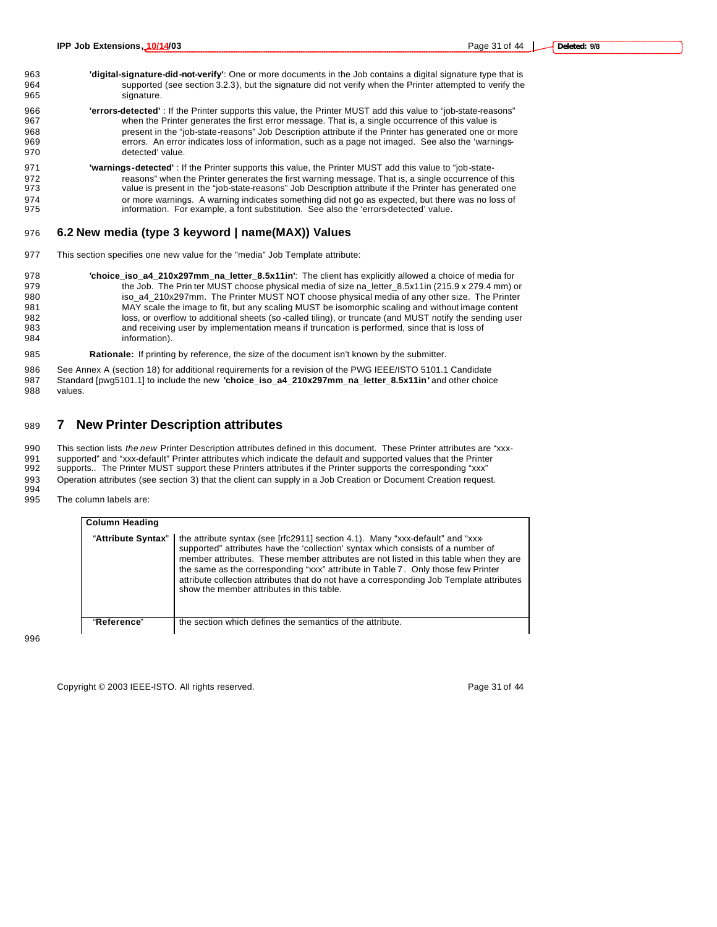- 963 **'digital-signature-did-not-verify'**: One or more documents in the Job contains a digital signature type that is 964 supported (see section 3.2.3), but the signature did not verify when the Printer attempted to verify the 965 signature.
- 966 **'errors-detected'** : If the Printer supports this value, the Printer MUST add this value to "job-state-reasons" when the Printer generates the first error message. That is, a single occurrence of this value is 968 present in the "job-state-reasons" Job Description attribute if the Printer has generated one or more<br>969 series. An error indicates loss of information, such as a page not imaged. See also the 'warningserrors. An error indicates loss of information, such as a page not imaged. See also the 'warnings-970 detected' value.
- 971 **'warnings-detected'** : If the Printer supports this value, the Printer MUST add this value to "job-state-972 reasons" when the Printer generates the first warning message. That is, a single occurrence of this<br>973 value is present in the "job-state-reasons" Job Description attribute if the Printer has generated one value is present in the "job-state-reasons" Job Description attribute if the Printer has generated one 974 or more warnings. A warning indicates something did not go as expected, but there was no loss of 975 information. For example, a font substitution. See also the 'errors-detected' value.

### 976 **6.2 New media (type 3 keyword | name(MAX)) Values**

- 977 This section specifies one new value for the "media" Job Template attribute:
- 978 **'choice\_iso\_a4\_210x297mm\_na\_letter\_8.5x11in'**: The client has explicitly allowed a choice of media for 979 the Job. The Prin ter MUST choose physical media of size na\_letter\_8.5x11in (215.9 x 279.4 mm) or 980 iso\_a4\_210x297mm. The Printer MUST NOT choose physical media of any other size. The Printer 981 MAY scale the image to fit, but any scaling MUST be isomorphic scaling and without image content 982 loss, or overflow to additional sheets (so -called tiling), or truncate (and MUST notify the sending user<br>983 and receiving user by implementation means if truncation is performed, since that is loss of and receiving user by implementation means if truncation is performed, since that is loss of 984 information).

985 **Rationale:** If printing by reference, the size of the document isn't known by the submitter.

986 See Annex A (section 18) for additional requirements for a revision of the PWG IEEE/ISTO 5101.1 Candidate 987 Standard [pwg5101.1] to include the new **'choice\_iso\_a4\_210x297mm\_na\_letter\_8.5x11in'** and other choice 988 values.

### <sup>989</sup> **7 New Printer Description attributes**

990 This section lists *the new* Printer Description attributes defined in this document. These Printer attributes are "xxx-991 supported" and "xxx-default" Printer attributes which indicate the default and supported values that the Printer 992 supports.. The Printer MUST support these Printers attributes if the Printer supports the corresponding "xxx"

993 Operation attributes (see section 3) that the client can supply in a Job Creation or Document Creation request. 994

995 The column labels are:

| <b>Column Heading</b> |                                                                                                                                                                                                                                                                                                                                                                                                                                                                                                               |
|-----------------------|---------------------------------------------------------------------------------------------------------------------------------------------------------------------------------------------------------------------------------------------------------------------------------------------------------------------------------------------------------------------------------------------------------------------------------------------------------------------------------------------------------------|
|                       | "Attribute Syntax"   the attribute syntax (see [rfc2911] section 4.1). Many "xxx-default" and "xxx-<br>supported" attributes have the 'collection' syntax which consists of a number of<br>member attributes. These member attributes are not listed in this table when they are<br>the same as the corresponding "xxx" attribute in Table 7. Only those few Printer<br>attribute collection attributes that do not have a corresponding Job Template attributes<br>show the member attributes in this table. |
| "Reference"           | the section which defines the semantics of the attribute.                                                                                                                                                                                                                                                                                                                                                                                                                                                     |

996

Copyright © 2003 IEEE-ISTO. All rights reserved. Copyright C 2003 IEEE-ISTO. All rights reserved.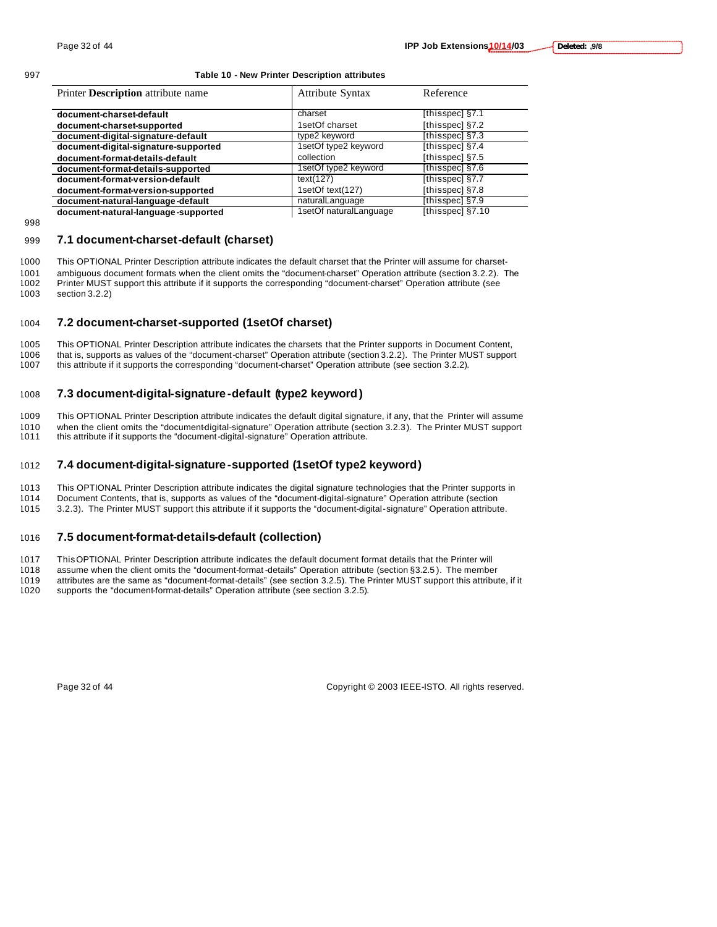#### 997 **Table 10 - New Printer Description attributes**

| Printer <b>Description</b> attribute name | <b>Attribute Syntax</b> | Reference        |
|-------------------------------------------|-------------------------|------------------|
|                                           |                         |                  |
| document-charset-default                  | charset                 | [thisspec] §7.1  |
| document-charset-supported                | 1setOf charset          | [thisspec] §7.2  |
| document-digital-signature-default        | type2 keyword           | [thisspec] §7.3  |
| document-digital-signature-supported      | 1setOf type2 keyword    | [thisspec] §7.4  |
| document-format-details-default           | collection              | [thisspec] §7.5  |
| document-format-details-supported         | 1setOf type2 keyword    | [thisspec] §7.6  |
| document-format-version-default           | text(127)               | [thisspec] §7.7  |
| document-format-version-supported         | 1setOf text(127)        | [thisspec] §7.8  |
| document-natural-language-default         | naturalLanguage         | [thisspec] §7.9  |
| document-natural-language-supported       | 1setOf naturalLanguage  | [thisspec] §7.10 |

998

#### 999 **7.1 document-charset-default (charset)**

 This OPTIONAL Printer Description attribute indicates the default charset that the Printer will assume for charset- ambiguous document formats when the client omits the "document-charset" Operation attribute (section 3.2.2). The Printer MUST support this attribute if it supports the corresponding "document-charset" Operation attribute (see section 3.2.2)

### 1004 **7.2 document-charset-supported (1setOf charset)**

1005 This OPTIONAL Printer Description attribute indicates the charsets that the Printer supports in Document Content, 1006 that is, supports as values of the "document-charset" Operation attribute (section 3.2.2). The Printer MUST support 1007 this attribute if it supports the corresponding "document-charset" Operation attribute (see sect this attribute if it supports the corresponding "document-charset" Operation attribute (see section 3.2.2).

### 1008 **7.3 document-digital-signature -default (type2 keyword)**

1009 This OPTIONAL Printer Description attribute indicates the default digital signature, if any, that the Printer will assume 1010 when the client omits the "document-digital-signature" Operation attribute (section 3.2.3). The Printer MUST support 1011 this attribute if it support "digital-signature" Operation attribute this attribute if it supports the "document-digital-signature" Operation attribute.

### 1012 **7.4 document-digital-signature -supported (1setOf type2 keyword)**

1013 This OPTIONAL Printer Description attribute indicates the digital signature technologies that the Printer supports in

1014 Document Contents, that is, supports as values of the "document-digital-signature" Operation attribute (section

1015 3.2.3). The Printer MUST support this attribute if it supports the "document-digital-signature" Operation attribute.

#### 1016 **7.5 document-format-details-default (collection)**

1017 This OPTIONAL Printer Description attribute indicates the default document format details that the Printer will

1018 assume when the client omits the "document-format -details" Operation attribute (section §3.2.5 ). The member

1019 attributes are the same as "document-format-details" (see section 3.2.5). The Printer MUST support this attribute, if it 1020 support this attribute, if it

supports the "document-format-details" Operation attribute (see section 3.2.5).

Page 32 of 44 Copyright © 2003 IEEE-ISTO. All rights reserved.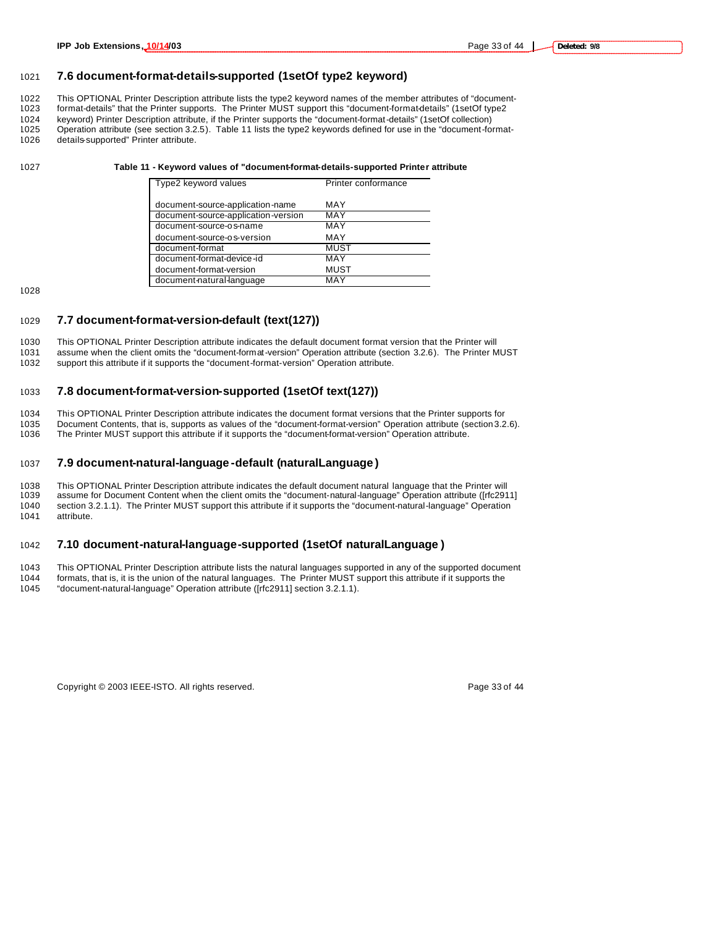### **7.6 document-format-details-supported (1setOf type2 keyword)**

1022 This OPTIONAL Printer Description attribute lists the type2 keyword names of the member attributes of "document-<br>1023 format-details" that the Printer supports. The Printer MUST support this "document-format-details" format-details" that the Printer supports. The Printer MUST support this "document-format-details" (1setOf type2 keyword) Printer Description attribute, if the Printer supports the "document-format-details" (1setOf collection) Operation attribute (see section 3.2.5). Table 11 lists the type2 keywords defined for use in the "document-format-

details-supported" Printer attribute.

#### **Table 11 - Keyword values of "document-format-details-supported Printer attribute**

| Type2 keyword values                | Printer conformance |
|-------------------------------------|---------------------|
| document-source-application-name    | MAY                 |
| document-source-application-version | MAY                 |
| document-source-os-name             | MAY                 |
| document-source-os-version          | MAY                 |
| document-format                     | <b>MUST</b>         |
| document-format-device-id           | MAY                 |
| document-format-version             | <b>MUST</b>         |
| document-natural-language           | MAY                 |

#### **7.7 document-format-version-default (text(127))**

 This OPTIONAL Printer Description attribute indicates the default document format version that the Printer will assume when the client omits the "document-format-version" Operation attribute (section 3.2.6). The Printer MUST support this attribute if it supports the "document-format-version" Operation attribute.

#### **7.8 document-format-version-supported (1setOf text(127))**

 This OPTIONAL Printer Description attribute indicates the document format versions that the Printer supports for Document Contents, that is, supports as values of the "document-format-version" Operation attribute (section 3.2.6). The Printer MUST support this attribute if it supports the "document-format-version" Operation attribute.

#### **7.9 document-natural-language -default (naturalLanguage )**

 This OPTIONAL Printer Description attribute indicates the default document natural language that the Printer will assume for Document Content when the client omits the "document-natural-language" Operation attribute ([rfc2911] section 3.2.1.1). The Printer MUST support this attribute if it supports the "document-natural-language" Operation attribute.

#### **7.10 document-natural-language-supported (1setOf naturalLanguage )**

 This OPTIONAL Printer Description attribute lists the natural languages supported in any of the supported document formats, that is, it is the union of the natural languages. The Printer MUST support this attribute if it supports the "document-natural-language" Operation attribute ([rfc2911] section 3.2.1.1).

Copyright © 2003 IEEE-ISTO. All rights reserved. Page 33 of 44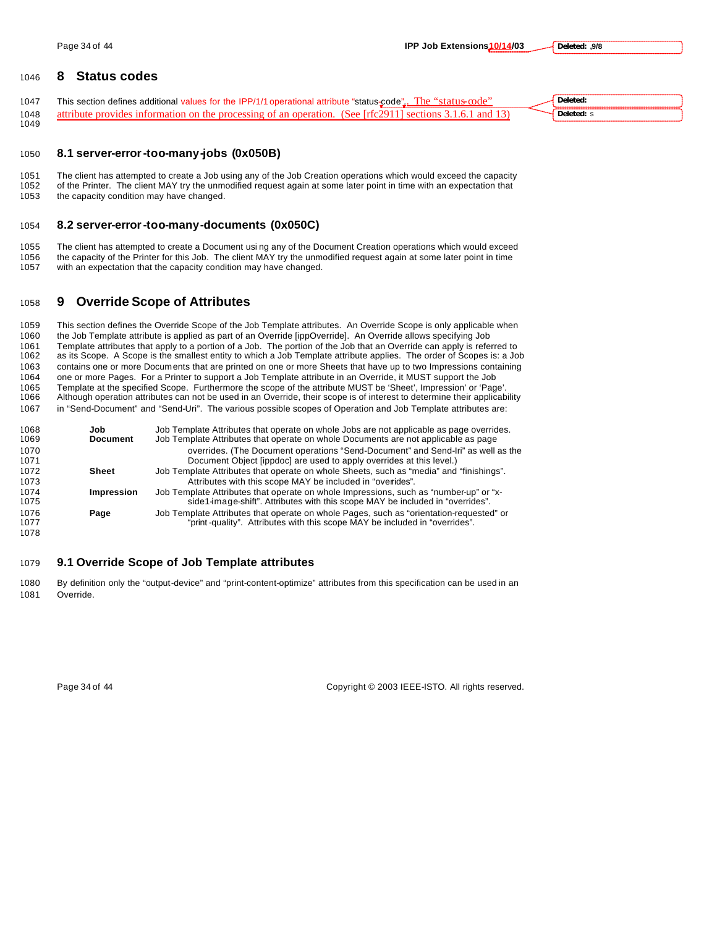### **8 Status codes**

1047 This section defines additional values for the IPP/1/1 operational attribute "status-code". The "status-code" 1048 attribute provides information on the processing of an operation. (See [rfc2911] sections 3.1.6.1 and 13) **Deleted:** s

### **8.1 server-error-too-many-jobs (0x050B)**

1051 The client has attempted to create a Job using any of the Job Creation operations which would exceed the capacity<br>1052 of the Printer. The client MAY try the unmodified request again at some later point in time with a of the Printer. The client MAY try the unmodified request again at some later point in time with an expectation that the capacity condition may have changed.

### **8.2 server-error-too-many-documents (0x050C)**

 The client has attempted to create a Document usi ng any of the Document Creation operations which would exceed the capacity of the Printer for this Job. The client MAY try the unmodified request again at some later point in time with an expectation that the capacity condition may have changed.

### **9 Override Scope of Attributes**

 This section defines the Override Scope of the Job Template attributes. An Override Scope is only applicable when the Job Template attribute is applied as part of an Override [ippOverride]. An Override allows specifying Job 1061 Template attributes that apply to a portion of a Job. The portion of the Job that an Override can apply is referred to 1062 as its Scope. A Scope is the smallest entity to which a Job Template attribute applies. The o as its Scope. A Scope is the smallest entity to which a Job Template attribute applies. The order of Scopes is: a Job contains one or more Documents that are printed on one or more Sheets that have up to two Impressions containing one or more Pages. For a Printer to support a Job Template attribute in an Override, it MUST support the Job Template at the specified Scope. Furthermore the scope of the attribute MUST be 'Sheet', Impression' or 'Page'. Although operation attributes can not be used in an Override, their scope is of interest to determine their applicability in "Send-Document" and "Send-Uri". The various possible scopes of Operation and Job Template attributes are:

| 1068 | Job               | Job Template Attributes that operate on whole Jobs are not applicable as page overrides. |
|------|-------------------|------------------------------------------------------------------------------------------|
| 1069 | <b>Document</b>   | Job Template Attributes that operate on whole Documents are not applicable as page       |
| 1070 |                   | overrides. (The Document operations "Send-Document" and Send-Iri" as well as the         |
| 1071 |                   | Document Object [ippdoc] are used to apply overrides at this level.)                     |
| 1072 | Sheet             | Job Template Attributes that operate on whole Sheets, such as "media" and "finishings".  |
| 1073 |                   | Attributes with this scope MAY be included in "overides".                                |
| 1074 | <b>Impression</b> | Job Template Attributes that operate on whole Impressions, such as "number-up" or "x-    |
| 1075 |                   | side1-image-shift". Attributes with this scope MAY be included in "overrides".           |
| 1076 | Page              | Job Template Attributes that operate on whole Pages, such as "orientation-requested" or  |
| 1077 |                   | "print-quality". Attributes with this scope MAY be included in "overrides".              |
| 1078 |                   |                                                                                          |

#### **9.1 Override Scope of Job Template attributes**

 By definition only the "output-device" and "print-content-optimize" attributes from this specification can be used in an Override.

Page 34 of 44 Copyright © 2003 IEEE-ISTO. All rights reserved.

**Deleted:**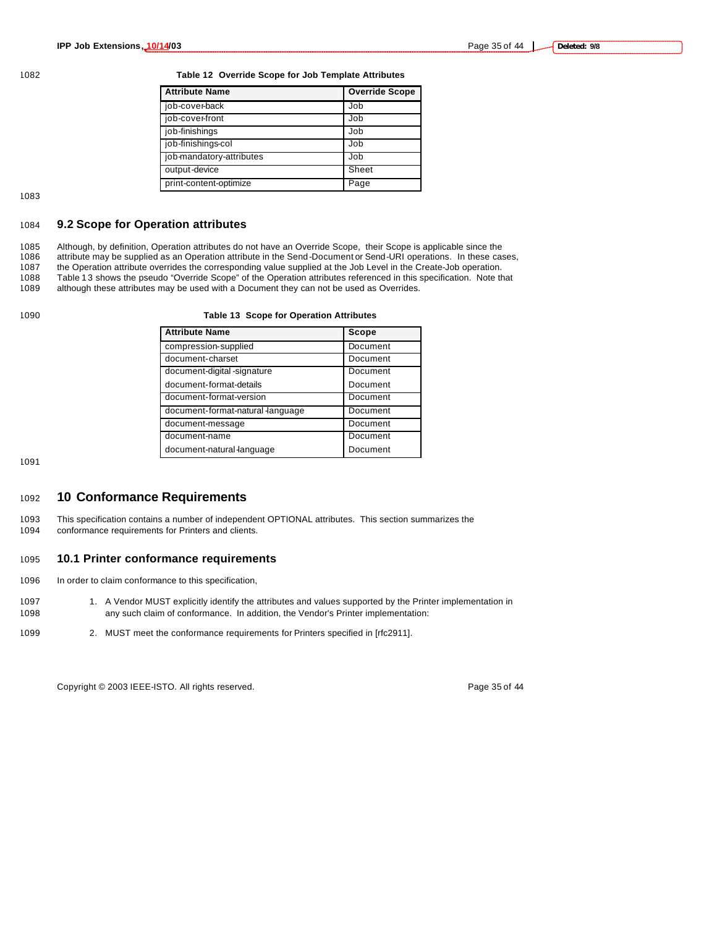1082 **Table 12 Override Scope for Job Template Attributes**

| <b>Attribute Name</b>    | <b>Override Scope</b> |
|--------------------------|-----------------------|
| job-cover-back           | Job                   |
| job-cover-front          | Job                   |
| job-finishings           | Job                   |
| job-finishings-col       | Job                   |
| job-mandatory-attributes | Job                   |
| output-device            | Sheet                 |
| print-content-optimize   | Page                  |

1083

### 1084 **9.2 Scope for Operation attributes**

1085 Although, by definition, Operation attributes do not have an Override Scope, their Scope is applicable since the<br>1086 attribute may be supplied as an Operation attribute in the Send-Document or Send-URI operations. In attribute may be supplied as an Operation attribute in the Send-Document or Send-URI operations. In these cases, 1087 the Operation attribute overrides the corresponding value supplied at the Job Level in the Create-Job operation. 1088 Table 13 shows the pseudo "Override Scope" of the Operation attributes referenced in this specification. Note that 1089 although these attributes may be used with a Document they can not be used as Overrides.

although these attributes may be used with a Document they can not be used as Overrides.

#### 1090 **Table 13 Scope for Operation Attributes**

| <b>Attribute Name</b>            | Scope    |
|----------------------------------|----------|
| compression-supplied             | Document |
| document-charset                 | Document |
| document-digital -signature      | Document |
| document-format-details          | Document |
| document-format-version          | Document |
| document-format-natural language | Document |
| document-message                 | Document |
| document-name                    | Document |
| document-natural-language        | Document |

1091

### <sup>1092</sup> **10 Conformance Requirements**

1093 This specification contains a number of independent OPTIONAL attributes. This section summarizes the 1094 conformance requirements for Printers and clients.

### 1095 **10.1 Printer conformance requirements**

- 1096 In order to claim conformance to this specification,
- 1097 1. A Vendor MUST explicitly identify the attributes and values supported by the Printer implementation in 1098 any such claim of conformance. In addition, the Vendor's Printer implementation:
- 1099 2. MUST meet the conformance requirements for Printers specified in [rfc2911].

Copyright © 2003 IEEE-ISTO. All rights reserved. Page 35 of 44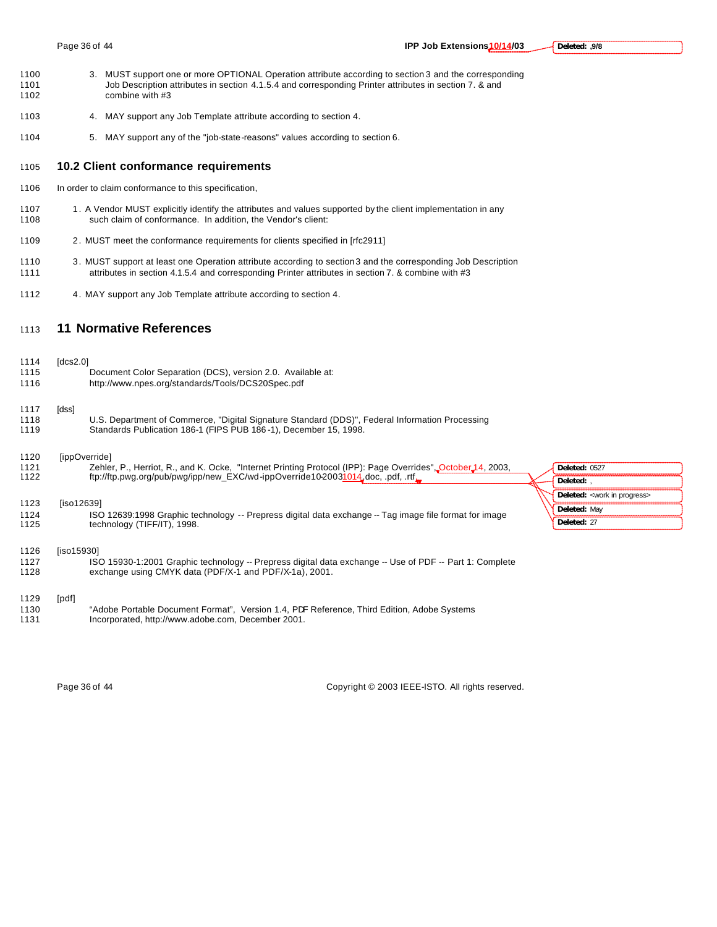- 1100 3. MUST support one or more OPTIONAL Operation attribute according to section 3 and the corresponding<br>1101 Job Description attributes in section 4.1.5.4 and corresponding Printer attributes in section 7. & and Job Description attributes in section 4.1.5.4 and corresponding Printer attributes in section 7. & and 1102 combine with #3
- 1103 4. MAY support any Job Template attribute according to section 4.
- 1104 5. MAY support any of the "job-state-reasons" values according to section 6.

### 1105 **10.2 Client conformance requirements**

- 1106 In order to claim conformance to this specification,
- 1107 1. A Vendor MUST explicitly identify the attributes and values supported by the client implementation in any 1108 such claim of conformance. In addition, the Vendor's client:
- 1109 2. MUST meet the conformance requirements for clients specified in [rfc2911]
- 1110 3. MUST support at least one Operation attribute according to section 3 and the corresponding Job Description 1111 attributes in section 4.1.5.4 and corresponding Printer attributes in section 7. & combine with #3
- 1112 4. MAY support any Job Template attribute according to section 4.

### <sup>1113</sup> **11 Normative References**

1114 [dcs2.0]

| ,,,,<br>1115<br>1116 | <b>IUGSZ.UI</b> | Document Color Separation (DCS), version 2.0. Available at:<br>http://www.npes.org/standards/Tools/DCS20Spec.pdf                                                    |                                          |
|----------------------|-----------------|---------------------------------------------------------------------------------------------------------------------------------------------------------------------|------------------------------------------|
| 1117<br>1118<br>1119 | [dss]           | U.S. Department of Commerce, "Digital Signature Standard (DDS)", Federal Information Processing<br>Standards Publication 186-1 (FIPS PUB 186-1), December 15, 1998. |                                          |
| 1120                 |                 | [ippOverride]                                                                                                                                                       |                                          |
| 1121                 |                 | Zehler, P., Herriot, R., and K. Ocke, "Internet Printing Protocol (IPP): Page Overrides", October 14, 2003,                                                         | Deleted: 0527                            |
| 1122                 |                 | ftp://ftp.pwg.org/pub/pwg/ipp/new EXC/wd-ippOverride10-20031014_doc, .pdf, .rtf_                                                                                    | Deleted: .                               |
|                      |                 |                                                                                                                                                                     | Deleted: <work in="" progress=""></work> |
| 1123<br>1124         | [iso12639]      | ISO 12639:1998 Graphic technology -- Prepress digital data exchange -- Tag image file format for image                                                              | Deleted: May                             |
| 1125                 |                 | technology (TIFF/IT), 1998.                                                                                                                                         | Deleted: 27                              |
| 1126<br>1127<br>1128 | [iso15930]      | ISO 15930-1:2001 Graphic technology -- Prepress digital data exchange -- Use of PDF -- Part 1: Complete<br>exchange using CMYK data (PDF/X-1 and PDF/X-1a), 2001.   |                                          |
| 1129<br>1130<br>1131 | [pdf]           | "Adobe Portable Document Format", Version 1.4, PDF Reference, Third Edition, Adobe Systems<br>Incorporated, http://www.adobe.com, December 2001.                    |                                          |

Page 36 of 44 Copyright © 2003 IEEE-ISTO. All rights reserved.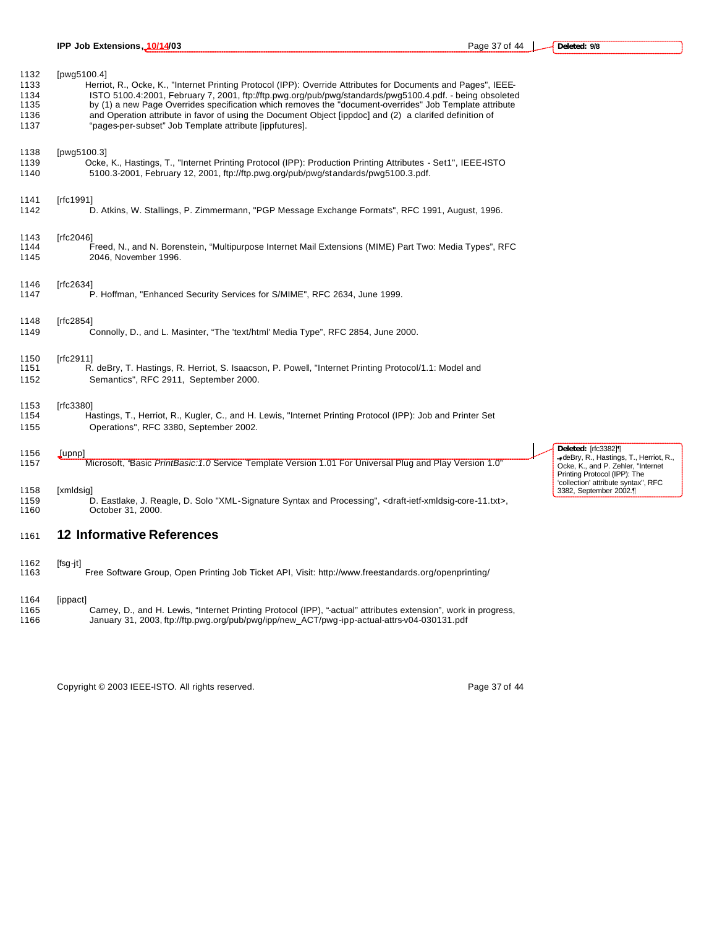| 1132<br>1133<br>1134<br>1135<br>1136<br>1137 | [pwg5100.4]<br>Herriot, R., Ocke, K., "Internet Printing Protocol (IPP): Override Attributes for Documents and Pages", IEEE-<br>ISTO 5100.4:2001, February 7, 2001, ftp://ftp.pwg.org/pub/pwg/standards/pwg5100.4.pdf. - being obsoleted<br>by (1) a new Page Overrides specification which removes the "document-overrides" Job Template attribute<br>and Operation attribute in favor of using the Document Object [ippdoc] and (2) a clarifed definition of<br>"pages-per-subset" Job Template attribute [ippfutures]. |
|----------------------------------------------|---------------------------------------------------------------------------------------------------------------------------------------------------------------------------------------------------------------------------------------------------------------------------------------------------------------------------------------------------------------------------------------------------------------------------------------------------------------------------------------------------------------------------|
| 1138                                         | [pwg5100.3]                                                                                                                                                                                                                                                                                                                                                                                                                                                                                                               |
| 1139<br>1140                                 | Ocke, K., Hastings, T., "Internet Printing Protocol (IPP): Production Printing Attributes - Set1", IEEE-ISTO<br>5100.3-2001, February 12, 2001, ftp://ftp.pwg.org/pub/pwg/standards/pwg5100.3.pdf.                                                                                                                                                                                                                                                                                                                        |
| 1141                                         | [rfc1991]                                                                                                                                                                                                                                                                                                                                                                                                                                                                                                                 |
| 1142                                         | D. Atkins, W. Stallings, P. Zimmermann, "PGP Message Exchange Formats", RFC 1991, August, 1996.                                                                                                                                                                                                                                                                                                                                                                                                                           |
| 1143                                         | [rfc2046]                                                                                                                                                                                                                                                                                                                                                                                                                                                                                                                 |
| 1144<br>1145                                 | Freed, N., and N. Borenstein, "Multipurpose Internet Mail Extensions (MIME) Part Two: Media Types", RFC<br>2046, November 1996.                                                                                                                                                                                                                                                                                                                                                                                           |
| 1146                                         | [rfc2634]                                                                                                                                                                                                                                                                                                                                                                                                                                                                                                                 |
| 1147                                         | P. Hoffman, "Enhanced Security Services for S/MIME", RFC 2634, June 1999.                                                                                                                                                                                                                                                                                                                                                                                                                                                 |
| 1148                                         | [rfc2854]                                                                                                                                                                                                                                                                                                                                                                                                                                                                                                                 |
| 1149                                         | Connolly, D., and L. Masinter, "The 'text/html' Media Type", RFC 2854, June 2000.                                                                                                                                                                                                                                                                                                                                                                                                                                         |
| 1150                                         | [ $rfc2911$ ]                                                                                                                                                                                                                                                                                                                                                                                                                                                                                                             |
| 1151<br>1152                                 | R. deBry, T. Hastings, R. Herriot, S. Isaacson, P. Powell, "Internet Printing Protocol/1.1: Model and<br>Semantics", RFC 2911, September 2000.                                                                                                                                                                                                                                                                                                                                                                            |
| 1153                                         | [rfc3380]                                                                                                                                                                                                                                                                                                                                                                                                                                                                                                                 |
| 1154                                         | Hastings, T., Herriot, R., Kugler, C., and H. Lewis, "Internet Printing Protocol (IPP): Job and Printer Set                                                                                                                                                                                                                                                                                                                                                                                                               |

1155 Operations", RFC 3380, September 2002.

#### 1156 [upnp]

1157 Microsoft, "Basic *PrintBasic:1.0* Service Template Version 1.01 For Universal Plug and Play Version 1.0"

## 1158 [xmldsig]

1159 D. Eastlake, J. Reagle, D. Solo "XML-Signature Syntax and Processing", <draft-ietf-xmldsig-core-11.txt>,<br>1160 Cotober 31, 2000. October 31, 2000.

### <sup>1161</sup> **12 Informative References**

### 1162 [fsg-jt]

1163 Free Software Group, Open Printing Job Ticket API, Visit: http://www.freestandards.org/openprinting/

### 1164 [ippact]

1165 Carney, D., and H. Lewis, "Internet Printing Protocol (IPP), "-actual" attributes extension", work in progress, 1166 January 31, 2003, ftp://ftp.pwg.org/pub/pwg/ipp/new\_ACT/pwg-ipp-actual-attrs-v04-030131.pdf

Copyright © 2003 IEEE-ISTO. All rights reserved. Page 37 of 44

**Deleted:** [rfc3382]¶

deBry, R., Hastings, T., Herriot, R., Ocke, K., and P. Zehler, "Internet Printing Protocol (IPP): The 'collection' attribute syntax", RFC 3382, September 2002.¶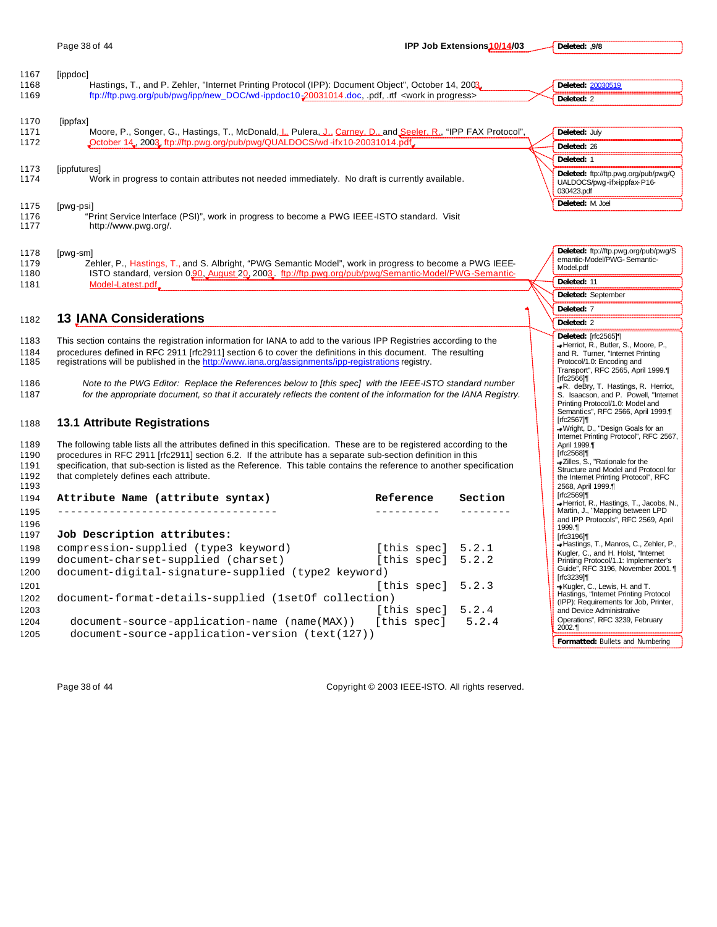**Deleted: ,9/8**

| 1167<br>1168<br>1169 | [ippdoc]<br>Hastings, T., and P. Zehler, "Internet Printing Protocol (IPP): Document Object", October 14, 2003.<br>ftp://ftp.pwg.org/pub/pwg/ipp/new_DOC/wd-ippdoc10-20031014.doc, pdf, .tf <work in="" progress=""></work> | Deleted: 20030519<br>Deleted: 2                                                   |
|----------------------|-----------------------------------------------------------------------------------------------------------------------------------------------------------------------------------------------------------------------------|-----------------------------------------------------------------------------------|
| 1170<br>1171         | [ippfax]<br>Moore, P., Songer, G., Hastings, T., McDonald, L. Pulera, J., Carney, D., and Seeler, R., "IPP FAX Protocol",                                                                                                   | Deleted: July                                                                     |
| 1172                 | "October 14, 2003, ftp://ftp.pwg.org/pub/pwg/QUALDOCS/wd-ifx10-20031014.pdf.                                                                                                                                                | Deleted: 26                                                                       |
|                      |                                                                                                                                                                                                                             | Deleted: 1                                                                        |
| 1173<br>1174         | [ippfutures]<br>Work in progress to contain attributes not needed immediately. No draft is currently available.                                                                                                             | Deleted: ftp://ftp.pwg.org/pub/pwg/Q<br>UALDOCS/pwg-ifx-ippfax-P16-<br>030423.pdf |
| 1175                 | [pwg-psi]                                                                                                                                                                                                                   | Deleted: M. Joel                                                                  |

| 1178 | [pwg-sm] |  |
|------|----------|--|

1177 http://www.pwg.org/.

1179 Zehler, P., Hastings, T., and S. Albright, "PWG Semantic Model", work in progress to become a PWG IEEE-1180 ISTO standard, version 0.00, August 20, 2003. ftp://ftp.pwg.org/pub/pwg/Semantic-Model/PWG-Semantic-1181 Model-Latest.pdf

1176 "Print Service Interface (PSI)", work in progress to become a PWG IEEE-ISTO standard. Visit

### <sup>1182</sup> **13 IANA Considerations**

1183 This section contains the registration information for IANA to add to the various IPP Registries according to the 1184 procedures defined in RFC 2911 [rfc2911] section 6 to cover the definitions in this document. The resulting<br>1185 registrations will be published in the http://www.iana.org/assignments/ipp-registrations registry. registrations will be published in the http://www.iana.org/assignments/ipp-registrations registry.

1186 *Note to the PWG Editor: Replace the References below to [this spec] with the IEEE-ISTO standard number*  1187 *for the appropriate document, so that it accurately reflects the content of the information for the IANA Registry.*

### 1188 **13.1 Attribute Registrations**

1189 The following table lists all the attributes defined in this specification. These are to be registered according to the 1190 procedures in RFC 2911 [rfc2911] section 6.2. If the attribute has a separate sub-section definition in this 1191 specification, that sub-section is listed as the Reference. This table contains the reference to another specification<br>1192 that completely defines each attribute. that completely defines each attribute. 1193

| 1194 | Attribute Name (attribute syntax)                                | Reference           | Section |
|------|------------------------------------------------------------------|---------------------|---------|
| 1195 | _________________________________                                |                     |         |
| 1196 |                                                                  |                     |         |
| 1197 | Job Description attributes:                                      |                     |         |
| 1198 | compression-supplied (type3 keyword)                             | [this spec] $5.2.1$ |         |
| 1199 | document-charset-supplied (charset)                              | [this spec] $5.2.2$ |         |
| 1200 | document-digital-signature-supplied (type2 keyword)              |                     |         |
| 1201 |                                                                  | [this spec]         | 5.2.3   |
| 1202 | document-format-details-supplied (1setOf collection)             |                     |         |
| 1203 |                                                                  | [this spec]         | 5.2.4   |
| 1204 | $document-source -application - name (max))$ [this spec] $5.2.4$ |                     |         |
| 1205 | document-source-application-version (text(127))                  |                     |         |

| 030423.pui                                                                       |
|----------------------------------------------------------------------------------|
| Deleted: M. Joel                                                                 |
|                                                                                  |
|                                                                                  |
|                                                                                  |
| Deleted: ftp://ftp.pwg.org/pub/pwg/S<br>emantic-Model/PWG-Semantic-<br>Model.pdf |
| Deleted: 11                                                                      |
| Deleted: September                                                               |
| Deleted: 7                                                                       |
|                                                                                  |

| Deleted: 2                                                                                                                                                                                                                                                                                                                                                                                                                                                                                                                                                                               |
|------------------------------------------------------------------------------------------------------------------------------------------------------------------------------------------------------------------------------------------------------------------------------------------------------------------------------------------------------------------------------------------------------------------------------------------------------------------------------------------------------------------------------------------------------------------------------------------|
| Deleted: [rfc2565]¶<br>-Herriot, R., Butler, S., Moore, P.,<br>and R. Turner, "Internet Printing<br>Protocol/1.0: Encoding and<br>Transport", RFC 2565, April 1999.<br>[rfc2566]¶<br>-R. deBry, T. Hastings, R. Herriot,<br>S. Isaacson, and P. Powell, "Internet<br>Printing Protocol/1.0: Model and<br>Semantics", RFC 2566, April 1999.<br>[rfc2567]¶<br>-Wright, D., "Design Goals for an<br>Internet Printing Protocol", RFC 2567,<br>April 1999.1<br>[rfc2568]¶<br>-Zilles, S., "Rationale for the<br>Structure and Model and Protocol for<br>the Internet Printing Protocol", RFC |
| 2568, April 1999.<br><b>Irfc256911</b><br>-Herriot, R., Hastings, T., Jacobs, N.,<br>Martin, J., "Mapping between LPD<br>and IPP Protocols", RFC 2569, April                                                                                                                                                                                                                                                                                                                                                                                                                             |
| 1999.<br><b>Irfc319611</b><br>-Hastings, T., Manros, C., Zehler, P.,<br>Kugler, C., and H. Holst, "Internet<br>Printing Protocol/1.1: Implementer's<br>Guide", RFC 3196, November 2001.<br>[rfc3239]¶<br>Kugler, C., Lewis, H. and T.<br>Hastings, "Internet Printing Protocol<br>(IPP): Requirements for Job, Printer,<br>and Device Administrative                                                                                                                                                                                                                                     |
| Operations", RFC 3239, February<br>$2002.$ 1<br>Formatted: Bullets and Numbering                                                                                                                                                                                                                                                                                                                                                                                                                                                                                                         |
|                                                                                                                                                                                                                                                                                                                                                                                                                                                                                                                                                                                          |

Page 38 of 44 Copyright © 2003 IEEE-ISTO. All rights reserved.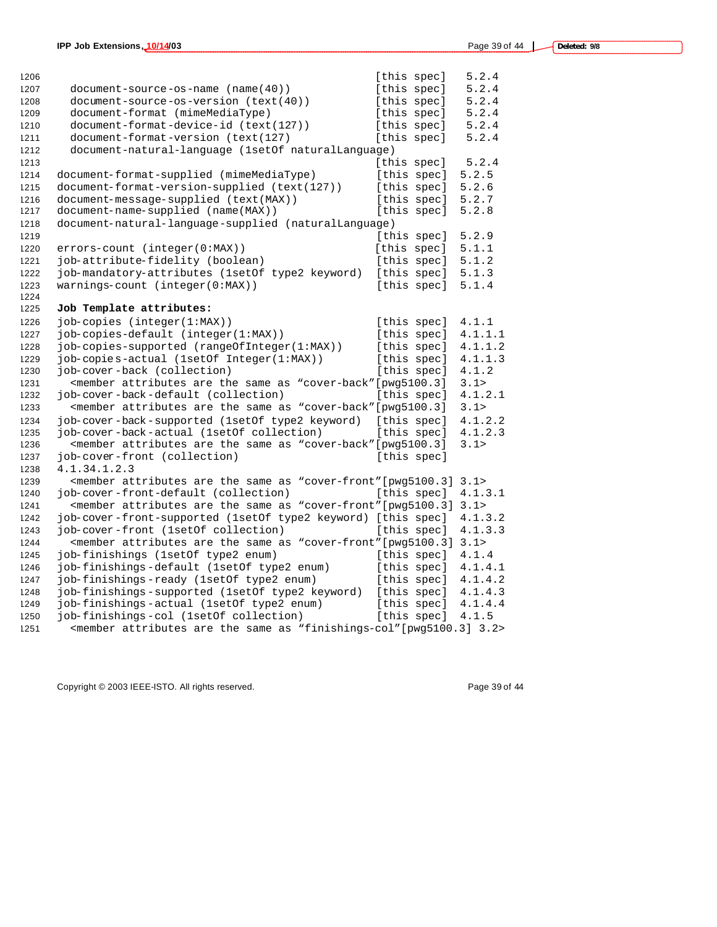| 1206 |                                                                                                                                      | [this spec] |             | 5.2.4   |
|------|--------------------------------------------------------------------------------------------------------------------------------------|-------------|-------------|---------|
| 1207 | $document-source-os-name (name(40))$                                                                                                 | [this spec] |             | 5.2.4   |
| 1208 | document-source-os-version (text(40))                                                                                                | [this spec] |             | 5.2.4   |
| 1209 | document-format (mimeMediaType)                                                                                                      |             | [this spec] | 5.2.4   |
| 1210 | document-format-device-id (text(127))                                                                                                |             | [this spec] | 5.2.4   |
| 1211 | document-format-version (text(127)                                                                                                   | [this spec] |             | 5.2.4   |
| 1212 | document-natural-language (1setOf naturalLanguage)                                                                                   |             |             |         |
| 1213 |                                                                                                                                      |             | [this spec] | 5.2.4   |
| 1214 | document-format-supplied (mimeMediaType)                                                                                             |             | [this spec] | 5.2.5   |
| 1215 | document-format-version-supplied (text(127))                                                                                         |             | [this spec] | 5.2.6   |
| 1216 | document-message-supplied (text(MAX))                                                                                                |             | [this spec] | 5.2.7   |
| 1217 | document-name-supplied (name(MAX))                                                                                                   |             | [this spec] | 5.2.8   |
| 1218 | document-natural-language-supplied (naturalLanguage)                                                                                 |             |             |         |
| 1219 |                                                                                                                                      |             | [this spec] | 5.2.9   |
| 1220 | $errors$ -count (integer( $0:MAX$ ))                                                                                                 |             | [this spec] | 5.1.1   |
| 1221 | job-attribute-fidelity (boolean)                                                                                                     |             | [this spec] | 5.1.2   |
| 1222 | job-mandatory-attributes (1setOf type2 keyword)                                                                                      |             | [this spec] | 5.1.3   |
| 1223 | warnings-count (integer(0:MAX))                                                                                                      |             | [this spec] | 5.1.4   |
| 1224 |                                                                                                                                      |             |             |         |
| 1225 | Job Template attributes:                                                                                                             |             |             |         |
| 1226 | job-copies (integer(1:MAX))                                                                                                          |             | [this spec] | 4.1.1   |
| 1227 | job-copies-default (integer(1:MAX))                                                                                                  |             | [this spec] | 4.1.1.1 |
| 1228 | job-copies-supported (rangeOfInteger(1:MAX))                                                                                         |             | [this spec] | 4.1.1.2 |
| 1229 | job-copies-actual (1setOf Integer(1:MAX))                                                                                            |             | [this spec] | 4.1.1.3 |
| 1230 | job-cover-back (collection)                                                                                                          |             | [this spec] | 4.1.2   |
| 1231 | <member "cover-back"="" [pwg5100.3]<="" are="" as="" attributes="" same="" td="" the=""><td></td><td></td><td>3.1&gt;</td></member>  |             |             | 3.1>    |
| 1232 | iob-cover-back-default (collection)                                                                                                  |             | [this spec] | 4.1.2.1 |
| 1233 | <member "cover-back"="" [pwg5100.3]<="" are="" as="" attributes="" same="" td="" the=""><td></td><td></td><td>3.1&gt;</td></member>  |             |             | 3.1>    |
| 1234 | job-cover-back-supported (1setOf type2 keyword)                                                                                      |             | [this spec] | 4.1.2.2 |
| 1235 | job-cover-back-actual (1setOf collection)                                                                                            |             | [this spec] | 4.1.2.3 |
| 1236 | <member "cover-back"="" [pwg5100.3]<="" are="" as="" attributes="" same="" td="" the=""><td></td><td></td><td>3.1&gt;</td></member>  |             |             | 3.1>    |
| 1237 | job-cover-front (collection)                                                                                                         |             | [this spec] |         |
| 1238 | 4.1.34.1.2.3                                                                                                                         |             |             |         |
| 1239 | <member "cover-front"="" [pwg5100.3]<="" are="" as="" attributes="" same="" td="" the=""><td></td><td></td><td>3.1&gt;</td></member> |             |             | 3.1>    |
| 1240 | job-cover-front-default (collection)                                                                                                 |             | [this spec] | 4.1.3.1 |
| 1241 | <member "cover-front"="" 3.1="" [pwg5100.3]="" are="" as="" attributes="" same="" the=""></member>                                   |             |             |         |
| 1242 | job-cover-front-supported (1setOf type2 keyword) [this spec]                                                                         |             |             | 4.1.3.2 |
| 1243 | job-cover-front (1setOf collection)                                                                                                  |             | [this spec] | 4.1.3.3 |
| 1244 | <member "cover-front"="" 3.1="" [pwg5100.3]="" are="" as="" attributes="" same="" the=""></member>                                   |             |             |         |
| 1245 | job-finishings (1setOf type2 enum)                                                                                                   |             | [this spec] | 4.1.4   |
| 1246 | job-finishings-default (1setOf type2 enum)                                                                                           |             | [this spec] | 4.1.4.1 |
| 1247 | job-finishings-ready (1setOf type2 enum)                                                                                             |             | [this spec] | 4.1.4.2 |
| 1248 | job-finishings-supported (1setOf type2 keyword)                                                                                      |             | [this spec] | 4.1.4.3 |
| 1249 | job-finishings-actual (1setOf type2 enum)                                                                                            |             | [this spec] | 4.1.4.4 |
| 1250 | job-finishings-col (1setOf collection)                                                                                               |             | [this spec] | 4.1.5   |
| 1251 | <member "finishings-col"[pwq5100.3]="" 3.2="" are="" as="" attributes="" same="" the=""></member>                                    |             |             |         |

Copyright © 2003 IEEE-ISTO. All rights reserved. example 2003 39 of 44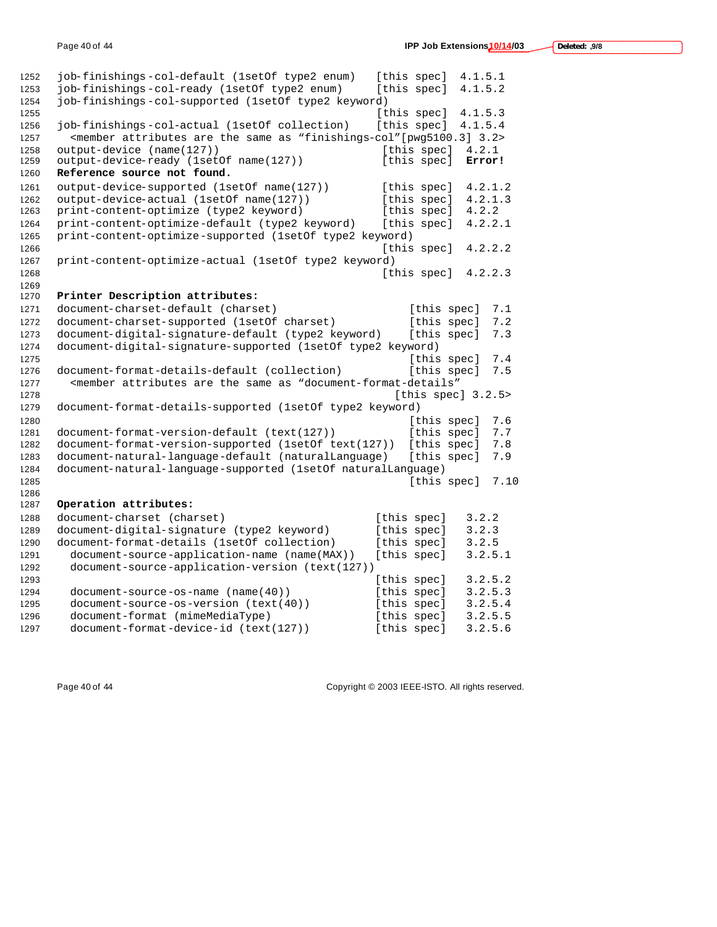| 1252         | job-finishings-col-default (1setOf type2 enum)                                                                    | [this spec]         | 4.1.5.1 |
|--------------|-------------------------------------------------------------------------------------------------------------------|---------------------|---------|
| 1253         | job-finishings-col-ready (1setOf type2 enum)                                                                      | [this spec]         | 4.1.5.2 |
| 1254         | job-finishings-col-supported (lsetOf type2 keyword)                                                               |                     |         |
| 1255         |                                                                                                                   | [this spec]         | 4.1.5.3 |
| 1256         | job-finishings-col-actual (1setOf collection)                                                                     | [this spec]         | 4.1.5.4 |
| 1257         | <member "finishings-col"="" 3.2="" [pwg5100.3]="" are="" as="" attributes="" same="" the=""></member>             |                     |         |
| 1258         | output-device (name(127))                                                                                         | [this spec]         | 4.2.1   |
| 1259         | output-device-ready (1setOf name(127))                                                                            | [this spec]         | Error!  |
| 1260         | Reference source not found.                                                                                       |                     |         |
| 1261         | output-device-supported (1setOf name(127))                                                                        | [this spec]         | 4.2.1.2 |
| 1262         | output-device-actual (1setOf name(127))                                                                           | [this spec]         | 4.2.1.3 |
| 1263         | print-content-optimize (type2 keyword)                                                                            | [this spec]         | 4.2.2   |
| 1264         | print-content-optimize-default (type2 keyword)                                                                    | [this spec]         | 4.2.2.1 |
| 1265         | print-content-optimize-supported (1setOf type2 keyword)                                                           |                     |         |
| 1266         |                                                                                                                   | [this spec]         | 4.2.2.2 |
| 1267         | print-content-optimize-actual (1setOf type2 keyword)                                                              |                     |         |
| 1268         |                                                                                                                   | [this spec]         | 4.2.2.3 |
| 1269         |                                                                                                                   |                     |         |
| 1270         | Printer Description attributes:                                                                                   |                     |         |
| 1271         | document-charset-default (charset)                                                                                | [this spec]         | 7.1     |
| 1272         | document-charset-supported (1setOf charset)                                                                       | [this spec]         | 7.2     |
| 1273         | document-digital-signature-default (type2 keyword)                                                                | [this spec]         | 7.3     |
| 1274         | document-digital-signature-supported (1setOf type2 keyword)                                                       |                     |         |
| 1275         |                                                                                                                   | [this spec]         | 7.4     |
| 1276         | document-format-details-default (collection)                                                                      | [this spec]         | 7.5     |
| 1277         | <member "document-format-details"<="" are="" as="" attributes="" same="" td="" the=""><td></td><td></td></member> |                     |         |
| 1278         |                                                                                                                   | [this spec] $3.2.5$ |         |
| 1279         | document-format-details-supported (1setOf type2 keyword)                                                          |                     |         |
| 1280         |                                                                                                                   | [this spec]         | 7.6     |
| 1281         | document-format-version-default (text(127))                                                                       | [this spec]         | 7.7     |
| 1282         | document-format-version-supported (1setOf text(127))                                                              | [this spec]         | 7.8     |
| 1283         | document-natural-language-default (naturalLanguage)                                                               | [this spec]         | 7.9     |
| 1284         | document-natural-language-supported (1setOf naturalLanguage)                                                      |                     |         |
| 1285         |                                                                                                                   | [this spec]         | 7.10    |
| 1286<br>1287 | Operation attributes:                                                                                             |                     |         |
| 1288         | document-charset (charset)                                                                                        | [this spec]         | 3.2.2   |
| 1289         | document-digital-signature (type2 keyword)                                                                        | [this spec]         | 3.2.3   |
| 1290         | document-format-details (1setOf collection)                                                                       | [this spec]         | 3.2.5   |
| 1291         | document-source-application-name (name(MAX))                                                                      | [this spec]         | 3.2.5.1 |
| 1292         | document-source-application-version (text(127))                                                                   |                     |         |
| 1293         |                                                                                                                   | [this spec]         | 3.2.5.2 |
| 1294         | $document-source-os-name (name(40))$                                                                              | [this spec]         | 3.2.5.3 |
| 1295         | document-source-os-version (text(40))                                                                             | [this spec]         | 3.2.5.4 |
| 1296         | document-format (mimeMediaType)                                                                                   | [this spec]         | 3.2.5.5 |
| 1297         | document-format-device-id (text(127))                                                                             | [this spec]         | 3.2.5.6 |
|              |                                                                                                                   |                     |         |

Page 40 of 44 Copyright © 2003 IEEE-ISTO. All rights reserved.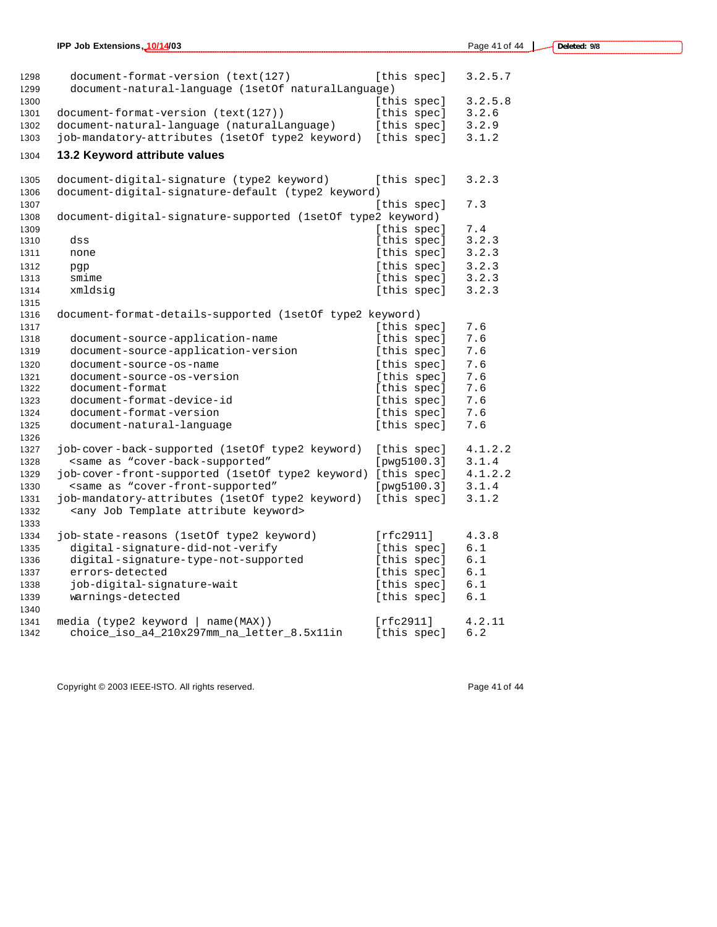| 1298<br>1299 | document-format-version (text(127)<br>document-natural-language (1setOf naturalLanguage) | [this spec] | 3.2.5.7    |
|--------------|------------------------------------------------------------------------------------------|-------------|------------|
| 1300         |                                                                                          | [this spec] | 3.2.5.8    |
| 1301         | document-format-version (text(127))                                                      | [this spec] | 3.2.6      |
| 1302         | document-natural-language (naturalLanguage)                                              | [this spec] | 3.2.9      |
| 1303         | job-mandatory-attributes (1setOf type2 keyword)                                          | [this spec] | 3.1.2      |
| 1304         | 13.2 Keyword attribute values                                                            |             |            |
|              |                                                                                          |             |            |
| 1305         | document-digital-signature (type2 keyword)                                               | [this spec] | 3.2.3      |
| 1306         | document-digital-signature-default (type2 keyword)                                       |             |            |
| 1307         |                                                                                          | [this spec] | 7.3        |
| 1308         | document-digital-signature-supported (1setOf type2 keyword)                              |             |            |
| 1309         |                                                                                          | [this spec] | 7.4        |
| 1310         | dss                                                                                      | [this spec] | 3.2.3      |
| 1311         | none                                                                                     | [this spec] | 3.2.3      |
| 1312         | pgp                                                                                      | [this spec] | 3.2.3      |
| 1313         | smime                                                                                    | [this spec] | 3.2.3      |
| 1314         | xmldsig                                                                                  | [this spec] | 3.2.3      |
| 1315         |                                                                                          |             |            |
| 1316<br>1317 | document-format-details-supported (1set0f type2 keyword)                                 | [this spec] | 7.6        |
|              | document-source-application-name                                                         | [this spec] | 7.6        |
| 1318<br>1319 | document-source-application-version                                                      | [this spec] | 7.6        |
|              | document-source-os-name                                                                  |             | 7.6        |
| 1320         |                                                                                          | [this spec] |            |
| 1321         | document-source-os-version<br>document-format                                            | [this spec] | 7.6        |
| 1322         | document-format-device-id                                                                | [this spec] | 7.6<br>7.6 |
| 1323         |                                                                                          | [this spec] |            |
| 1324         | document-format-version                                                                  | [this spec] | 7.6        |
| 1325<br>1326 | document-natural-language                                                                | [this spec] | 7.6        |
| 1327         | job-cover-back-supported (1setOf type2 keyword)                                          | [this spec] | 4.1.2.2    |
| 1328         | <same "cover-back-supported"<="" as="" td=""><td>[pwq5100.3]</td><td>3.1.4</td></same>   | [pwq5100.3] | 3.1.4      |
| 1329         | job-cover-front-supported (1setOf type2 keyword)                                         | [this spec] | 4.1.2.2    |
| 1330         | <same "cover-front-supported"<="" as="" td=""><td>[pwq5100.3]</td><td>3.1.4</td></same>  | [pwq5100.3] | 3.1.4      |
|              |                                                                                          |             | 3.1.2      |
| 1331         | job-mandatory-attributes (1setOf type2 keyword)                                          | [this spec] |            |
| 1332         | <any attribute="" job="" keyword="" template=""></any>                                   |             |            |
| 1333         |                                                                                          |             |            |
| 1334         | job-state-reasons (1setOf type2 keyword)                                                 | [rfc2911]   | 4.3.8      |
| 1335         | digital-signature-did-not-verify                                                         | [this spec] | 6.1        |
| 1336         | digital-signature-type-not-supported                                                     | [this spec] | 6.1        |
| 1337         | errors-detected                                                                          | [this spec] | 6.1        |
| 1338         | job-digital-signature-wait                                                               | [this spec] | 6.1        |
| 1339         | warnings-detected                                                                        | [this spec] | 6.1        |
| 1340         |                                                                                          |             |            |
| 1341         | media (type2 keyword<br>$name(MAX)$ )                                                    | [rfc2911]   | 4.2.11     |
| 1342         | choice iso a4 210x297mm na letter 8.5x11in                                               | [this spec] | 6.2        |

Copyright © 2003 IEEE-ISTO. All rights reserved. Copyright © 2003 IEEE-ISTO. All rights reserved.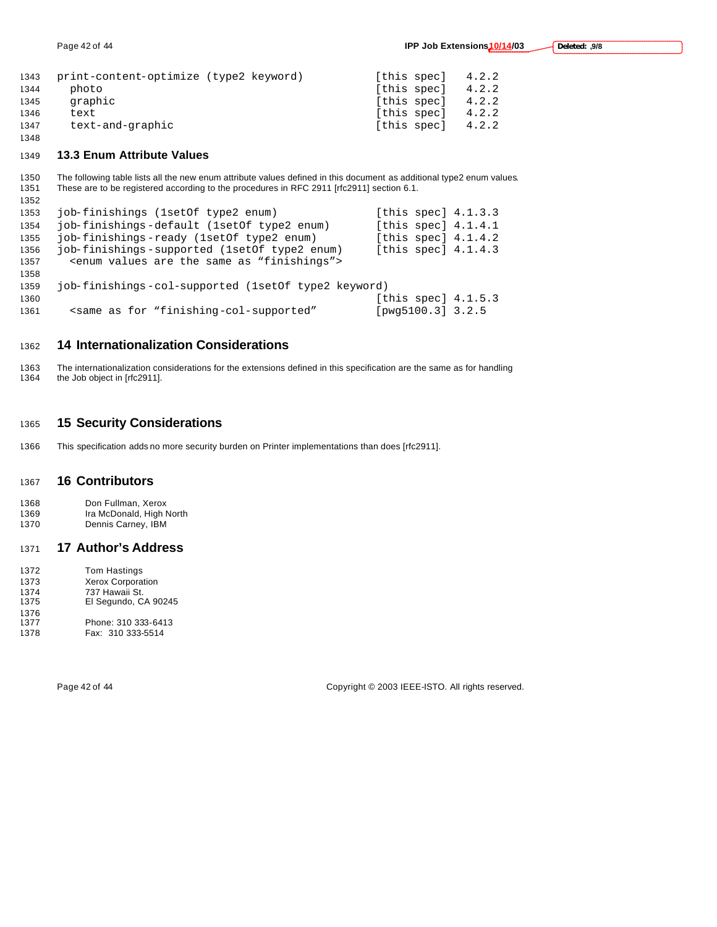| 1343 | print-content-optimize (type2 keyword) | [this spec] | 4.2.2 |
|------|----------------------------------------|-------------|-------|
| 1344 | photo                                  | [this spec] | 4.2.2 |
| 1345 | graphic                                | [this spec] | 4.2.2 |
| 1346 | text                                   | [this spec] | 4.2.2 |
| 1347 | text-and-graphic                       | [this spec] | 4.2.2 |
| 1348 |                                        |             |       |

#### **13.3 Enum Attribute Values**

 The following table lists all the new enum attribute values defined in this document as additional type2 enum values. These are to be registered according to the procedures in RFC 2911 [rfc2911] section 6.1.

| 1352 |                                                                                                                    |                         |  |
|------|--------------------------------------------------------------------------------------------------------------------|-------------------------|--|
| 1353 | job-finishings (1setOf type2 enum)                                                                                 | [this spec] $4.1.3.3$   |  |
| 1354 | job-finishings-default (1setOf type2 enum)                                                                         | [this spec] $4.1.4.1$   |  |
| 1355 | job-finishings-ready (1setOf type2 enum)                                                                           | [this spec] $4.1.4.2$   |  |
| 1356 | job-finishings-supported (1setOf type2 enum)                                                                       | [this spec] $4.1.4.3$   |  |
| 1357 | <enum "finishings"="" are="" as="" same="" the="" values=""></enum>                                                |                         |  |
| 1358 |                                                                                                                    |                         |  |
| 1359 | job-finishings-col-supported (1set of type2 keyword)                                                               |                         |  |
| 1360 |                                                                                                                    | [this spec] $4.1.5.3$   |  |
| 1361 | <same "finishing-col-supported"<="" as="" for="" td=""><td>[<math>pvq5100.3</math>] <math>3.2.5</math></td></same> | [ $pvq5100.3$ ] $3.2.5$ |  |

### **14 Internationalization Considerations**

1363 The internationalization considerations for the extensions defined in this specification are the same as for handling<br>1364 the Job object in [rfc2911]. the Job object in [rfc2911].

### **15 Security Considerations**

This specification adds no more security burden on Printer implementations than does [rfc2911].

### **16 Contributors**

1368 Don Fullman, Xerox<br>1369 Ira McDonald. High N Ira McDonald, High North Dennis Carney, IBM

### **17 Author's Address**

| 1372 | <b>Tom Hastings</b>      |
|------|--------------------------|
| 1373 | <b>Xerox Corporation</b> |
| 1374 | 737 Hawaii St.           |
| 1375 | El Segundo, CA 90245     |
| 1376 |                          |
| 1377 | Phone: 310 333-6413      |
| 1378 | Fax: 310 333-5514        |

Page 42 of 44 Copyright © 2003 IEEE-ISTO. All rights reserved.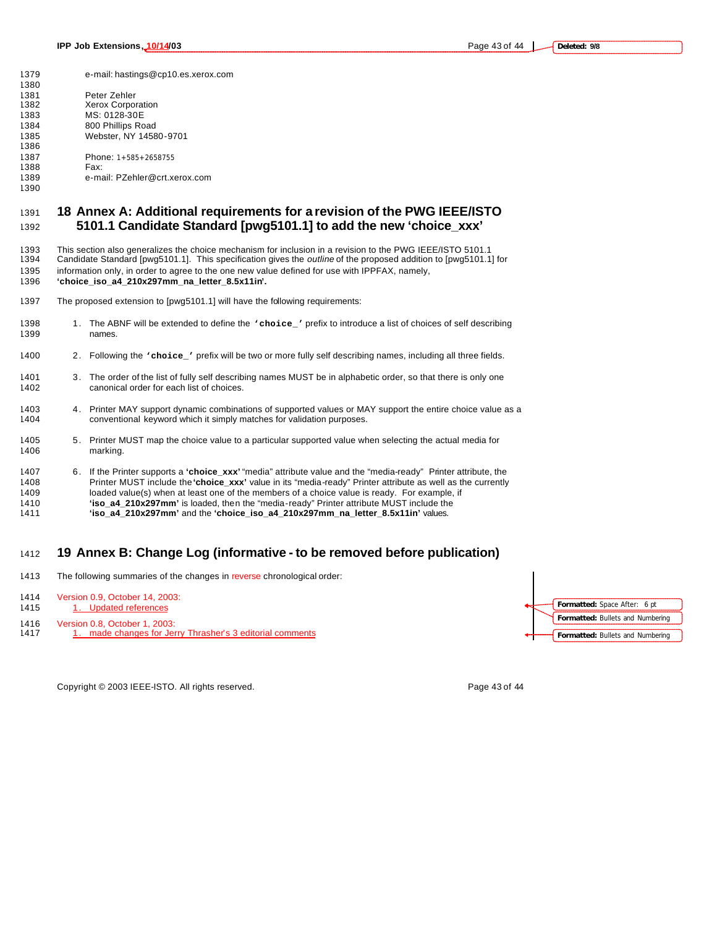e-mail: hastings@cp10.es.xerox.com 1381 Peter Zehler<br>1382 Xerox Corpor **Xerox Corporation**  MS: 0128-30E 800 Phillips Road Webster, NY 14580-9701

 1387 Phone: 1+585+2658755<br>1388 Fax: e-mail: PZehler@crt.xerox.com

- **18 Annex A: Additional requirements for a revision of the PWG IEEE/ISTO 5101.1 Candidate Standard [pwg5101.1] to add the new 'choice\_xxx'**
- This section also generalizes the choice mechanism for inclusion in a revision to the PWG IEEE/ISTO 5101.1 Candidate Standard [pwg5101.1]. This specification gives the *outline* of the proposed addition to [pwg5101.1] for
- information only, in order to agree to the one new value defined for use with IPPFAX, namely,

**'choice\_iso\_a4\_210x297mm\_na\_letter\_8.5x11in'.**

- The proposed extension to [pwg5101.1] will have the following requirements:
- 1398 1. The ABNF will be extended to define the **'choice\_'** prefix to introduce a list of choices of self describing<br>1399 **names**. names.
- 2. Following the **'choice\_'** prefix will be two or more fully self describing names, including all three fields.
- 3. The order of the list of fully self describing names MUST be in alphabetic order, so that there is only one canonical order for each list of choices.
- 1403 4. Printer MAY support dynamic combinations of supported values or MAY support the entire choice value as a conventional keyword which it simply matches for validation purposes.
- 5. Printer MUST map the choice value to a particular supported value when selecting the actual media for marking.
- 6. If the Printer supports a **'choice\_xxx'** "media" attribute value and the "media-ready" Printer attribute, the Printer MUST include the **'choice\_xxx'** value in its "media-ready" Printer attribute as well as the currently loaded value(s) when at least one of the members of a choice value is ready. For example, if **'iso\_a4\_210x297mm'** is loaded, then the "media-ready" Printer attribute MUST include the **'iso\_a4\_210x297mm'** and the **'choice\_iso\_a4\_210x297mm\_na\_letter\_8.5x11in'** values.

### **19 Annex B: Change Log (informative - to be removed before publication)**

- 1413 The following summaries of the changes in reverse chronological order:
- Version 0.9, October 14, 2003:
- 1415 1. Updated references
- Version 0.8, October 1, 2003:
- 1417 1. made changes for Jerry Thrasher's 3 editorial comments

Copyright © 2003 IEEE-ISTO. All rights reserved. Page 43 of 44